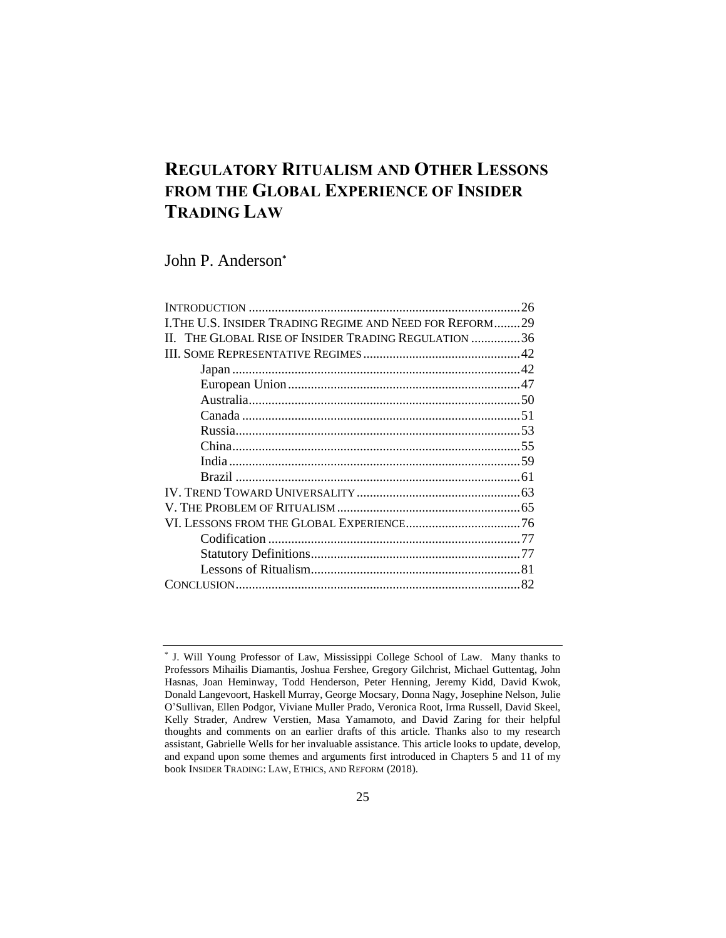# **REGULATORY RITUALISM AND OTHER LESSONS FROM THE GLOBAL EXPERIENCE OF INSIDER TRADING LAW**

John P. Anderson**\***

|                                                         | 26 |
|---------------------------------------------------------|----|
| I.THE U.S. INSIDER TRADING REGIME AND NEED FOR REFORM29 |    |
| II. THE GLOBAL RISE OF INSIDER TRADING REGULATION 36    |    |
|                                                         |    |
|                                                         |    |
|                                                         |    |
|                                                         |    |
|                                                         |    |
|                                                         |    |
|                                                         |    |
|                                                         |    |
|                                                         |    |
|                                                         |    |
|                                                         |    |
|                                                         |    |
|                                                         |    |
|                                                         |    |
|                                                         |    |
|                                                         |    |
|                                                         |    |

<sup>\*</sup> J. Will Young Professor of Law, Mississippi College School of Law. Many thanks to Professors Mihailis Diamantis, Joshua Fershee, Gregory Gilchrist, Michael Guttentag, John Hasnas, Joan Heminway, Todd Henderson, Peter Henning, Jeremy Kidd, David Kwok, Donald Langevoort, Haskell Murray, George Mocsary, Donna Nagy, Josephine Nelson, Julie O'Sullivan, Ellen Podgor, Viviane Muller Prado, Veronica Root, Irma Russell, David Skeel, Kelly Strader, Andrew Verstien, Masa Yamamoto, and David Zaring for their helpful thoughts and comments on an earlier drafts of this article. Thanks also to my research assistant, Gabrielle Wells for her invaluable assistance. This article looks to update, develop, and expand upon some themes and arguments first introduced in Chapters 5 and 11 of my book INSIDER TRADING: LAW, ETHICS, AND REFORM (2018).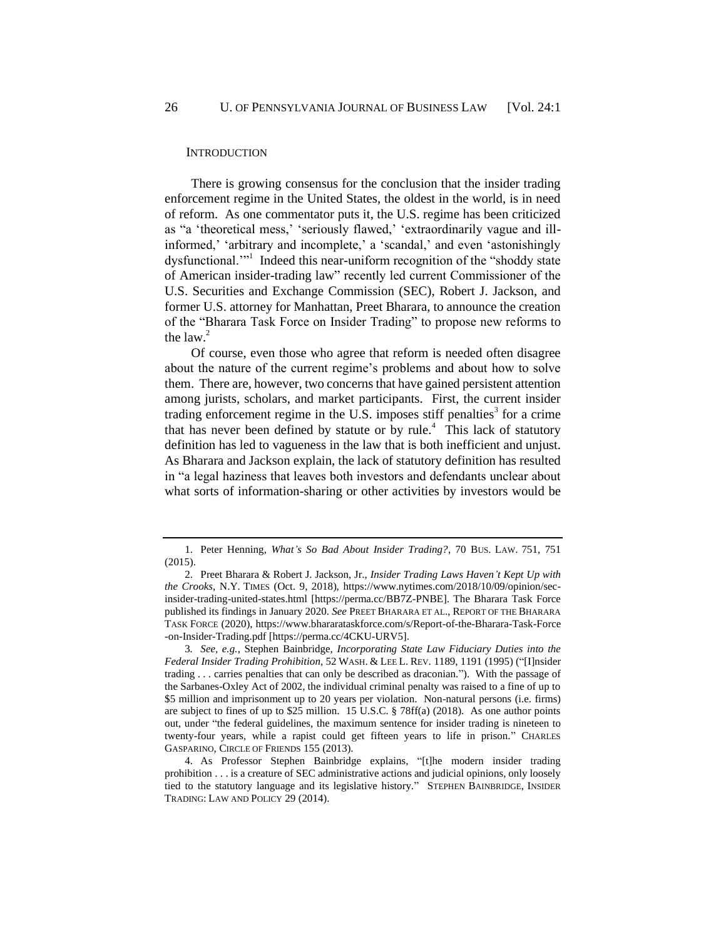#### **INTRODUCTION**

There is growing consensus for the conclusion that the insider trading enforcement regime in the United States, the oldest in the world, is in need of reform. As one commentator puts it, the U.S. regime has been criticized as "a 'theoretical mess,' 'seriously flawed,' 'extraordinarily vague and illinformed,' 'arbitrary and incomplete,' a 'scandal,' and even 'astonishingly dysfunctional."<sup>1</sup> Indeed this near-uniform recognition of the "shoddy state of American insider-trading law" recently led current Commissioner of the U.S. Securities and Exchange Commission (SEC), Robert J. Jackson, and former U.S. attorney for Manhattan, Preet Bharara, to announce the creation of the "Bharara Task Force on Insider Trading" to propose new reforms to the  $law.<sup>2</sup>$ 

<span id="page-1-1"></span><span id="page-1-0"></span>Of course, even those who agree that reform is needed often disagree about the nature of the current regime's problems and about how to solve them. There are, however, two concerns that have gained persistent attention among jurists, scholars, and market participants. First, the current insider trading enforcement regime in the U.S. imposes stiff penalties<sup>3</sup> for a crime that has never been defined by statute or by rule.<sup>4</sup> This lack of statutory definition has led to vagueness in the law that is both inefficient and unjust. As Bharara and Jackson explain, the lack of statutory definition has resulted in "a legal haziness that leaves both investors and defendants unclear about what sorts of information-sharing or other activities by investors would be

<sup>1.</sup> Peter Henning, *What's So Bad About Insider Trading?*, 70 BUS. LAW. 751, 751 (2015).

<sup>2.</sup> Preet Bharara & Robert J. Jackson, Jr., *Insider Trading Laws Haven't Kept Up with the Crooks*, N.Y. TIMES (Oct. 9, 2018), https://www.nytimes.com/2018/10/09/opinion/secinsider-trading-united-states.html [https://perma.cc/BB7Z-PNBE]. The Bharara Task Force published its findings in January 2020. *See* PREET BHARARA ET AL., REPORT OF THE BHARARA TASK FORCE (2020), https://www.bhararataskforce.com/s/Report-of-the-Bharara-Task-Force -on-Insider-Trading.pdf [https://perma.cc/4CKU-URV5].

<sup>3</sup>*. See, e.g.*, Stephen Bainbridge, *Incorporating State Law Fiduciary Duties into the Federal Insider Trading Prohibition*, 52 WASH. & LEE L. REV. 1189, 1191 (1995) ("[I]nsider trading . . . carries penalties that can only be described as draconian."). With the passage of the Sarbanes-Oxley Act of 2002, the individual criminal penalty was raised to a fine of up to \$5 million and imprisonment up to 20 years per violation. Non-natural persons (i.e. firms) are subject to fines of up to \$25 million. 15 U.S.C. § 78ff(a) (2018). As one author points out, under "the federal guidelines, the maximum sentence for insider trading is nineteen to twenty-four years, while a rapist could get fifteen years to life in prison." CHARLES GASPARINO, CIRCLE OF FRIENDS 155 (2013).

<sup>4.</sup> As Professor Stephen Bainbridge explains, "[t]he modern insider trading prohibition . . . is a creature of SEC administrative actions and judicial opinions, only loosely tied to the statutory language and its legislative history." STEPHEN BAINBRIDGE, INSIDER TRADING: LAW AND POLICY 29 (2014).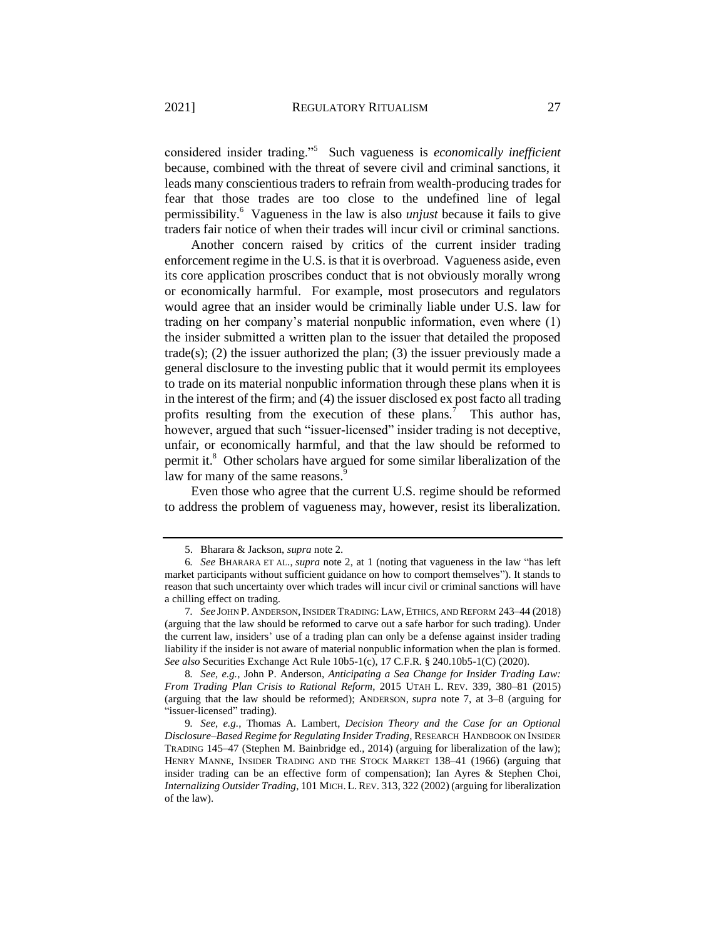considered insider trading."<sup>5</sup> Such vagueness is *economically inefficient* because, combined with the threat of severe civil and criminal sanctions, it leads many conscientious traders to refrain from wealth-producing trades for fear that those trades are too close to the undefined line of legal permissibility.<sup>6</sup> Vagueness in the law is also *unjust* because it fails to give traders fair notice of when their trades will incur civil or criminal sanctions.

Another concern raised by critics of the current insider trading enforcement regime in the U.S. is that it is overbroad. Vagueness aside, even its core application proscribes conduct that is not obviously morally wrong or economically harmful. For example, most prosecutors and regulators would agree that an insider would be criminally liable under U.S. law for trading on her company's material nonpublic information, even where (1) the insider submitted a written plan to the issuer that detailed the proposed trade(s); (2) the issuer authorized the plan; (3) the issuer previously made a general disclosure to the investing public that it would permit its employees to trade on its material nonpublic information through these plans when it is in the interest of the firm; and (4) the issuer disclosed ex post facto all trading profits resulting from the execution of these plans.<sup>7</sup> This author has, however, argued that such "issuer-licensed" insider trading is not deceptive, unfair, or economically harmful, and that the law should be reformed to permit it.<sup>8</sup> Other scholars have argued for some similar liberalization of the law for many of the same reasons.<sup>9</sup>

<span id="page-2-1"></span><span id="page-2-0"></span>Even those who agree that the current U.S. regime should be reformed to address the problem of vagueness may, however, resist its liberalization.

<span id="page-2-2"></span><sup>5.</sup> Bharara & Jackson, *supra* not[e 2.](#page-1-0)

<sup>6</sup>*. See* BHARARA ET AL., *supra* note [2,](#page-1-0) at 1 (noting that vagueness in the law "has left market participants without sufficient guidance on how to comport themselves"). It stands to reason that such uncertainty over which trades will incur civil or criminal sanctions will have a chilling effect on trading.

<sup>7</sup>*. See* JOHN P. ANDERSON,INSIDER TRADING: LAW, ETHICS, AND REFORM 243–44 (2018) (arguing that the law should be reformed to carve out a safe harbor for such trading). Under the current law, insiders' use of a trading plan can only be a defense against insider trading liability if the insider is not aware of material nonpublic information when the plan is formed. *See also* Securities Exchange Act Rule 10b5-1(c), 17 C.F.R. § 240.10b5-1(C) (2020).

<sup>8</sup>*. See, e.g.*, John P. Anderson, *Anticipating a Sea Change for Insider Trading Law: From Trading Plan Crisis to Rational Reform*, 2015 UTAH L. REV. 339, 380–81 (2015) (arguing that the law should be reformed); ANDERSON, *supra* note [7,](#page-2-0) at 3–8 (arguing for "issuer-licensed" trading).

<sup>9</sup>*. See*, *e.g.*, Thomas A. Lambert, *Decision Theory and the Case for an Optional Disclosure–Based Regime for Regulating Insider Trading*, RESEARCH HANDBOOK ON INSIDER TRADING 145–47 (Stephen M. Bainbridge ed., 2014) (arguing for liberalization of the law); HENRY MANNE, INSIDER TRADING AND THE STOCK MARKET 138–41 (1966) (arguing that insider trading can be an effective form of compensation); Ian Ayres & Stephen Choi, *Internalizing Outsider Trading*, 101 MICH. L.REV. 313, 322 (2002) (arguing for liberalization of the law).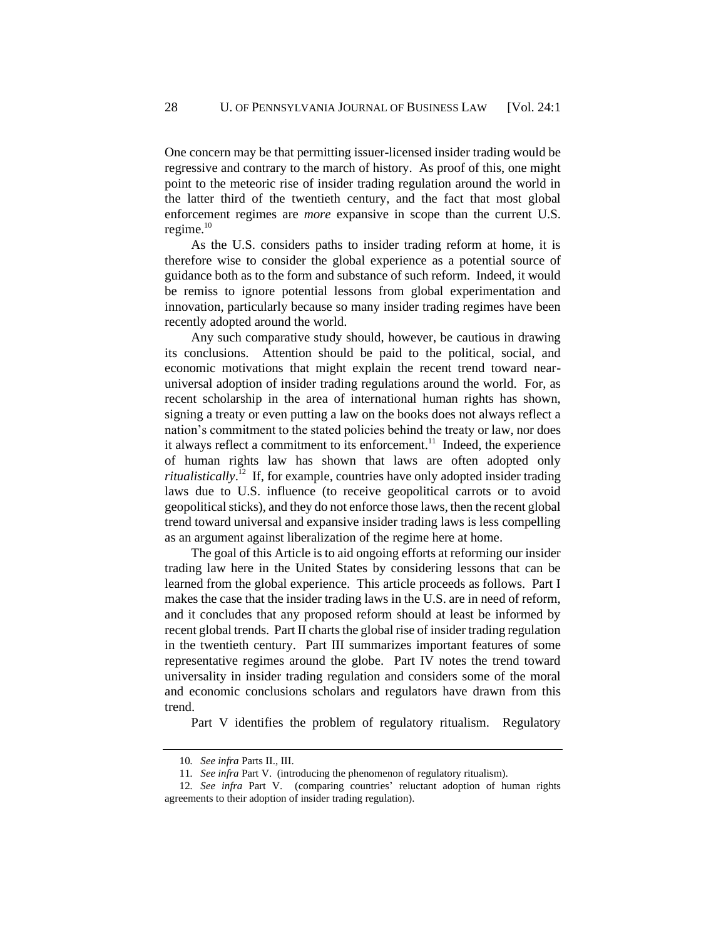One concern may be that permitting issuer-licensed insider trading would be regressive and contrary to the march of history. As proof of this, one might point to the meteoric rise of insider trading regulation around the world in the latter third of the twentieth century, and the fact that most global enforcement regimes are *more* expansive in scope than the current U.S. regime. $10$ 

As the U.S. considers paths to insider trading reform at home, it is therefore wise to consider the global experience as a potential source of guidance both as to the form and substance of such reform. Indeed, it would be remiss to ignore potential lessons from global experimentation and innovation, particularly because so many insider trading regimes have been recently adopted around the world.

Any such comparative study should, however, be cautious in drawing its conclusions. Attention should be paid to the political, social, and economic motivations that might explain the recent trend toward nearuniversal adoption of insider trading regulations around the world. For, as recent scholarship in the area of international human rights has shown, signing a treaty or even putting a law on the books does not always reflect a nation's commitment to the stated policies behind the treaty or law, nor does it always reflect a commitment to its enforcement.<sup>11</sup> Indeed, the experience of human rights law has shown that laws are often adopted only *ritualistically*. 12 If, for example, countries have only adopted insider trading laws due to U.S. influence (to receive geopolitical carrots or to avoid geopolitical sticks), and they do not enforce those laws, then the recent global trend toward universal and expansive insider trading laws is less compelling as an argument against liberalization of the regime here at home.

The goal of this Article is to aid ongoing efforts at reforming our insider trading law here in the United States by considering lessons that can be learned from the global experience. This article proceeds as follows. Part I makes the case that the insider trading laws in the U.S. are in need of reform, and it concludes that any proposed reform should at least be informed by recent global trends. Part II charts the global rise of insider trading regulation in the twentieth century. Part III summarizes important features of some representative regimes around the globe. Part IV notes the trend toward universality in insider trading regulation and considers some of the moral and economic conclusions scholars and regulators have drawn from this trend.

Part V identifies the problem of regulatory ritualism. Regulatory

<sup>10</sup>*. See infra* Parts [II.,](#page-11-0) [III.](#page-17-0) 

<sup>11</sup>*. See infra* Par[t V. \(](#page-40-0)introducing the phenomenon of regulatory ritualism).

<sup>12</sup>*. See infra* Part [V.](#page-40-0) (comparing countries' reluctant adoption of human rights agreements to their adoption of insider trading regulation).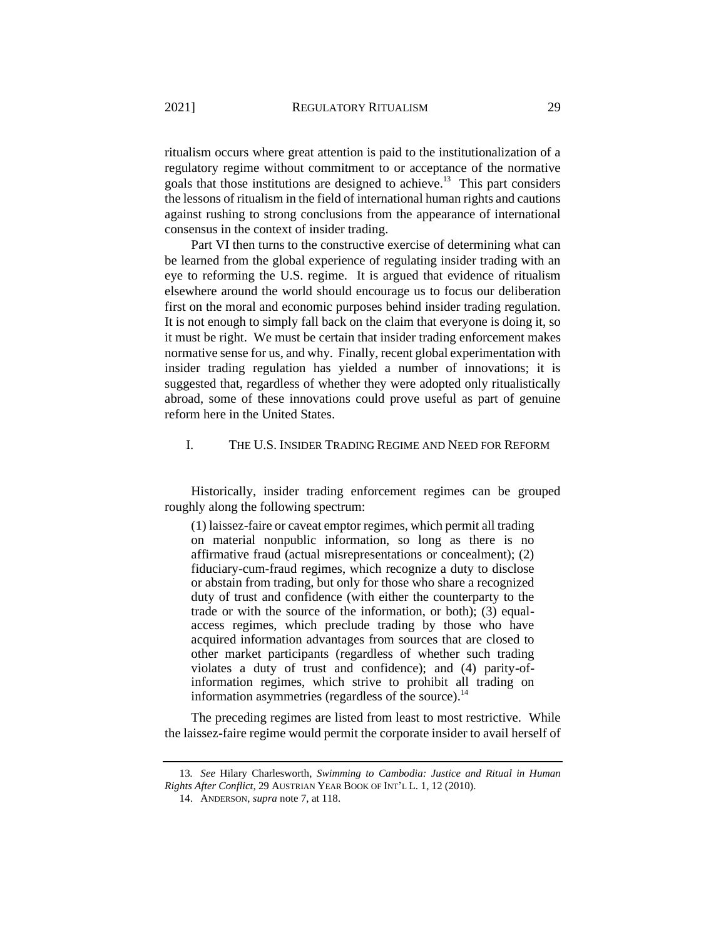<span id="page-4-1"></span>ritualism occurs where great attention is paid to the institutionalization of a regulatory regime without commitment to or acceptance of the normative goals that those institutions are designed to achieve.<sup>13</sup> This part considers the lessons of ritualism in the field of international human rights and cautions against rushing to strong conclusions from the appearance of international consensus in the context of insider trading.

Part VI then turns to the constructive exercise of determining what can be learned from the global experience of regulating insider trading with an eye to reforming the U.S. regime. It is argued that evidence of ritualism elsewhere around the world should encourage us to focus our deliberation first on the moral and economic purposes behind insider trading regulation. It is not enough to simply fall back on the claim that everyone is doing it, so it must be right. We must be certain that insider trading enforcement makes normative sense for us, and why. Finally, recent global experimentation with insider trading regulation has yielded a number of innovations; it is suggested that, regardless of whether they were adopted only ritualistically abroad, some of these innovations could prove useful as part of genuine reform here in the United States.

# <span id="page-4-0"></span>I. THE U.S. INSIDER TRADING REGIME AND NEED FOR REFORM

Historically, insider trading enforcement regimes can be grouped roughly along the following spectrum:

(1) laissez-faire or caveat emptor regimes, which permit all trading on material nonpublic information, so long as there is no affirmative fraud (actual misrepresentations or concealment); (2) fiduciary-cum-fraud regimes, which recognize a duty to disclose or abstain from trading, but only for those who share a recognized duty of trust and confidence (with either the counterparty to the trade or with the source of the information, or both); (3) equalaccess regimes, which preclude trading by those who have acquired information advantages from sources that are closed to other market participants (regardless of whether such trading violates a duty of trust and confidence); and (4) parity-ofinformation regimes, which strive to prohibit all trading on information asymmetries (regardless of the source).<sup>14</sup>

The preceding regimes are listed from least to most restrictive. While the laissez-faire regime would permit the corporate insider to avail herself of

<sup>13</sup>*. See* Hilary Charlesworth, *Swimming to Cambodia: Justice and Ritual in Human Rights After Conflict*, 29 AUSTRIAN YEAR BOOK OF INT'L L. 1, 12 (2010).

<sup>14.</sup> ANDERSON, *supra* note [7,](#page-2-0) at 118.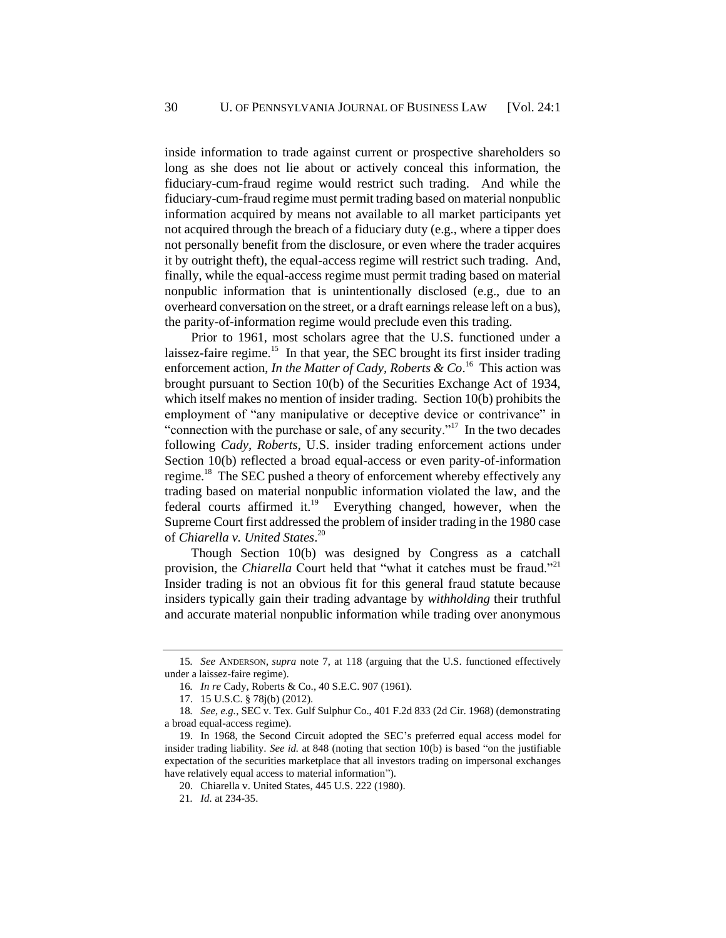inside information to trade against current or prospective shareholders so long as she does not lie about or actively conceal this information, the fiduciary-cum-fraud regime would restrict such trading. And while the fiduciary-cum-fraud regime must permit trading based on material nonpublic information acquired by means not available to all market participants yet not acquired through the breach of a fiduciary duty (e.g., where a tipper does not personally benefit from the disclosure, or even where the trader acquires it by outright theft), the equal-access regime will restrict such trading. And, finally, while the equal-access regime must permit trading based on material nonpublic information that is unintentionally disclosed (e.g., due to an overheard conversation on the street, or a draft earnings release left on a bus), the parity-of-information regime would preclude even this trading.

Prior to 1961, most scholars agree that the U.S. functioned under a laissez-faire regime.<sup>15</sup> In that year, the SEC brought its first insider trading enforcement action, *In the Matter of Cady*, *Roberts & Co*.<sup>16</sup> This action was brought pursuant to Section 10(b) of the Securities Exchange Act of 1934, which itself makes no mention of insider trading. Section 10(b) prohibits the employment of "any manipulative or deceptive device or contrivance" in "connection with the purchase or sale, of any security."<sup>17</sup> In the two decades following *Cady, Roberts*, U.S. insider trading enforcement actions under Section 10(b) reflected a broad equal-access or even parity-of-information regime.<sup>18</sup> The SEC pushed a theory of enforcement whereby effectively any trading based on material nonpublic information violated the law, and the federal courts affirmed it.<sup>19</sup> Everything changed, however, when the Supreme Court first addressed the problem of insider trading in the 1980 case of *Chiarella v. United States*. 20

Though Section 10(b) was designed by Congress as a catchall provision, the *Chiarella* Court held that "what it catches must be fraud."<sup>21</sup> Insider trading is not an obvious fit for this general fraud statute because insiders typically gain their trading advantage by *withholding* their truthful and accurate material nonpublic information while trading over anonymous

<sup>15</sup>*. See* ANDERSON, *supra* note [7,](#page-2-0) at 118 (arguing that the U.S. functioned effectively under a laissez-faire regime).

<sup>16</sup>*. In re* Cady, Roberts & Co., 40 S.E.C. 907 (1961).

<sup>17.</sup> 15 U.S.C. § 78j(b) (2012).

<sup>18</sup>*. See, e.g.*, SEC v. Tex. Gulf Sulphur Co., 401 F.2d 833 (2d Cir. 1968) (demonstrating a broad equal-access regime).

<sup>19.</sup> In 1968, the Second Circuit adopted the SEC's preferred equal access model for insider trading liability. *See id.* at 848 (noting that section 10(b) is based "on the justifiable expectation of the securities marketplace that all investors trading on impersonal exchanges have relatively equal access to material information").

<sup>20.</sup> Chiarella v. United States, 445 U.S. 222 (1980).

<sup>21</sup>*. Id.* at 234-35.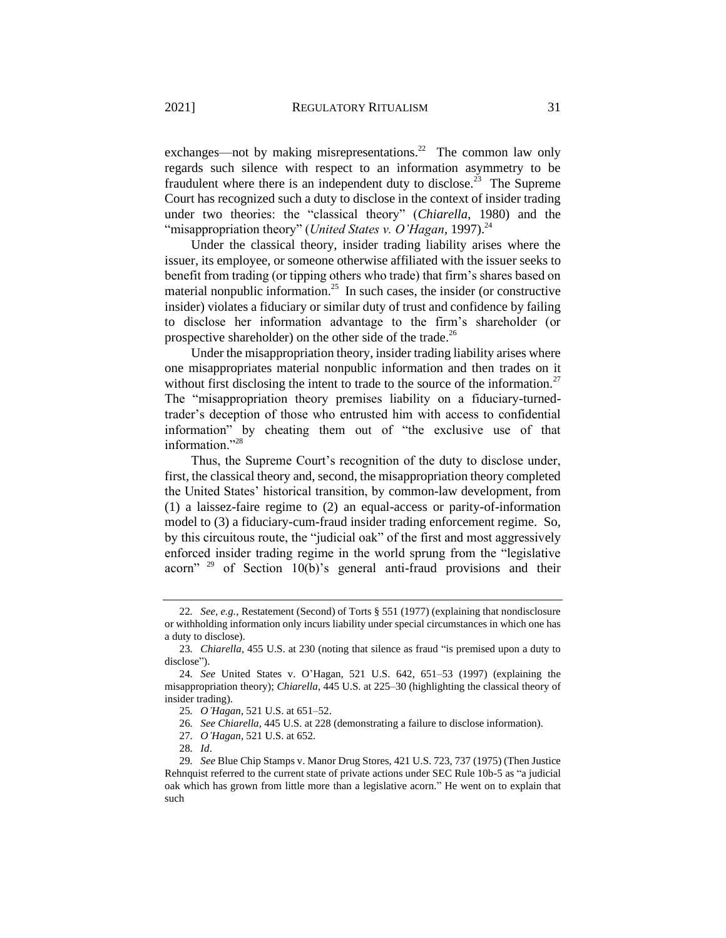exchanges—not by making misrepresentations.<sup>22</sup> The common law only regards such silence with respect to an information asymmetry to be fraudulent where there is an independent duty to disclose.<sup>23</sup> The Supreme Court has recognized such a duty to disclose in the context of insider trading under two theories: the "classical theory" (*Chiarella*, 1980) and the "misappropriation theory" (*United States v. O'Hagan*, 1997).<sup>24</sup>

Under the classical theory, insider trading liability arises where the issuer, its employee, or someone otherwise affiliated with the issuer seeks to benefit from trading (or tipping others who trade) that firm's shares based on material nonpublic information.<sup>25</sup> In such cases, the insider (or constructive insider) violates a fiduciary or similar duty of trust and confidence by failing to disclose her information advantage to the firm's shareholder (or prospective shareholder) on the other side of the trade.<sup>26</sup>

Under the misappropriation theory, insider trading liability arises where one misappropriates material nonpublic information and then trades on it without first disclosing the intent to trade to the source of the information.<sup>27</sup> The "misappropriation theory premises liability on a fiduciary-turnedtrader's deception of those who entrusted him with access to confidential information" by cheating them out of "the exclusive use of that information."<sup>28</sup>

Thus, the Supreme Court's recognition of the duty to disclose under, first, the classical theory and, second, the misappropriation theory completed the United States' historical transition, by common-law development, from (1) a laissez-faire regime to (2) an equal-access or parity-of-information model to (3) a fiduciary-cum-fraud insider trading enforcement regime. So, by this circuitous route, the "judicial oak" of the first and most aggressively enforced insider trading regime in the world sprung from the "legislative acorn"  $29$  of Section 10(b)'s general anti-fraud provisions and their

<sup>22</sup>*. See, e.g.*, Restatement (Second) of Torts § 551 (1977) (explaining that nondisclosure or withholding information only incurs liability under special circumstances in which one has a duty to disclose).

<sup>23</sup>*. Chiarella*, 455 U.S. at 230 (noting that silence as fraud "is premised upon a duty to disclose").

<sup>24</sup>*. See* United States v. O'Hagan, 521 U.S. 642, 651–53 (1997) (explaining the misappropriation theory); *Chiarella*, 445 U.S. at 225–30 (highlighting the classical theory of insider trading).

<sup>25</sup>*. O'Hagan*, 521 U.S. at 651–52.

<sup>26</sup>*. See Chiarella*, 445 U.S. at 228 (demonstrating a failure to disclose information).

<sup>27</sup>*. O'Hagan*, 521 U.S. at 652.

<sup>28</sup>*. Id*.

<sup>29</sup>*. See* Blue Chip Stamps v. Manor Drug Stores, 421 U.S. 723, 737 (1975) (Then Justice Rehnquist referred to the current state of private actions under SEC Rule 10b-5 as "a judicial oak which has grown from little more than a legislative acorn." He went on to explain that such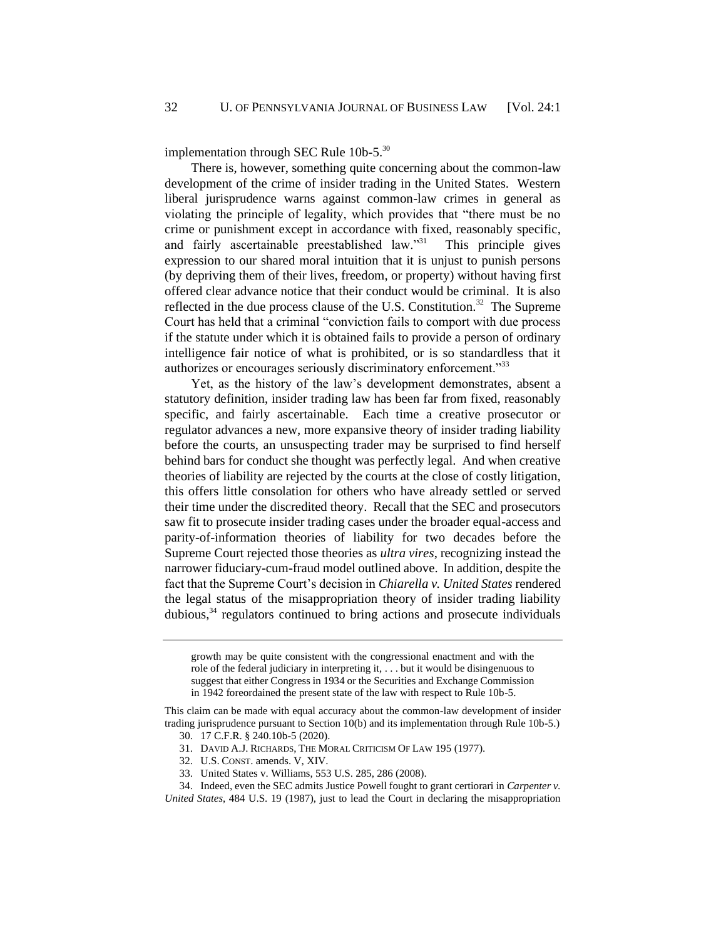implementation through SEC Rule 10b-5.<sup>30</sup>

There is, however, something quite concerning about the common-law development of the crime of insider trading in the United States. Western liberal jurisprudence warns against common-law crimes in general as violating the principle of legality, which provides that "there must be no crime or punishment except in accordance with fixed, reasonably specific, and fairly ascertainable preestablished law."<sup>31</sup> This principle gives expression to our shared moral intuition that it is unjust to punish persons (by depriving them of their lives, freedom, or property) without having first offered clear advance notice that their conduct would be criminal. It is also reflected in the due process clause of the U.S. Constitution.<sup>32</sup> The Supreme Court has held that a criminal "conviction fails to comport with due process if the statute under which it is obtained fails to provide a person of ordinary intelligence fair notice of what is prohibited, or is so standardless that it authorizes or encourages seriously discriminatory enforcement."<sup>33</sup>

Yet, as the history of the law's development demonstrates, absent a statutory definition, insider trading law has been far from fixed, reasonably specific, and fairly ascertainable. Each time a creative prosecutor or regulator advances a new, more expansive theory of insider trading liability before the courts, an unsuspecting trader may be surprised to find herself behind bars for conduct she thought was perfectly legal. And when creative theories of liability are rejected by the courts at the close of costly litigation, this offers little consolation for others who have already settled or served their time under the discredited theory. Recall that the SEC and prosecutors saw fit to prosecute insider trading cases under the broader equal-access and parity-of-information theories of liability for two decades before the Supreme Court rejected those theories as *ultra vires*, recognizing instead the narrower fiduciary-cum-fraud model outlined above. In addition, despite the fact that the Supreme Court's decision in *Chiarella v. United States* rendered the legal status of the misappropriation theory of insider trading liability dubious, $34$  regulators continued to bring actions and prosecute individuals

growth may be quite consistent with the congressional enactment and with the role of the federal judiciary in interpreting it, . . . but it would be disingenuous to suggest that either Congress in 1934 or the Securities and Exchange Commission in 1942 foreordained the present state of the law with respect to Rule 10b-5.

This claim can be made with equal accuracy about the common-law development of insider trading jurisprudence pursuant to Section 10(b) and its implementation through Rule 10b-5.)

<sup>30.</sup> 17 C.F.R. § 240.10b-5 (2020).

<sup>31.</sup> DAVID A.J. RICHARDS, THE MORAL CRITICISM OF LAW 195 (1977).

<sup>32.</sup> U.S. CONST. amends. V, XIV.

<sup>33.</sup> United States v. Williams, 553 U.S. 285, 286 (2008).

<sup>34.</sup> Indeed, even the SEC admits Justice Powell fought to grant certiorari in *Carpenter v. United States*, 484 U.S. 19 (1987), just to lead the Court in declaring the misappropriation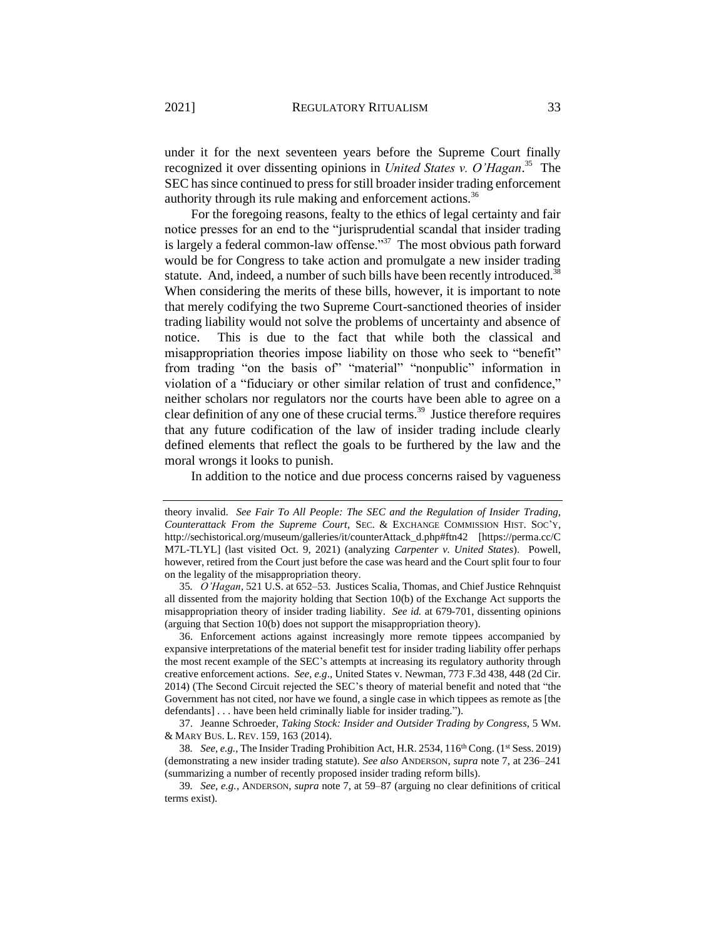under it for the next seventeen years before the Supreme Court finally recognized it over dissenting opinions in *United States v. O'Hagan*. 35 The SEC has since continued to press for still broader insider trading enforcement authority through its rule making and enforcement actions.<sup>36</sup>

For the foregoing reasons, fealty to the ethics of legal certainty and fair notice presses for an end to the "jurisprudential scandal that insider trading is largely a federal common-law offense."<sup>37</sup> The most obvious path forward would be for Congress to take action and promulgate a new insider trading statute. And, indeed, a number of such bills have been recently introduced.<sup>38</sup> When considering the merits of these bills, however, it is important to note that merely codifying the two Supreme Court-sanctioned theories of insider trading liability would not solve the problems of uncertainty and absence of notice. This is due to the fact that while both the classical and misappropriation theories impose liability on those who seek to "benefit" from trading "on the basis of" "material" "nonpublic" information in violation of a "fiduciary or other similar relation of trust and confidence," neither scholars nor regulators nor the courts have been able to agree on a clear definition of any one of these crucial terms.<sup>39</sup> Justice therefore requires that any future codification of the law of insider trading include clearly defined elements that reflect the goals to be furthered by the law and the moral wrongs it looks to punish.

In addition to the notice and due process concerns raised by vagueness

theory invalid. *See Fair To All People: The SEC and the Regulation of Insider Trading, Counterattack From the Supreme Court*, SEC. & EXCHANGE COMMISSION HIST. SOC'Y, http://sechistorical.org/museum/galleries/it/counterAttack\_d.php#ftn42 [https://perma.cc/C M7L-TLYL] (last visited Oct. 9, 2021) (analyzing *Carpenter v. United States*). Powell, however, retired from the Court just before the case was heard and the Court split four to four on the legality of the misappropriation theory.

<sup>35</sup>*. O'Hagan*, 521 U.S. at 652–53. Justices Scalia, Thomas, and Chief Justice Rehnquist all dissented from the majority holding that Section 10(b) of the Exchange Act supports the misappropriation theory of insider trading liability. *See id.* at 679-701, dissenting opinions (arguing that Section 10(b) does not support the misappropriation theory).

<sup>36.</sup> Enforcement actions against increasingly more remote tippees accompanied by expansive interpretations of the material benefit test for insider trading liability offer perhaps the most recent example of the SEC's attempts at increasing its regulatory authority through creative enforcement actions. *See, e.g*., United States v. Newman, 773 F.3d 438, 448 (2d Cir. 2014) (The Second Circuit rejected the SEC's theory of material benefit and noted that "the Government has not cited, nor have we found, a single case in which tippees as remote as [the defendants] . . . have been held criminally liable for insider trading.").

<sup>37.</sup> Jeanne Schroeder, *Taking Stock: Insider and Outsider Trading by Congress*, 5 WM. & MARY BUS. L. REV. 159, 163 (2014).

<sup>38.</sup> See, e.g., The Insider Trading Prohibition Act, H.R. 2534, 116<sup>th</sup> Cong. (1<sup>st</sup> Sess. 2019) (demonstrating a new insider trading statute). *See also* ANDERSON, *supra* not[e 7,](#page-2-0) at 236–241 (summarizing a number of recently proposed insider trading reform bills).

<sup>39</sup>*. See, e.g.*, ANDERSON, *supra* not[e 7,](#page-2-0) at 59–87 (arguing no clear definitions of critical terms exist).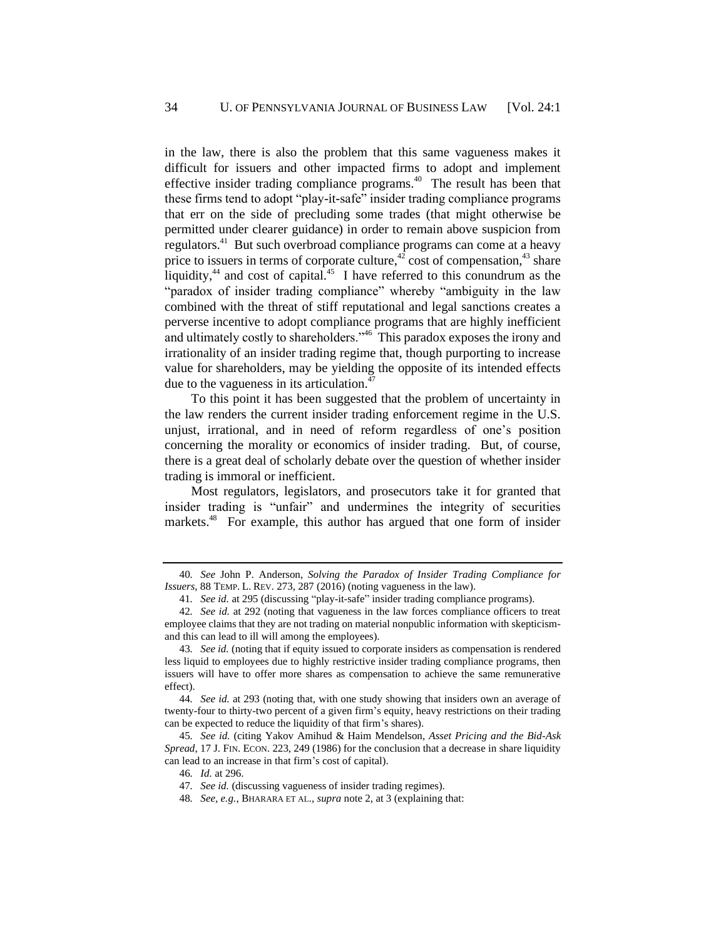<span id="page-9-0"></span>in the law, there is also the problem that this same vagueness makes it difficult for issuers and other impacted firms to adopt and implement effective insider trading compliance programs.<sup>40</sup> The result has been that these firms tend to adopt "play-it-safe" insider trading compliance programs that err on the side of precluding some trades (that might otherwise be permitted under clearer guidance) in order to remain above suspicion from regulators.<sup>41</sup> But such overbroad compliance programs can come at a heavy price to issuers in terms of corporate culture,<sup>42</sup> cost of compensation,<sup>43</sup> share liquidity, $44$  and cost of capital. $45$  I have referred to this conundrum as the "paradox of insider trading compliance" whereby "ambiguity in the law combined with the threat of stiff reputational and legal sanctions creates a perverse incentive to adopt compliance programs that are highly inefficient and ultimately costly to shareholders."<sup>46</sup> This paradox exposes the irony and irrationality of an insider trading regime that, though purporting to increase value for shareholders, may be yielding the opposite of its intended effects due to the vagueness in its articulation.<sup>47</sup>

To this point it has been suggested that the problem of uncertainty in the law renders the current insider trading enforcement regime in the U.S. unjust, irrational, and in need of reform regardless of one's position concerning the morality or economics of insider trading. But, of course, there is a great deal of scholarly debate over the question of whether insider trading is immoral or inefficient.

Most regulators, legislators, and prosecutors take it for granted that insider trading is "unfair" and undermines the integrity of securities markets.<sup>48</sup> For example, this author has argued that one form of insider

<sup>40</sup>*. See* John P. Anderson, *Solving the Paradox of Insider Trading Compliance for Issuers*, 88 TEMP. L. REV. 273, 287 (2016) (noting vagueness in the law).

<sup>41</sup>*. See id.* at 295 (discussing "play-it-safe" insider trading compliance programs).

<sup>42</sup>*. See id.* at 292 (noting that vagueness in the law forces compliance officers to treat employee claims that they are not trading on material nonpublic information with skepticismand this can lead to ill will among the employees).

<sup>43</sup>*. See id.* (noting that if equity issued to corporate insiders as compensation is rendered less liquid to employees due to highly restrictive insider trading compliance programs, then issuers will have to offer more shares as compensation to achieve the same remunerative effect).

<sup>44</sup>*. See id.* at 293 (noting that, with one study showing that insiders own an average of twenty-four to thirty-two percent of a given firm's equity, heavy restrictions on their trading can be expected to reduce the liquidity of that firm's shares).

<sup>45</sup>*. See id.* (citing Yakov Amihud & Haim Mendelson, *Asset Pricing and the Bid-Ask Spread*, 17 J. FIN. ECON. 223, 249 (1986) for the conclusion that a decrease in share liquidity can lead to an increase in that firm's cost of capital).

<sup>46</sup>*. Id.* at 296.

<sup>47</sup>*. See id.* (discussing vagueness of insider trading regimes).

<sup>48</sup>*. See, e.g.*, BHARARA ET AL., *supra* note [2,](#page-1-0) at 3 (explaining that: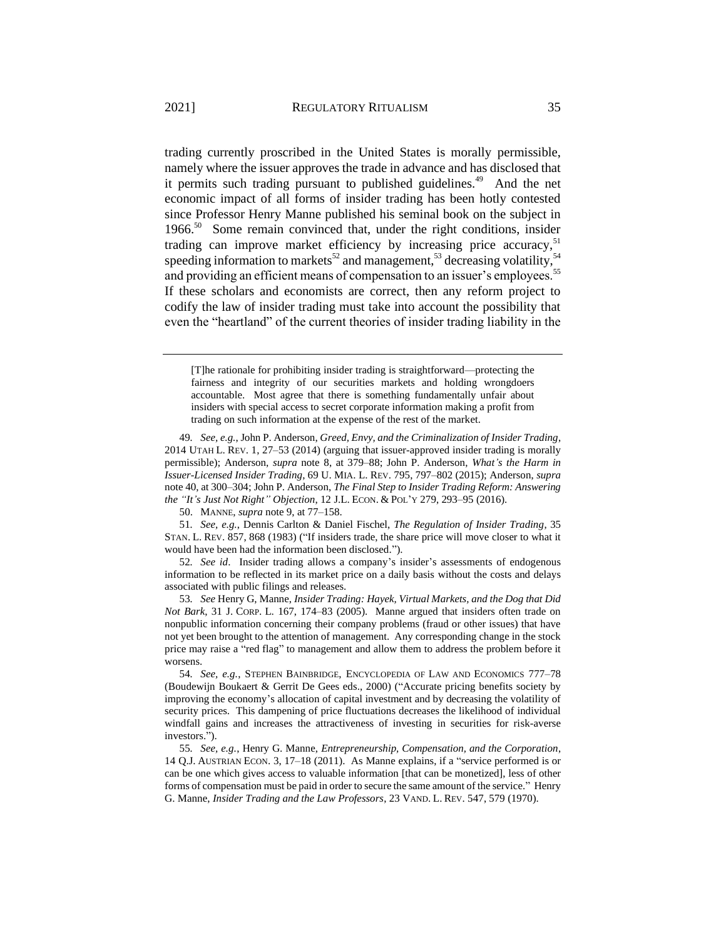trading currently proscribed in the United States is morally permissible, namely where the issuer approves the trade in advance and has disclosed that it permits such trading pursuant to published guidelines.<sup>49</sup> And the net economic impact of all forms of insider trading has been hotly contested since Professor Henry Manne published his seminal book on the subject in 1966.<sup>50</sup> Some remain convinced that, under the right conditions, insider trading can improve market efficiency by increasing price accuracy, $51$ speeding information to markets<sup>52</sup> and management,<sup>53</sup> decreasing volatility,<sup>54</sup> and providing an efficient means of compensation to an issuer's employees.<sup>55</sup> If these scholars and economists are correct, then any reform project to codify the law of insider trading must take into account the possibility that even the "heartland" of the current theories of insider trading liability in the

[T]he rationale for prohibiting insider trading is straightforward—protecting the fairness and integrity of our securities markets and holding wrongdoers accountable. Most agree that there is something fundamentally unfair about insiders with special access to secret corporate information making a profit from trading on such information at the expense of the rest of the market.

49*. See, e.g.*, John P. Anderson, *Greed, Envy, and the Criminalization of Insider Trading*, 2014 UTAH L. REV. 1, 27–53 (2014) (arguing that issuer-approved insider trading is morally permissible); Anderson, *supra* note [8,](#page-2-1) at 379–88; John P. Anderson, *What's the Harm in Issuer-Licensed Insider Trading*, 69 U. MIA. L. REV. 795, 797–802 (2015); Anderson, *supra* not[e 40,](#page-9-0) at 300–304; John P. Anderson, *The Final Step to Insider Trading Reform: Answering the "It's Just Not Right" Objection*, 12 J.L. ECON. & POL'Y 279, 293–95 (2016).

50. MANNE, *supra* not[e 9,](#page-2-2) at 77–158.

51*. See, e.g.*, Dennis Carlton & Daniel Fischel, *The Regulation of Insider Trading*, 35 STAN. L. REV. 857, 868 (1983) ("If insiders trade, the share price will move closer to what it would have been had the information been disclosed.").

52*. See id*.Insider trading allows a company's insider's assessments of endogenous information to be reflected in its market price on a daily basis without the costs and delays associated with public filings and releases.

53*. See* Henry G, Manne, *Insider Trading: Hayek, Virtual Markets, and the Dog that Did Not Bark*, 31 J. CORP. L. 167, 174–83 (2005). Manne argued that insiders often trade on nonpublic information concerning their company problems (fraud or other issues) that have not yet been brought to the attention of management. Any corresponding change in the stock price may raise a "red flag" to management and allow them to address the problem before it worsens.

54*. See, e.g.*, STEPHEN BAINBRIDGE, ENCYCLOPEDIA OF LAW AND ECONOMICS 777–78 (Boudewijn Boukaert & Gerrit De Gees eds., 2000) ("Accurate pricing benefits society by improving the economy's allocation of capital investment and by decreasing the volatility of security prices. This dampening of price fluctuations decreases the likelihood of individual windfall gains and increases the attractiveness of investing in securities for risk-averse investors.").

55*. See, e.g.*, Henry G. Manne, *Entrepreneurship, Compensation, and the Corporation*, 14 Q.J. AUSTRIAN ECON. 3, 17–18 (2011). As Manne explains, if a "service performed is or can be one which gives access to valuable information [that can be monetized], less of other forms of compensation must be paid in order to secure the same amount of the service." Henry G. Manne, *Insider Trading and the Law Professors*, 23 VAND. L. REV. 547, 579 (1970).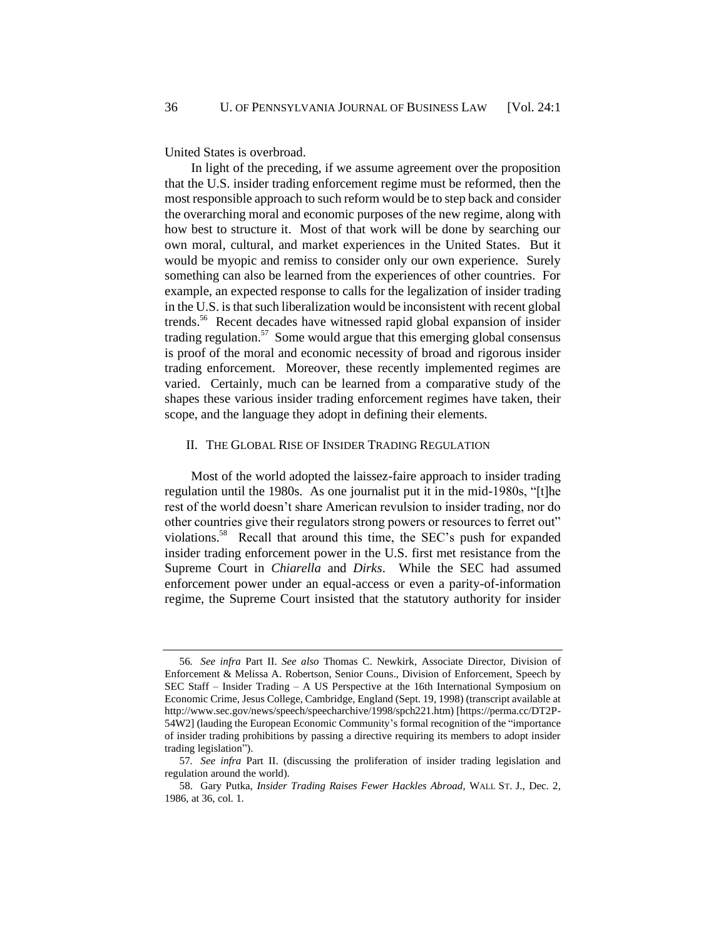United States is overbroad.

In light of the preceding, if we assume agreement over the proposition that the U.S. insider trading enforcement regime must be reformed, then the most responsible approach to such reform would be to step back and consider the overarching moral and economic purposes of the new regime, along with how best to structure it. Most of that work will be done by searching our own moral, cultural, and market experiences in the United States. But it would be myopic and remiss to consider only our own experience. Surely something can also be learned from the experiences of other countries. For example, an expected response to calls for the legalization of insider trading in the U.S. is that such liberalization would be inconsistent with recent global trends.<sup>56</sup> Recent decades have witnessed rapid global expansion of insider trading regulation. $57$  Some would argue that this emerging global consensus is proof of the moral and economic necessity of broad and rigorous insider trading enforcement. Moreover, these recently implemented regimes are varied. Certainly, much can be learned from a comparative study of the shapes these various insider trading enforcement regimes have taken, their scope, and the language they adopt in defining their elements.

## <span id="page-11-1"></span><span id="page-11-0"></span>II. THE GLOBAL RISE OF INSIDER TRADING REGULATION

Most of the world adopted the laissez-faire approach to insider trading regulation until the 1980s. As one journalist put it in the mid-1980s, "[t]he rest of the world doesn't share American revulsion to insider trading, nor do other countries give their regulators strong powers or resources to ferret out" violations.<sup>58</sup> Recall that around this time, the SEC's push for expanded insider trading enforcement power in the U.S. first met resistance from the Supreme Court in *Chiarella* and *Dirks*. While the SEC had assumed enforcement power under an equal-access or even a parity-of-information regime, the Supreme Court insisted that the statutory authority for insider

<sup>56</sup>*. See infra* Part [II.](#page-11-0) *See also* Thomas C. Newkirk, Associate Director, Division of Enforcement & Melissa A. Robertson, Senior Couns., Division of Enforcement, Speech by SEC Staff – Insider Trading – A US Perspective at the 16th International Symposium on Economic Crime, Jesus College, Cambridge, England (Sept. 19, 1998) (transcript available at http://www.sec.gov/news/speech/speecharchive/1998/spch221.htm) [https://perma.cc/DT2P-54W2] (lauding the European Economic Community's formal recognition of the "importance of insider trading prohibitions by passing a directive requiring its members to adopt insider trading legislation").

<sup>57</sup>*. See infra* Part [II.](#page-11-0) (discussing the proliferation of insider trading legislation and regulation around the world).

<sup>58.</sup> Gary Putka, *Insider Trading Raises Fewer Hackles Abroad*, WALL ST. J., Dec. 2, 1986, at 36, col. 1.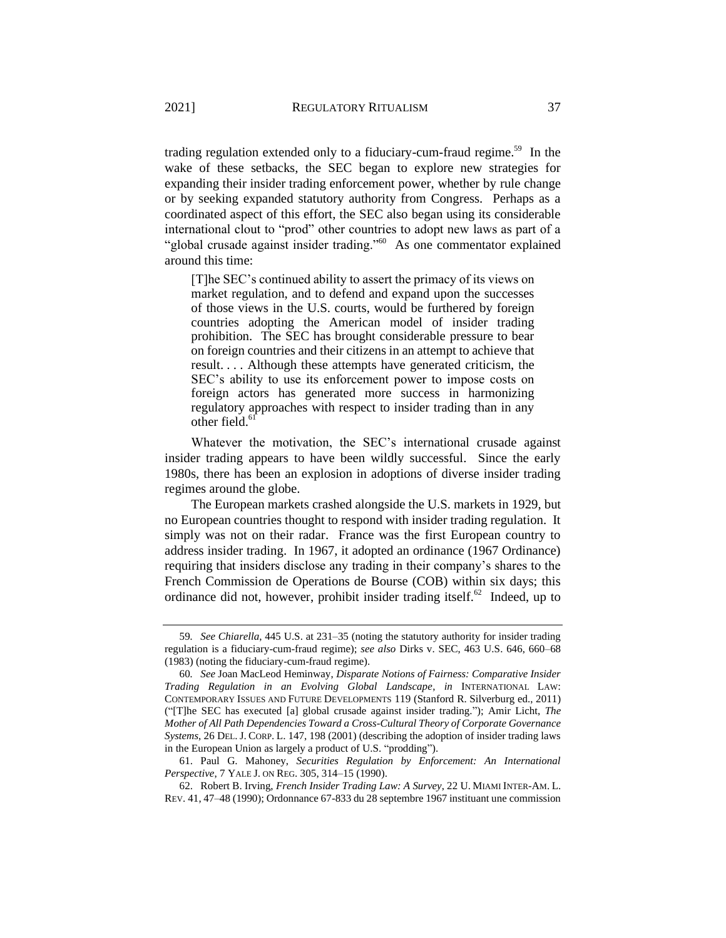trading regulation extended only to a fiduciary-cum-fraud regime.<sup>59</sup> In the wake of these setbacks, the SEC began to explore new strategies for expanding their insider trading enforcement power, whether by rule change or by seeking expanded statutory authority from Congress. Perhaps as a coordinated aspect of this effort, the SEC also began using its considerable international clout to "prod" other countries to adopt new laws as part of a "global crusade against insider trading."<sup>60</sup> As one commentator explained around this time:

<span id="page-12-1"></span>[T]he SEC's continued ability to assert the primacy of its views on market regulation, and to defend and expand upon the successes of those views in the U.S. courts, would be furthered by foreign countries adopting the American model of insider trading prohibition. The SEC has brought considerable pressure to bear on foreign countries and their citizens in an attempt to achieve that result. . . . Although these attempts have generated criticism, the SEC's ability to use its enforcement power to impose costs on foreign actors has generated more success in harmonizing regulatory approaches with respect to insider trading than in any other field.<sup>6</sup>

<span id="page-12-2"></span>Whatever the motivation, the SEC's international crusade against insider trading appears to have been wildly successful. Since the early 1980s, there has been an explosion in adoptions of diverse insider trading regimes around the globe.

The European markets crashed alongside the U.S. markets in 1929, but no European countries thought to respond with insider trading regulation. It simply was not on their radar. France was the first European country to address insider trading. In 1967, it adopted an ordinance (1967 Ordinance) requiring that insiders disclose any trading in their company's shares to the French Commission de Operations de Bourse (COB) within six days; this ordinance did not, however, prohibit insider trading itself. $^{62}$  Indeed, up to

<span id="page-12-0"></span><sup>59</sup>*. See Chiarella*, 445 U.S. at 231–35 (noting the statutory authority for insider trading regulation is a fiduciary-cum-fraud regime); *see also* Dirks v. SEC, 463 U.S. 646, 660–68 (1983) (noting the fiduciary-cum-fraud regime).

<sup>60</sup>*. See* Joan MacLeod Heminway, *Disparate Notions of Fairness: Comparative Insider Trading Regulation in an Evolving Global Landscape*, *in* INTERNATIONAL LAW: CONTEMPORARY ISSUES AND FUTURE DEVELOPMENTS 119 (Stanford R. Silverburg ed., 2011) ("[T]he SEC has executed [a] global crusade against insider trading."); Amir Licht, *The Mother of All Path Dependencies Toward a Cross-Cultural Theory of Corporate Governance Systems*, 26 DEL. J. CORP. L. 147, 198 (2001) (describing the adoption of insider trading laws in the European Union as largely a product of U.S. "prodding").

<sup>61.</sup> Paul G. Mahoney, *Securities Regulation by Enforcement: An International Perspective*, 7 YALE J. ON REG. 305, 314–15 (1990).

<sup>62.</sup> Robert B. Irving, *French Insider Trading Law: A Survey*, 22 U. MIAMI INTER-AM. L. REV. 41, 47–48 (1990); Ordonnance 67-833 du 28 septembre 1967 instituant une commission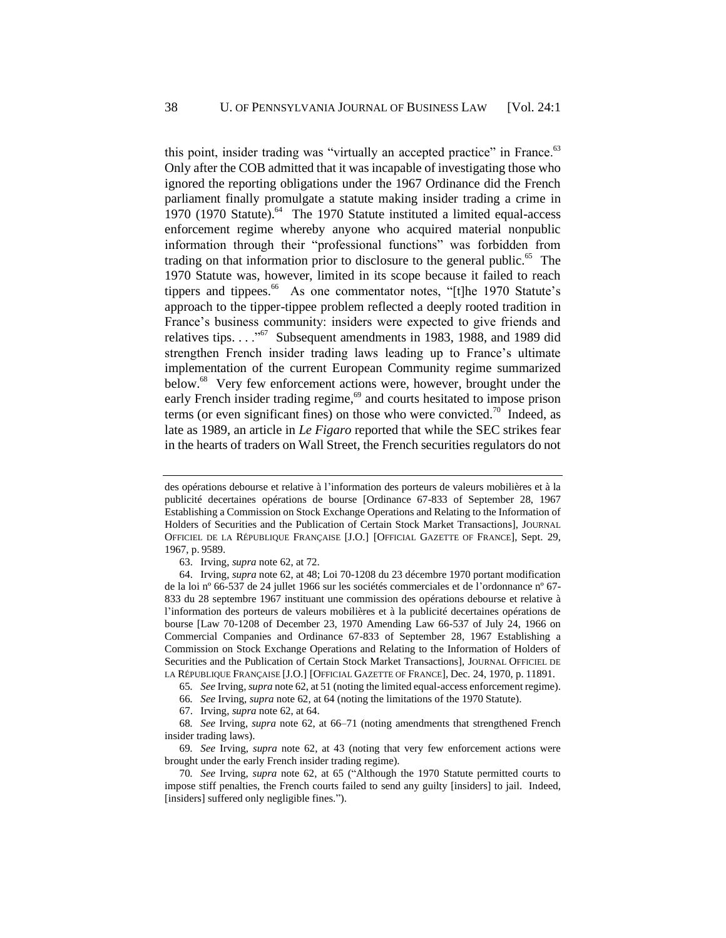this point, insider trading was "virtually an accepted practice" in France.<sup>63</sup> Only after the COB admitted that it was incapable of investigating those who ignored the reporting obligations under the 1967 Ordinance did the French parliament finally promulgate a statute making insider trading a crime in 1970 (1970 Statute).<sup>64</sup> The 1970 Statute instituted a limited equal-access enforcement regime whereby anyone who acquired material nonpublic information through their "professional functions" was forbidden from trading on that information prior to disclosure to the general public.<sup>65</sup> The 1970 Statute was, however, limited in its scope because it failed to reach tippers and tippees.<sup>66</sup> As one commentator notes, "[t]he 1970 Statute's approach to the tipper-tippee problem reflected a deeply rooted tradition in France's business community: insiders were expected to give friends and relatives tips.  $\ldots$ <sup>57</sup> Subsequent amendments in 1983, 1988, and 1989 did strengthen French insider trading laws leading up to France's ultimate implementation of the current European Community regime summarized below.<sup>68</sup> Very few enforcement actions were, however, brought under the early French insider trading regime, $69$  and courts hesitated to impose prison terms (or even significant fines) on those who were convicted.<sup>70</sup> Indeed, as late as 1989, an article in *Le Figaro* reported that while the SEC strikes fear in the hearts of traders on Wall Street, the French securities regulators do not

des opérations debourse et relative à l'information des porteurs de valeurs mobilières et à la publicité decertaines opérations de bourse [Ordinance 67-833 of September 28, 1967 Establishing a Commission on Stock Exchange Operations and Relating to the Information of Holders of Securities and the Publication of Certain Stock Market Transactions], JOURNAL OFFICIEL DE LA RÉPUBLIQUE FRANÇAISE [J.O.] [OFFICIAL GAZETTE OF FRANCE], Sept. 29, 1967, p. 9589.

<sup>63.</sup> Irving, *supra* not[e 62,](#page-12-0) at 72.

<sup>64.</sup> Irving, *supra* not[e 62,](#page-12-0) at 48; Loi 70-1208 du 23 décembre 1970 portant modification de la loi nº 66-537 de 24 jullet 1966 sur les sociétés commerciales et de l'ordonnance nº 67- 833 du 28 septembre 1967 instituant une commission des opérations debourse et relative à l'information des porteurs de valeurs mobilières et à la publicité decertaines opérations de bourse [Law 70-1208 of December 23, 1970 Amending Law 66-537 of July 24, 1966 on Commercial Companies and Ordinance 67-833 of September 28, 1967 Establishing a Commission on Stock Exchange Operations and Relating to the Information of Holders of Securities and the Publication of Certain Stock Market Transactions], JOURNAL OFFICIEL DE LA RÉPUBLIQUE FRANÇAISE [J.O.] [OFFICIAL GAZETTE OF FRANCE], Dec. 24, 1970, p. 11891.

<sup>65</sup>*. See* Irving, *supra* not[e 62,](#page-12-0) at 51 (noting the limited equal-access enforcement regime).

<sup>66</sup>*. See* Irving, *supra* note [62,](#page-12-0) at 64 (noting the limitations of the 1970 Statute).

<sup>67.</sup> Irving, *supra* not[e 62,](#page-12-0) at 64.

<sup>68</sup>*. See* Irving, *supra* note [62,](#page-12-0) at 66–71 (noting amendments that strengthened French insider trading laws).

<sup>69</sup>*. See* Irving, *supra* note [62,](#page-12-0) at 43 (noting that very few enforcement actions were brought under the early French insider trading regime).

<sup>70</sup>*. See* Irving, *supra* note [62,](#page-12-0) at 65 ("Although the 1970 Statute permitted courts to impose stiff penalties, the French courts failed to send any guilty [insiders] to jail. Indeed, [insiders] suffered only negligible fines.").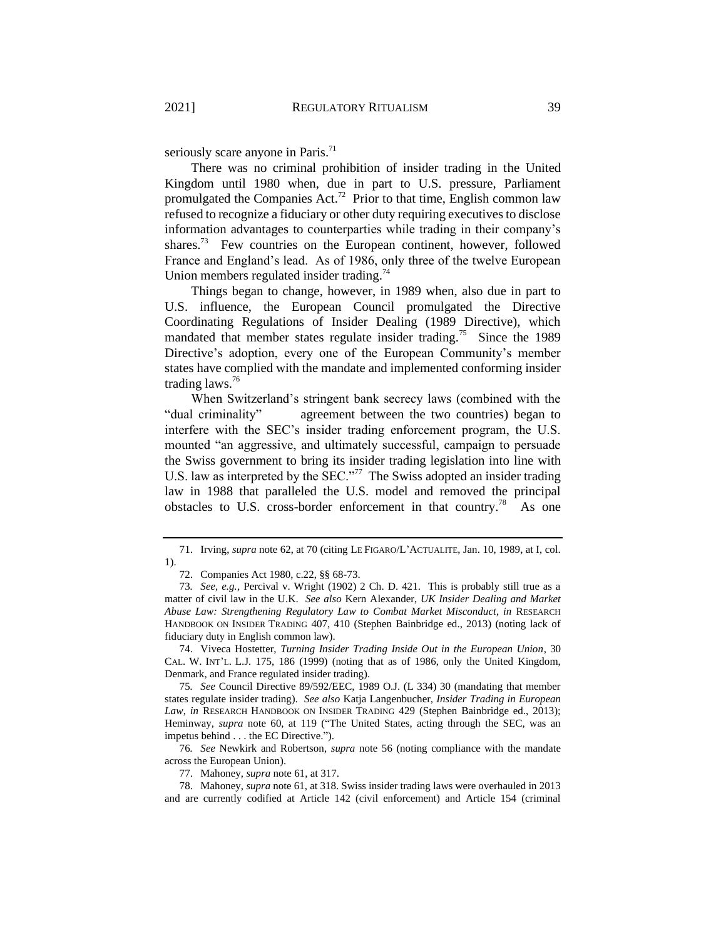seriously scare anyone in Paris.<sup>71</sup>

There was no criminal prohibition of insider trading in the United Kingdom until 1980 when, due in part to U.S. pressure, Parliament promulgated the Companies Act.<sup>72</sup> Prior to that time, English common law refused to recognize a fiduciary or other duty requiring executives to disclose information advantages to counterparties while trading in their company's shares.<sup>73</sup> Few countries on the European continent, however, followed France and England's lead. As of 1986, only three of the twelve European Union members regulated insider trading.<sup>74</sup>

<span id="page-14-1"></span><span id="page-14-0"></span>Things began to change, however, in 1989 when, also due in part to U.S. influence, the European Council promulgated the Directive Coordinating Regulations of Insider Dealing (1989 Directive), which mandated that member states regulate insider trading.<sup>75</sup> Since the 1989 Directive's adoption, every one of the European Community's member states have complied with the mandate and implemented conforming insider trading laws. $76$ 

When Switzerland's stringent bank secrecy laws (combined with the "dual criminality" agreement between the two countries) began to interfere with the SEC's insider trading enforcement program, the U.S. mounted "an aggressive, and ultimately successful, campaign to persuade the Swiss government to bring its insider trading legislation into line with U.S. law as interpreted by the SEC."<sup>77</sup> The Swiss adopted an insider trading law in 1988 that paralleled the U.S. model and removed the principal obstacles to U.S. cross-border enforcement in that country.<sup>78</sup> As one

74. Viveca Hostetter, *Turning Insider Trading Inside Out in the European Union*, 30 CAL. W. INT'L. L.J. 175, 186 (1999) (noting that as of 1986, only the United Kingdom, Denmark, and France regulated insider trading).

<sup>71.</sup> Irving, *supra* not[e 62,](#page-12-0) at 70 (citing LE FIGARO/L'ACTUALITE, Jan. 10, 1989, at I, col. 1).

<sup>72.</sup> Companies Act 1980, c.22, §§ 68-73.

<sup>73</sup>*. See, e.g.*, Percival v. Wright (1902) 2 Ch. D. 421. This is probably still true as a matter of civil law in the U.K. *See also* Kern Alexander, *UK Insider Dealing and Market Abuse Law: Strengthening Regulatory Law to Combat Market Misconduct*, *in* RESEARCH HANDBOOK ON INSIDER TRADING 407, 410 (Stephen Bainbridge ed., 2013) (noting lack of fiduciary duty in English common law).

<sup>75</sup>*. See* Council Directive 89/592/EEC, 1989 O.J. (L 334) 30 (mandating that member states regulate insider trading). *See also* Katja Langenbucher, *Insider Trading in European Law*, *in* RESEARCH HANDBOOK ON INSIDER TRADING 429 (Stephen Bainbridge ed., 2013); Heminway, *supra* note [60,](#page-12-1) at 119 ("The United States, acting through the SEC, was an impetus behind . . . the EC Directive.").

<sup>76</sup>*. See* Newkirk and Robertson, *supra* note [56](#page-11-1) (noting compliance with the mandate across the European Union).

<sup>77.</sup> Mahoney, *supra* not[e 61,](#page-12-2) at 317.

<sup>78.</sup> Mahoney, *supra* note [61,](#page-12-2) at 318. Swiss insider trading laws were overhauled in 2013 and are currently codified at Article 142 (civil enforcement) and Article 154 (criminal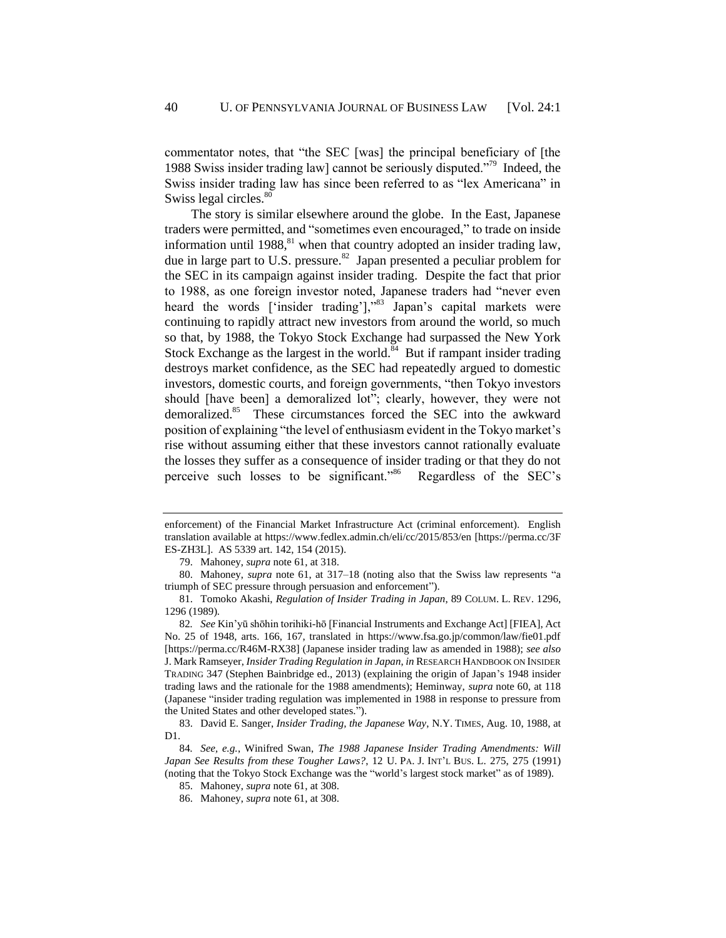commentator notes, that "the SEC [was] the principal beneficiary of [the 1988 Swiss insider trading law] cannot be seriously disputed."<sup>79</sup> Indeed, the Swiss insider trading law has since been referred to as "lex Americana" in Swiss legal circles.<sup>80</sup>

<span id="page-15-3"></span><span id="page-15-2"></span><span id="page-15-1"></span><span id="page-15-0"></span>The story is similar elsewhere around the globe. In the East, Japanese traders were permitted, and "sometimes even encouraged," to trade on inside information until 1988, $81$  when that country adopted an insider trading law, due in large part to U.S. pressure. ${}^{82}$  Japan presented a peculiar problem for the SEC in its campaign against insider trading. Despite the fact that prior to 1988, as one foreign investor noted, Japanese traders had "never even heard the words ['insider trading'],"<sup>83</sup> Japan's capital markets were continuing to rapidly attract new investors from around the world, so much so that, by 1988, the Tokyo Stock Exchange had surpassed the New York Stock Exchange as the largest in the world. $84$  But if rampant insider trading destroys market confidence, as the SEC had repeatedly argued to domestic investors, domestic courts, and foreign governments, "then Tokyo investors should [have been] a demoralized lot"; clearly, however, they were not demoralized.<sup>85</sup> These circumstances forced the SEC into the awkward position of explaining "the level of enthusiasm evident in the Tokyo market's rise without assuming either that these investors cannot rationally evaluate the losses they suffer as a consequence of insider trading or that they do not perceive such losses to be significant."86 Regardless of the SEC's

enforcement) of the Financial Market Infrastructure Act (criminal enforcement). English translation available at https://www.fedlex.admin.ch/eli/cc/2015/853/en [https://perma.cc/3F ES-ZH3L]. AS 5339 art. 142, 154 (2015).

<sup>79.</sup> Mahoney, *supra* not[e 61,](#page-12-2) at 318.

<sup>80.</sup> Mahoney, *supra* note [61,](#page-12-2) at 317–18 (noting also that the Swiss law represents "a triumph of SEC pressure through persuasion and enforcement").

<sup>81.</sup> Tomoko Akashi, *Regulation of Insider Trading in Japan*, 89 COLUM. L. REV. 1296, 1296 (1989).

<sup>82</sup>*. See* Kin'yū shōhin torihiki-hō [Financial Instruments and Exchange Act] [FIEA], Act No. 25 of 1948, arts. 166, 167, translated in https://www.fsa.go.jp/common/law/fie01.pdf [https://perma.cc/R46M-RX38] (Japanese insider trading law as amended in 1988); *see also* J. Mark Ramseyer, *Insider Trading Regulation in Japan*, *in* RESEARCH HANDBOOK ON INSIDER TRADING 347 (Stephen Bainbridge ed., 2013) (explaining the origin of Japan's 1948 insider trading laws and the rationale for the 1988 amendments); Heminway, *supra* note [60,](#page-12-1) at 118 (Japanese "insider trading regulation was implemented in 1988 in response to pressure from the United States and other developed states.").

<sup>83.</sup> David E. Sanger, *Insider Trading, the Japanese Way*, N.Y. TIMES, Aug. 10, 1988, at D1.

<sup>84</sup>*. See, e.g.*, Winifred Swan, *The 1988 Japanese Insider Trading Amendments: Will Japan See Results from these Tougher Laws?*, 12 U. PA. J. INT'L BUS. L. 275, 275 (1991) (noting that the Tokyo Stock Exchange was the "world's largest stock market" as of 1989).

<sup>85.</sup> Mahoney, *supra* not[e 61,](#page-12-2) at 308.

<sup>86.</sup> Mahoney, *supra* not[e 61,](#page-12-2) at 308.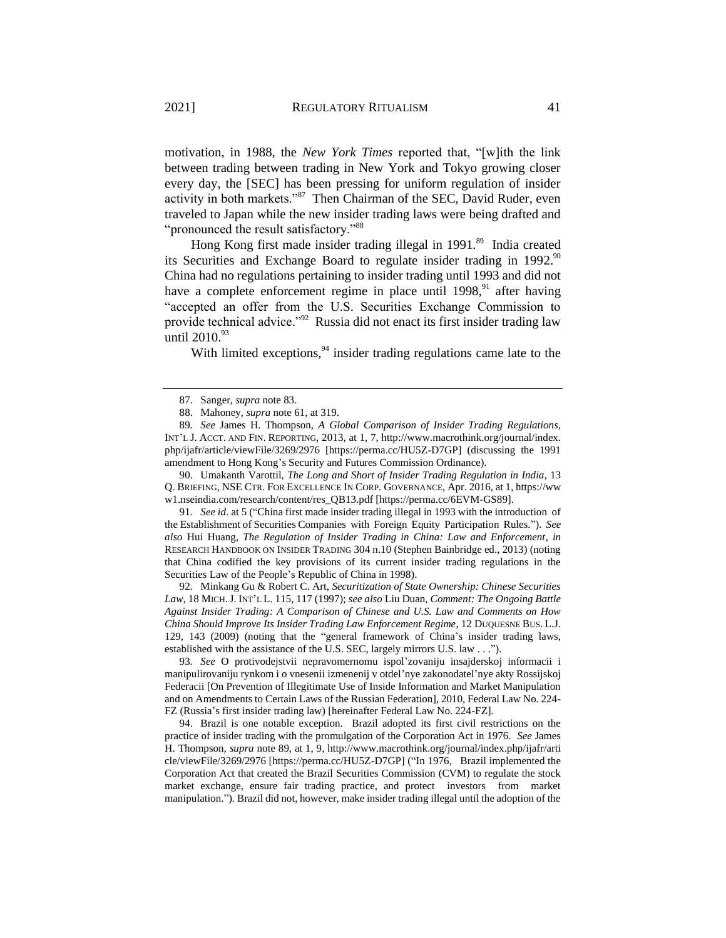motivation, in 1988, the *New York Times* reported that, "[w]ith the link between trading between trading in New York and Tokyo growing closer every day, the [SEC] has been pressing for uniform regulation of insider activity in both markets."<sup>87</sup> Then Chairman of the SEC, David Ruder, even traveled to Japan while the new insider trading laws were being drafted and "pronounced the result satisfactory."<sup>88</sup>

Hong Kong first made insider trading illegal in 1991.<sup>89</sup> India created its Securities and Exchange Board to regulate insider trading in  $1992$ .<sup>90</sup> China had no regulations pertaining to insider trading until 1993 and did not have a complete enforcement regime in place until  $1998<sup>91</sup>$  after having "accepted an offer from the U.S. Securities Exchange Commission to provide technical advice."<sup>92</sup> Russia did not enact its first insider trading law until 2010.93

<span id="page-16-4"></span><span id="page-16-3"></span><span id="page-16-2"></span><span id="page-16-1"></span><span id="page-16-0"></span>With limited exceptions, $94$  insider trading regulations came late to the

90. Umakanth Varottil, *The Long and Short of Insider Trading Regulation in India*, 13 Q. BRIEFING, NSE CTR. FOR EXCELLENCE IN CORP. GOVERNANCE, Apr. 2016, at 1, https://ww w1.nseindia.com/research/content/res\_QB13.pdf [https://perma.cc/6EVM-GS89].

91*. See id*. at 5 ("China first made insider trading illegal in 1993 with the introduction of the Establishment of Securities Companies with Foreign Equity Participation Rules."). *See also* Hui Huang, *The Regulation of Insider Trading in China: Law and Enforcement*, *in* RESEARCH HANDBOOK ON INSIDER TRADING 304 n.10 (Stephen Bainbridge ed., 2013) (noting that China codified the key provisions of its current insider trading regulations in the Securities Law of the People's Republic of China in 1998).

92. Minkang Gu & Robert C. Art, *Securitization of State Ownership: Chinese Securities Law*, 18 MICH.J. INT'L L. 115, 117 (1997); *see also* Liu Duan, *Comment: The Ongoing Battle Against Insider Trading: A Comparison of Chinese and U.S. Law and Comments on How China Should Improve Its Insider Trading Law Enforcement Regime*, 12 DUQUESNE BUS. L.J. 129, 143 (2009) (noting that the "general framework of China's insider trading laws, established with the assistance of the U.S. SEC, largely mirrors U.S. law . . .").

93*. See* O protivodejstvii nepravomernomu ispol'zovaniju insajderskoj informacii i manipulirovaniju rynkom i o vnesenii izmenenij v otdel'nye zakonodatel'nye akty Rossijskoj Federacii [On Prevention of Illegitimate Use of Inside Information and Market Manipulation and on Amendments to Certain Laws of the Russian Federation], 2010, Federal Law No. 224- FZ (Russia's first insider trading law) [hereinafter Federal Law No. 224-FZ].

94. Brazil is one notable exception. Brazil adopted its first civil restrictions on the practice of insider trading with the promulgation of the Corporation Act in 1976. *See* James H. Thompson, *supra* note [89,](#page-16-0) at 1, 9, http://www.macrothink.org/journal/index.php/ijafr/arti cle/viewFile/3269/2976 [https://perma.cc/HU5Z-D7GP] ("In 1976, Brazil implemented the Corporation Act that created the Brazil Securities Commission (CVM) to regulate the stock market exchange, ensure fair trading practice, and protect investors from market manipulation."). Brazil did not, however, make insider trading illegal until the adoption of the

<sup>87.</sup> Sanger, *supra* not[e 83.](#page-15-0)

<sup>88.</sup> Mahoney, *supra* not[e 61,](#page-12-2) at 319.

<sup>89</sup>*. See* James H. Thompson, *A Global Comparison of Insider Trading Regulations*, INT'L J. ACCT. AND FIN. REPORTING, 2013, at 1, 7, http://www.macrothink.org/journal/index. php/ijafr/article/viewFile/3269/2976 [https://perma.cc/HU5Z-D7GP] (discussing the 1991 amendment to Hong Kong's Security and Futures Commission Ordinance).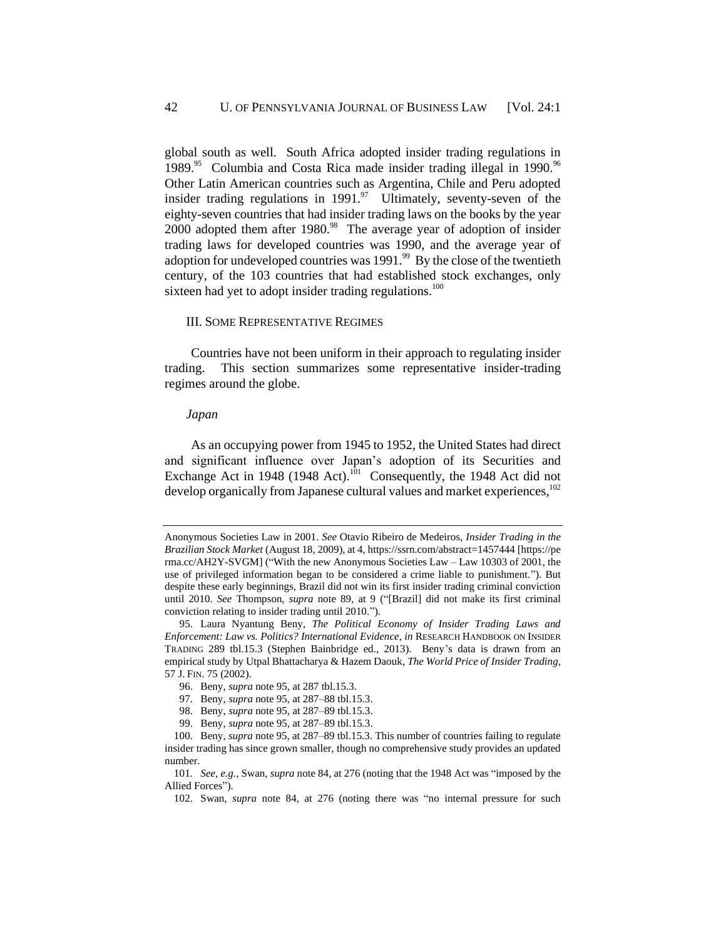<span id="page-17-1"></span>global south as well. South Africa adopted insider trading regulations in 1989.<sup>95</sup> Columbia and Costa Rica made insider trading illegal in 1990.<sup>96</sup> Other Latin American countries such as Argentina, Chile and Peru adopted insider trading regulations in  $1991.^{\%}$  Ultimately, seventy-seven of the eighty-seven countries that had insider trading laws on the books by the year 2000 adopted them after  $1980.^{98}$  The average year of adoption of insider trading laws for developed countries was 1990, and the average year of adoption for undeveloped countries was  $1991<sup>99</sup>$  By the close of the twentieth century, of the 103 countries that had established stock exchanges, only sixteen had yet to adopt insider trading regulations.<sup>100</sup>

## <span id="page-17-0"></span>III. SOME REPRESENTATIVE REGIMES

Countries have not been uniform in their approach to regulating insider trading. This section summarizes some representative insider-trading regimes around the globe.

#### *Japan*

As an occupying power from 1945 to 1952, the United States had direct and significant influence over Japan's adoption of its Securities and Exchange Act in 1948 (1948 Act).<sup>101</sup> Consequently, the 1948 Act did not develop organically from Japanese cultural values and market experiences,<sup>102</sup>

Anonymous Societies Law in 2001. *See* Otavio Ribeiro de Medeiros, *Insider Trading in the Brazilian Stock Market* (August 18, 2009), at 4, https://ssrn.com/abstract=1457444 [https://pe rma.cc/AH2Y-SVGM] ("With the new Anonymous Societies Law – Law 10303 of 2001, the use of privileged information began to be considered a crime liable to punishment."). But despite these early beginnings, Brazil did not win its first insider trading criminal conviction until 2010. *See* Thompson, *supra* note [89,](#page-16-0) at 9 ("[Brazil] did not make its first criminal conviction relating to insider trading until 2010.").

<sup>95.</sup> Laura Nyantung Beny, *The Political Economy of Insider Trading Laws and Enforcement: Law vs. Politics? International Evidence*, *in* RESEARCH HANDBOOK ON INSIDER TRADING 289 tbl.15.3 (Stephen Bainbridge ed., 2013). Beny's data is drawn from an empirical study by Utpal Bhattacharya & Hazem Daouk, *The World Price of Insider Trading*, 57 J. FIN. 75 (2002).

<sup>96.</sup> Beny, *supra* not[e 95,](#page-17-1) at 287 tbl.15.3.

<sup>97.</sup> Beny, *supra* not[e 95,](#page-17-1) at 287–88 tbl.15.3.

<sup>98.</sup> Beny, *supra* note [95,](#page-17-1) at 287–89 tbl.15.3.

<sup>99.</sup> Beny, *supra* note [95,](#page-17-1) at 287–89 tbl.15.3.

<sup>100.</sup> Beny, *supra* note [95,](#page-17-1) at 287–89 tbl.15.3. This number of countries failing to regulate insider trading has since grown smaller, though no comprehensive study provides an updated number.

<sup>101</sup>*. See, e.g.*, Swan, *supra* not[e 84,](#page-15-1) at 276 (noting that the 1948 Act was "imposed by the Allied Forces").

<sup>102.</sup> Swan, *supra* note [84,](#page-15-1) at 276 (noting there was "no internal pressure for such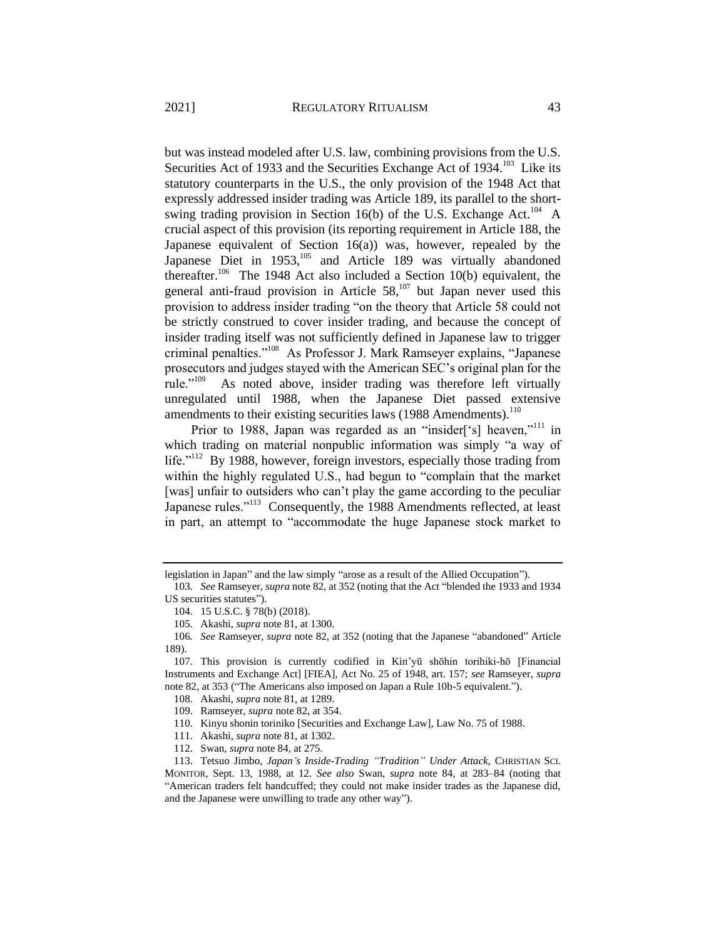but was instead modeled after U.S. law, combining provisions from the U.S. Securities Act of 1933 and the Securities Exchange Act of 1934.<sup>103</sup> Like its statutory counterparts in the U.S., the only provision of the 1948 Act that expressly addressed insider trading was Article 189, its parallel to the shortswing trading provision in Section 16(b) of the U.S. Exchange Act.<sup>104</sup> A crucial aspect of this provision (its reporting requirement in Article 188, the Japanese equivalent of Section 16(a)) was, however, repealed by the Japanese Diet in 1953,<sup>105</sup> and Article 189 was virtually abandoned thereafter.<sup>106</sup> The 1948 Act also included a Section 10(b) equivalent, the general anti-fraud provision in Article  $58$ ,<sup>107</sup> but Japan never used this provision to address insider trading "on the theory that Article 58 could not be strictly construed to cover insider trading, and because the concept of insider trading itself was not sufficiently defined in Japanese law to trigger criminal penalties."<sup>108</sup> As Professor J. Mark Ramseyer explains, "Japanese prosecutors and judges stayed with the American SEC's original plan for the rule." $109$  As noted above, insider trading was therefore left virtually unregulated until 1988, when the Japanese Diet passed extensive amendments to their existing securities laws (1988 Amendments).<sup>110</sup>

Prior to 1988, Japan was regarded as an "insider['s] heaven,"<sup>111</sup> in which trading on material nonpublic information was simply "a way of life."<sup>112</sup> By 1988, however, foreign investors, especially those trading from within the highly regulated U.S., had begun to "complain that the market [was] unfair to outsiders who can't play the game according to the peculiar Japanese rules."<sup>113</sup> Consequently, the 1988 Amendments reflected, at least in part, an attempt to "accommodate the huge Japanese stock market to

<span id="page-18-0"></span>legislation in Japan" and the law simply "arose as a result of the Allied Occupation").

<sup>103</sup>*. See* Ramseyer, *supra* not[e 82,](#page-15-2) at 352 (noting that the Act "blended the 1933 and 1934 US securities statutes").

<sup>104.</sup> 15 U.S.C. § 78(b) (2018).

<sup>105.</sup> Akashi, *supra* not[e 81,](#page-15-3) at 1300.

<sup>106</sup>*. See* Ramseyer, *supra* note [82,](#page-15-2) at 352 (noting that the Japanese "abandoned" Article 189).

<sup>107.</sup> This provision is currently codified in Kin'yū shōhin torihiki-hō [Financial Instruments and Exchange Act] [FIEA], Act No. 25 of 1948, art. 157; *see* Ramseyer, *supra* not[e 82,](#page-15-2) at 353 ("The Americans also imposed on Japan a Rule 10b-5 equivalent.").

<sup>108.</sup> Akashi, *supra* not[e 81,](#page-15-3) at 1289.

<sup>109.</sup> Ramseyer, *supra* not[e 82,](#page-15-2) at 354.

<sup>110.</sup> Kinyu shonin toriniko [Securities and Exchange Law], Law No. 75 of 1988.

<sup>111.</sup> Akashi, *supra* not[e 81,](#page-15-3) at 1302.

<sup>112.</sup> Swan, *supra* not[e 84,](#page-15-1) at 275.

<sup>113.</sup> Tetsuo Jimbo, *Japan's Inside-Trading "Tradition" Under Attack*, CHRISTIAN SCI. MONITOR, Sept. 13, 1988, at 12. *See also* Swan, *supra* note [84,](#page-15-1) at 283–84 (noting that "American traders felt handcuffed; they could not make insider trades as the Japanese did, and the Japanese were unwilling to trade any other way").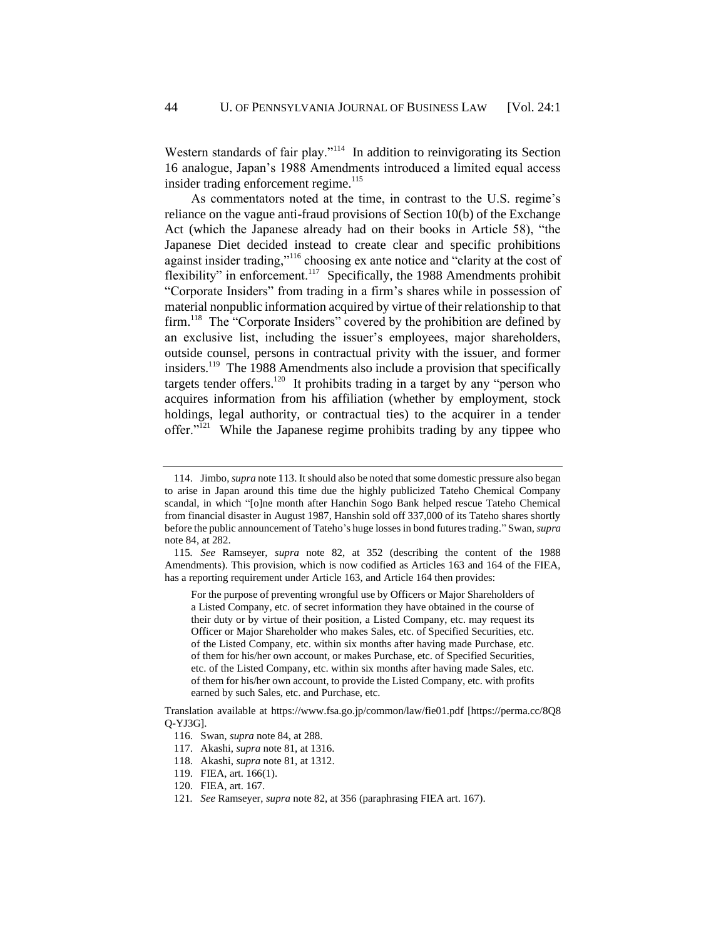Western standards of fair play."<sup>114</sup> In addition to reinvigorating its Section 16 analogue, Japan's 1988 Amendments introduced a limited equal access insider trading enforcement regime.<sup>115</sup>

As commentators noted at the time, in contrast to the U.S. regime's reliance on the vague anti-fraud provisions of Section 10(b) of the Exchange Act (which the Japanese already had on their books in Article 58), "the Japanese Diet decided instead to create clear and specific prohibitions against insider trading,"<sup>116</sup> choosing ex ante notice and "clarity at the cost of flexibility" in enforcement.<sup>117</sup> Specifically, the 1988 Amendments prohibit "Corporate Insiders" from trading in a firm's shares while in possession of material nonpublic information acquired by virtue of their relationship to that firm.<sup>118</sup> The "Corporate Insiders" covered by the prohibition are defined by an exclusive list, including the issuer's employees, major shareholders, outside counsel, persons in contractual privity with the issuer, and former insiders.<sup>119</sup> The 1988 Amendments also include a provision that specifically targets tender offers.<sup>120</sup> It prohibits trading in a target by any "person who acquires information from his affiliation (whether by employment, stock holdings, legal authority, or contractual ties) to the acquirer in a tender offer."<sup>121</sup> While the Japanese regime prohibits trading by any tippee who

For the purpose of preventing wrongful use by Officers or Major Shareholders of a Listed Company, etc. of secret information they have obtained in the course of their duty or by virtue of their position, a Listed Company, etc. may request its Officer or Major Shareholder who makes Sales, etc. of Specified Securities, etc. of the Listed Company, etc. within six months after having made Purchase, etc. of them for his/her own account, or makes Purchase, etc. of Specified Securities, etc. of the Listed Company, etc. within six months after having made Sales, etc. of them for his/her own account, to provide the Listed Company, etc. with profits earned by such Sales, etc. and Purchase, etc.

<sup>114.</sup> Jimbo, *supra* not[e 113.](#page-18-0) It should also be noted that some domestic pressure also began to arise in Japan around this time due the highly publicized Tateho Chemical Company scandal, in which "[o]ne month after Hanchin Sogo Bank helped rescue Tateho Chemical from financial disaster in August 1987, Hanshin sold off 337,000 of its Tateho shares shortly before the public announcement of Tateho's huge losses in bond futures trading." Swan, *supra* not[e 84,](#page-15-1) at 282.

<sup>115</sup>*. See* Ramseyer, *supra* note [82,](#page-15-2) at 352 (describing the content of the 1988 Amendments). This provision, which is now codified as Articles 163 and 164 of the FIEA, has a reporting requirement under Article 163, and Article 164 then provides:

Translation available at https://www.fsa.go.jp/common/law/fie01.pdf [https://perma.cc/8Q8 Q-YJ3G].

<sup>116.</sup> Swan, *supra* not[e 84,](#page-15-1) at 288.

<sup>117.</sup> Akashi, *supra* not[e 81,](#page-15-3) at 1316.

<sup>118.</sup> Akashi, *supra* not[e 81,](#page-15-3) at 1312.

<sup>119.</sup> FIEA, art. 166(1).

<sup>120.</sup> FIEA, art. 167.

<sup>121</sup>*. See* Ramseyer, *supra* note [82,](#page-15-2) at 356 (paraphrasing FIEA art. 167).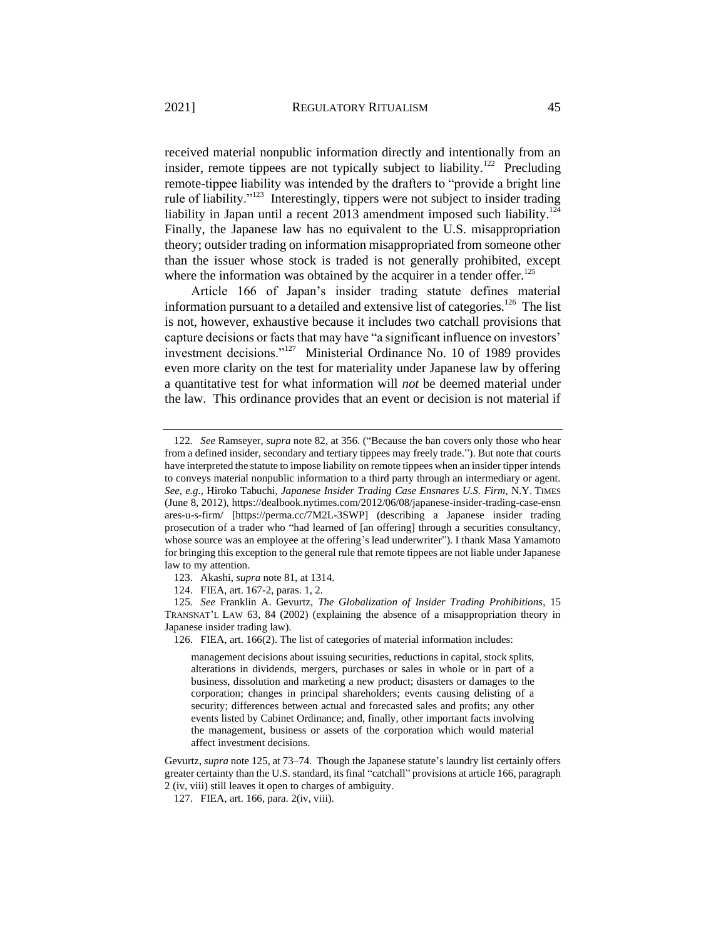received material nonpublic information directly and intentionally from an insider, remote tippees are not typically subject to liability.<sup>122</sup> Precluding remote-tippee liability was intended by the drafters to "provide a bright line rule of liability."<sup>123</sup> Interestingly, tippers were not subject to insider trading liability in Japan until a recent 2013 amendment imposed such liability.<sup>124</sup> Finally, the Japanese law has no equivalent to the U.S. misappropriation theory; outsider trading on information misappropriated from someone other than the issuer whose stock is traded is not generally prohibited, except where the information was obtained by the acquirer in a tender offer.<sup>125</sup>

<span id="page-20-0"></span>Article 166 of Japan's insider trading statute defines material information pursuant to a detailed and extensive list of categories.<sup>126</sup> The list is not, however, exhaustive because it includes two catchall provisions that capture decisions or facts that may have "a significant influence on investors' investment decisions."<sup>127</sup> Ministerial Ordinance No. 10 of 1989 provides even more clarity on the test for materiality under Japanese law by offering a quantitative test for what information will *not* be deemed material under the law. This ordinance provides that an event or decision is not material if

<sup>122</sup>*. See* Ramseyer, *supra* note [82,](#page-15-2) at 356. ("Because the ban covers only those who hear from a defined insider, secondary and tertiary tippees may freely trade."). But note that courts have interpreted the statute to impose liability on remote tippees when an insider tipper intends to conveys material nonpublic information to a third party through an intermediary or agent. *See, e.g.*, Hiroko Tabuchi, *Japanese Insider Trading Case Ensnares U.S. Firm*, N.Y. TIMES (June 8, 2012), https://dealbook.nytimes.com/2012/06/08/japanese-insider-trading-case-ensn ares-u-s-firm/ [https://perma.cc/7M2L-3SWP] (describing a Japanese insider trading prosecution of a trader who "had learned of [an offering] through a securities consultancy, whose source was an employee at the offering's lead underwriter"). I thank Masa Yamamoto for bringing this exception to the general rule that remote tippees are not liable under Japanese law to my attention.

<sup>123.</sup> Akashi, *supra* not[e 81,](#page-15-3) at 1314.

<sup>124.</sup> FIEA, art. 167-2, paras. 1, 2.

<sup>125</sup>*. See* Franklin A. Gevurtz, *The Globalization of Insider Trading Prohibitions*, 15 TRANSNAT'L LAW 63, 84 (2002) (explaining the absence of a misappropriation theory in Japanese insider trading law).

<sup>126.</sup> FIEA, art. 166(2). The list of categories of material information includes:

management decisions about issuing securities, reductions in capital, stock splits, alterations in dividends, mergers, purchases or sales in whole or in part of a business, dissolution and marketing a new product; disasters or damages to the corporation; changes in principal shareholders; events causing delisting of a security; differences between actual and forecasted sales and profits; any other events listed by Cabinet Ordinance; and, finally, other important facts involving the management, business or assets of the corporation which would material affect investment decisions.

Gevurtz, *supra* not[e 125,](#page-20-0) at 73–74. Though the Japanese statute's laundry list certainly offers greater certainty than the U.S. standard, its final "catchall" provisions at article 166, paragraph 2 (iv, viii) still leaves it open to charges of ambiguity.

<sup>127.</sup> FIEA, art. 166, para. 2(iv, viii).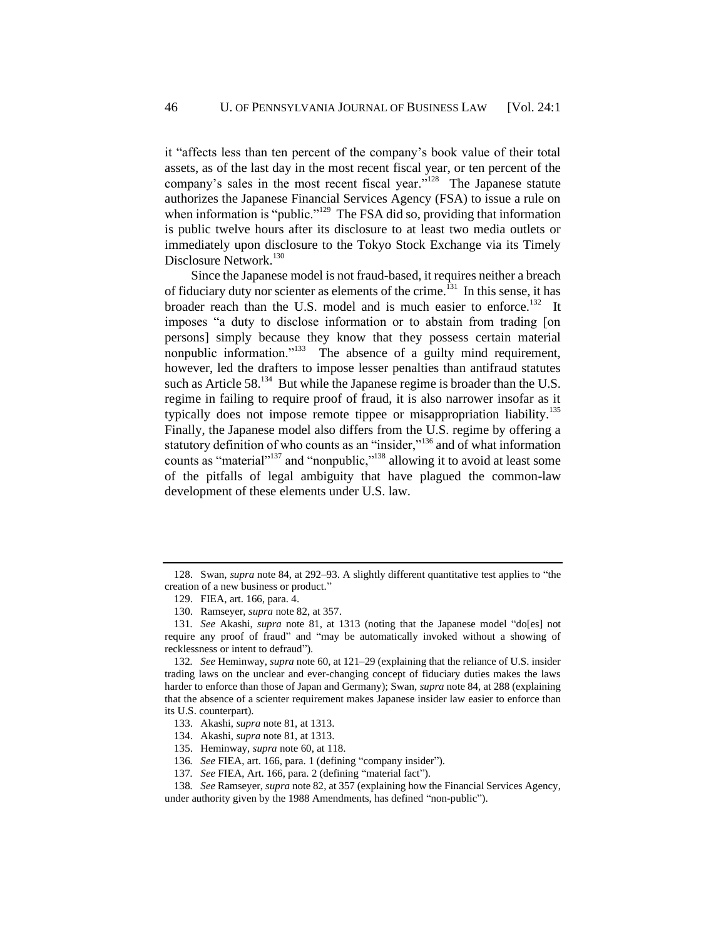it "affects less than ten percent of the company's book value of their total assets, as of the last day in the most recent fiscal year, or ten percent of the company's sales in the most recent fiscal year."<sup>128</sup> The Japanese statute authorizes the Japanese Financial Services Agency (FSA) to issue a rule on when information is "public."<sup>129</sup> The FSA did so, providing that information is public twelve hours after its disclosure to at least two media outlets or immediately upon disclosure to the Tokyo Stock Exchange via its Timely Disclosure Network.<sup>130</sup>

Since the Japanese model is not fraud-based, it requires neither a breach of fiduciary duty nor scienter as elements of the crime.<sup>131</sup> In this sense, it has broader reach than the U.S. model and is much easier to enforce.<sup>132</sup> It imposes "a duty to disclose information or to abstain from trading [on persons] simply because they know that they possess certain material nonpublic information."<sup>133</sup> The absence of a guilty mind requirement, however, led the drafters to impose lesser penalties than antifraud statutes such as Article  $58$ .<sup>134</sup> But while the Japanese regime is broader than the U.S. regime in failing to require proof of fraud, it is also narrower insofar as it typically does not impose remote tippee or misappropriation liability.<sup>135</sup> Finally, the Japanese model also differs from the U.S. regime by offering a statutory definition of who counts as an "insider,"<sup>136</sup> and of what information counts as "material"<sup>137</sup> and "nonpublic,"<sup>138</sup> allowing it to avoid at least some of the pitfalls of legal ambiguity that have plagued the common-law development of these elements under U.S. law.

<sup>128.</sup> Swan, *supra* not[e 84,](#page-15-1) at 292–93. A slightly different quantitative test applies to "the creation of a new business or product."

<sup>129.</sup> FIEA, art. 166, para. 4.

<sup>130.</sup> Ramseyer, *supra* not[e 82,](#page-15-2) at 357.

<sup>131</sup>*. See* Akashi, *supra* note [81,](#page-15-3) at 1313 (noting that the Japanese model "do[es] not require any proof of fraud" and "may be automatically invoked without a showing of recklessness or intent to defraud").

<sup>132</sup>*. See* Heminway, *supra* not[e 60,](#page-12-1) at 121–29 (explaining that the reliance of U.S. insider trading laws on the unclear and ever-changing concept of fiduciary duties makes the laws harder to enforce than those of Japan and Germany); Swan, *supra* not[e 84,](#page-15-1) at 288 (explaining that the absence of a scienter requirement makes Japanese insider law easier to enforce than its U.S. counterpart).

<sup>133.</sup> Akashi, *supra* not[e 81,](#page-15-3) at 1313.

<sup>134.</sup> Akashi, *supra* not[e 81,](#page-15-3) at 1313.

<sup>135.</sup> Heminway, *supra* not[e 60,](#page-12-1) at 118.

<sup>136</sup>*. See* FIEA, art. 166, para. 1 (defining "company insider").

<sup>137</sup>*. See* FIEA, Art. 166, para. 2 (defining "material fact").

<sup>138</sup>*. See* Ramseyer, *supra* not[e 82,](#page-15-2) at 357 (explaining how the Financial Services Agency, under authority given by the 1988 Amendments, has defined "non-public").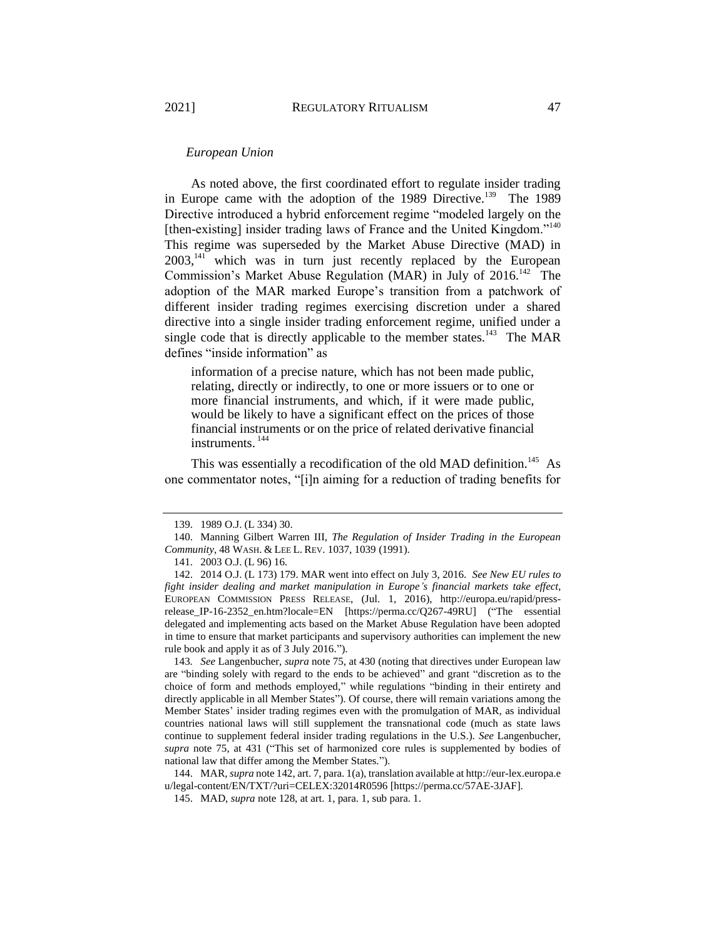# <span id="page-22-1"></span>*European Union*

As noted above, the first coordinated effort to regulate insider trading in Europe came with the adoption of the 1989 Directive.<sup>139</sup> The 1989 Directive introduced a hybrid enforcement regime "modeled largely on the [then-existing] insider trading laws of France and the United Kingdom."<sup>140</sup> This regime was superseded by the Market Abuse Directive (MAD) in  $2003$ ,<sup>141</sup> which was in turn just recently replaced by the European Commission's Market Abuse Regulation (MAR) in July of  $2016$ .<sup>142</sup> The adoption of the MAR marked Europe's transition from a patchwork of different insider trading regimes exercising discretion under a shared directive into a single insider trading enforcement regime, unified under a single code that is directly applicable to the member states.<sup>143</sup> The MAR defines "inside information" as

<span id="page-22-0"></span>information of a precise nature, which has not been made public, relating, directly or indirectly, to one or more issuers or to one or more financial instruments, and which, if it were made public, would be likely to have a significant effect on the prices of those financial instruments or on the price of related derivative financial instruments.<sup>144</sup>

This was essentially a recodification of the old MAD definition.<sup>145</sup> As one commentator notes, "[i]n aiming for a reduction of trading benefits for

<sup>139.</sup> 1989 O.J. (L 334) 30.

<sup>140.</sup> Manning Gilbert Warren III, *The Regulation of Insider Trading in the European Community*, 48 WASH. & LEE L. REV. 1037, 1039 (1991).

<sup>141.</sup> 2003 O.J. (L 96) 16.

<sup>142.</sup> 2014 O.J. (L 173) 179. MAR went into effect on July 3, 2016. *See New EU rules to fight insider dealing and market manipulation in Europe's financial markets take effect*, EUROPEAN COMMISSION PRESS RELEASE, (Jul. 1, 2016), http://europa.eu/rapid/pressrelease\_IP-16-2352\_en.htm?locale=EN [https://perma.cc/Q267-49RU] ("The essential delegated and implementing acts based on the Market Abuse Regulation have been adopted in time to ensure that market participants and supervisory authorities can implement the new rule book and apply it as of 3 July 2016.").

<sup>143</sup>*. See* Langenbucher, *supra* not[e 75,](#page-14-0) at 430 (noting that directives under European law are "binding solely with regard to the ends to be achieved" and grant "discretion as to the choice of form and methods employed," while regulations "binding in their entirety and directly applicable in all Member States"). Of course, there will remain variations among the Member States' insider trading regimes even with the promulgation of MAR, as individual countries national laws will still supplement the transnational code (much as state laws continue to supplement federal insider trading regulations in the U.S.). *See* Langenbucher, *supra* note [75,](#page-14-0) at 431 ("This set of harmonized core rules is supplemented by bodies of national law that differ among the Member States.").

<sup>144.</sup> MAR, *supra* not[e 142,](#page-22-0) art. 7, para. 1(a), translation available at http://eur-lex.europa.e u/legal-content/EN/TXT/?uri=CELEX:32014R0596 [https://perma.cc/57AE-3JAF].

<sup>145.</sup> MAD, *supra* note 128, at art. 1, para. 1, sub para. 1.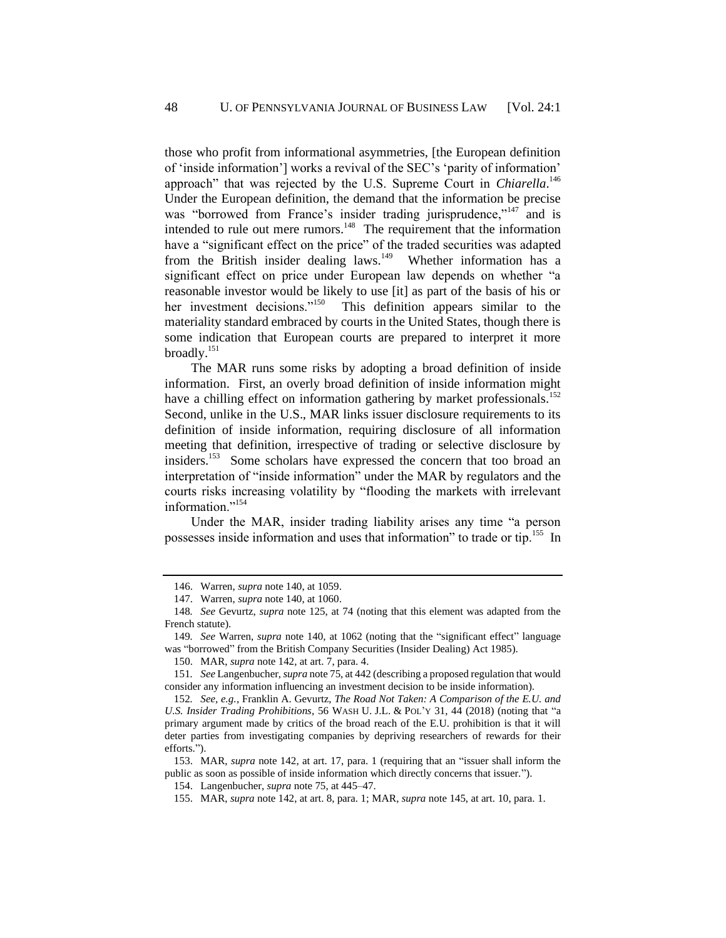those who profit from informational asymmetries, [the European definition of 'inside information'] works a revival of the SEC's 'parity of information' approach" that was rejected by the U.S. Supreme Court in *Chiarella*.<sup>146</sup> Under the European definition, the demand that the information be precise was "borrowed from France's insider trading jurisprudence,"<sup>147</sup> and is intended to rule out mere rumors.<sup>148</sup> The requirement that the information have a "significant effect on the price" of the traded securities was adapted from the British insider dealing laws.<sup>149</sup> Whether information has a significant effect on price under European law depends on whether "a reasonable investor would be likely to use [it] as part of the basis of his or her investment decisions."<sup>150</sup> This definition appears similar to the materiality standard embraced by courts in the United States, though there is some indication that European courts are prepared to interpret it more broadly.<sup>151</sup>

<span id="page-23-0"></span>The MAR runs some risks by adopting a broad definition of inside information. First, an overly broad definition of inside information might have a chilling effect on information gathering by market professionals.<sup>152</sup> Second, unlike in the U.S., MAR links issuer disclosure requirements to its definition of inside information, requiring disclosure of all information meeting that definition, irrespective of trading or selective disclosure by insiders.<sup>153</sup> Some scholars have expressed the concern that too broad an interpretation of "inside information" under the MAR by regulators and the courts risks increasing volatility by "flooding the markets with irrelevant information."<sup>154</sup>

Under the MAR, insider trading liability arises any time "a person possesses inside information and uses that information" to trade or tip.<sup>155</sup> In

<sup>146.</sup> Warren, *supra* not[e 140,](#page-22-1) at 1059.

<sup>147.</sup> Warren, *supra* not[e 140,](#page-22-1) at 1060.

<sup>148</sup>*. See* Gevurtz, *supra* note [125,](#page-20-0) at 74 (noting that this element was adapted from the French statute).

<sup>149</sup>*. See* Warren, *supra* note [140,](#page-22-1) at 1062 (noting that the "significant effect" language was "borrowed" from the British Company Securities (Insider Dealing) Act 1985).

<sup>150.</sup> MAR, *supra* not[e 142,](#page-22-0) at art. 7, para. 4.

<sup>151</sup>*. See* Langenbucher, *supra* not[e 75,](#page-14-0) at 442 (describing a proposed regulation that would consider any information influencing an investment decision to be inside information).

<sup>152</sup>*. See, e.g.*, Franklin A. Gevurtz, *The Road Not Taken: A Comparison of the E.U. and U.S. Insider Trading Prohibitions*, 56 WASH U. J.L. & POL'Y 31, 44 (2018) (noting that "a primary argument made by critics of the broad reach of the E.U. prohibition is that it will deter parties from investigating companies by depriving researchers of rewards for their efforts.").

<sup>153.</sup> MAR, *supra* note [142,](#page-22-0) at art. 17, para. 1 (requiring that an "issuer shall inform the public as soon as possible of inside information which directly concerns that issuer.").

<sup>154.</sup> Langenbucher, *supra* not[e 75,](#page-14-0) at 445–47.

<sup>155.</sup> MAR, *supra* not[e 142,](#page-22-0) at art. 8, para. 1; MAR, *supra* note 145, at art. 10, para. 1.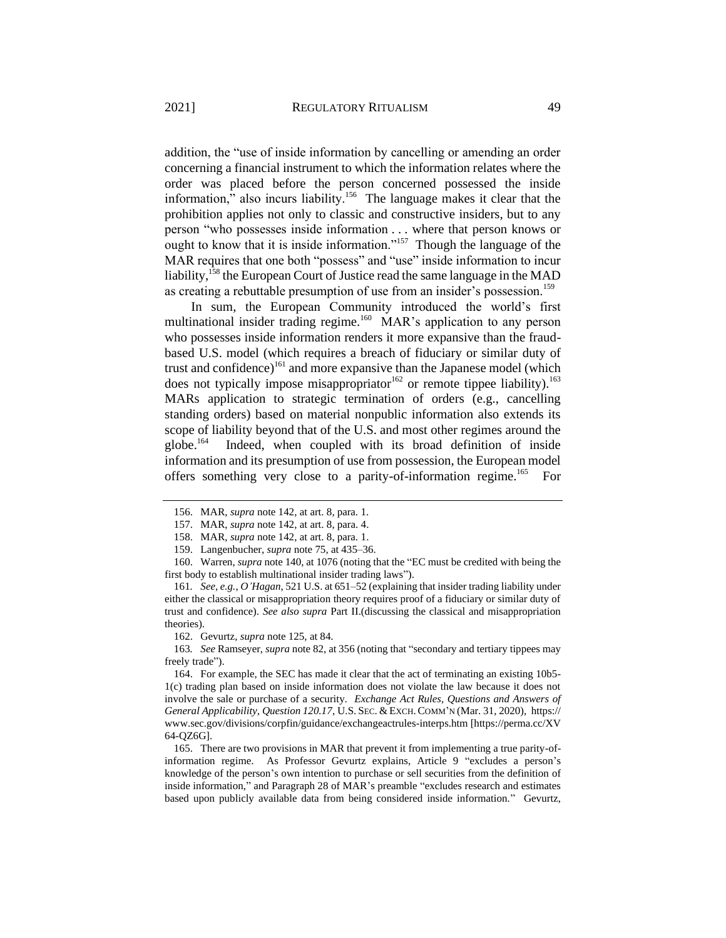addition, the "use of inside information by cancelling or amending an order concerning a financial instrument to which the information relates where the order was placed before the person concerned possessed the inside information," also incurs liability.<sup>156</sup> The language makes it clear that the prohibition applies not only to classic and constructive insiders, but to any person "who possesses inside information . . . where that person knows or ought to know that it is inside information."<sup>157</sup> Though the language of the MAR requires that one both "possess" and "use" inside information to incur liability,<sup>158</sup> the European Court of Justice read the same language in the MAD as creating a rebuttable presumption of use from an insider's possession.<sup>159</sup>

In sum, the European Community introduced the world's first multinational insider trading regime.<sup>160</sup> MAR's application to any person who possesses inside information renders it more expansive than the fraudbased U.S. model (which requires a breach of fiduciary or similar duty of trust and confidence)<sup>161</sup> and more expansive than the Japanese model (which does not typically impose misappropriator<sup>162</sup> or remote tippee liability).<sup>163</sup> MARs application to strategic termination of orders (e.g., cancelling standing orders) based on material nonpublic information also extends its scope of liability beyond that of the U.S. and most other regimes around the globe. $164$  Indeed, when coupled with its broad definition of inside information and its presumption of use from possession, the European model offers something very close to a parity-of-information regime.<sup>165</sup> For

161*. See, e.g.*, *O'Hagan*, 521 U.S. at 651–52 (explaining that insider trading liability under either the classical or misappropriation theory requires proof of a fiduciary or similar duty of trust and confidence). *See also supra* Part [II.\(](#page-11-0)discussing the classical and misappropriation theories).

162. Gevurtz, *supra* not[e 125,](#page-20-0) at 84.

163*. See* Ramseyer, *supra* not[e 82,](#page-15-2) at 356 (noting that "secondary and tertiary tippees may freely trade").

164. For example, the SEC has made it clear that the act of terminating an existing 10b5- 1(c) trading plan based on inside information does not violate the law because it does not involve the sale or purchase of a security. *Exchange Act Rules, Questions and Answers of General Applicability, Question 120.17*, U.S. SEC. & EXCH.COMM'N (Mar. 31, 2020), https:// www.sec.gov/divisions/corpfin/guidance/exchangeactrules-interps.htm [https://perma.cc/XV 64-QZ6G].

165. There are two provisions in MAR that prevent it from implementing a true parity-ofinformation regime. As Professor Gevurtz explains, Article 9 "excludes a person's knowledge of the person's own intention to purchase or sell securities from the definition of inside information," and Paragraph 28 of MAR's preamble "excludes research and estimates based upon publicly available data from being considered inside information." Gevurtz,

<sup>156.</sup> MAR, *supra* not[e 142,](#page-22-0) at art. 8, para. 1.

<sup>157.</sup> MAR, *supra* not[e 142,](#page-22-0) at art. 8, para. 4.

<sup>158.</sup> MAR, *supra* not[e 142,](#page-22-0) at art. 8, para. 1.

<sup>159.</sup> Langenbucher, *supra* not[e 75,](#page-14-0) at 435–36.

<sup>160.</sup> Warren, *supra* not[e 140,](#page-22-1) at 1076 (noting that the "EC must be credited with being the first body to establish multinational insider trading laws").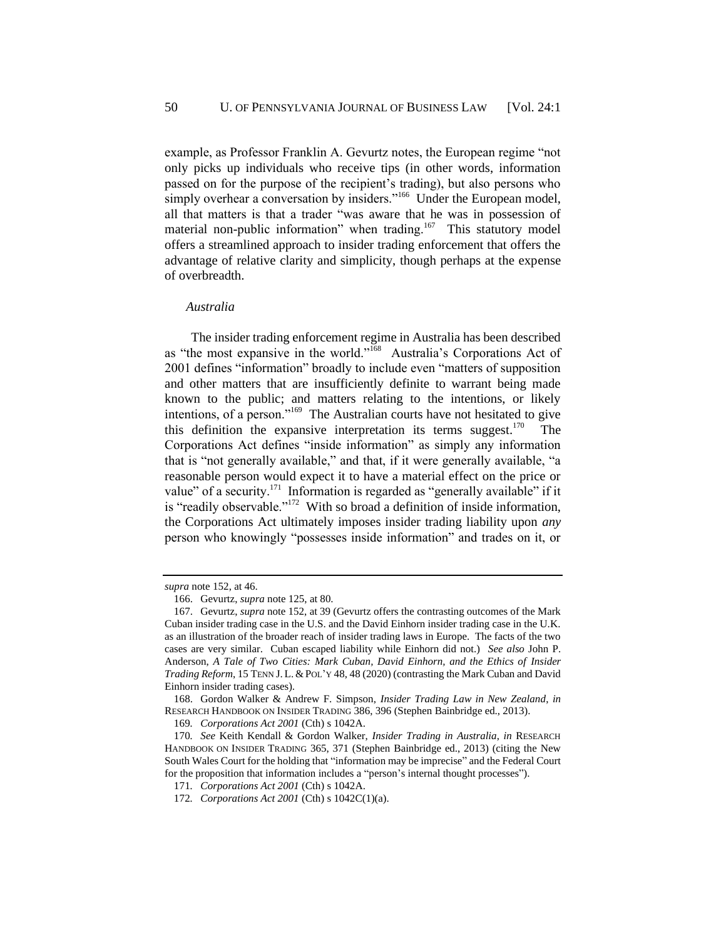example, as Professor Franklin A. Gevurtz notes, the European regime "not only picks up individuals who receive tips (in other words, information passed on for the purpose of the recipient's trading), but also persons who simply overhear a conversation by insiders."<sup>166</sup> Under the European model, all that matters is that a trader "was aware that he was in possession of material non-public information" when trading.<sup>167</sup> This statutory model offers a streamlined approach to insider trading enforcement that offers the advantage of relative clarity and simplicity, though perhaps at the expense of overbreadth.

## <span id="page-25-1"></span><span id="page-25-0"></span>*Australia*

The insider trading enforcement regime in Australia has been described as "the most expansive in the world."<sup>168</sup> Australia's Corporations Act of 2001 defines "information" broadly to include even "matters of supposition and other matters that are insufficiently definite to warrant being made known to the public; and matters relating to the intentions, or likely intentions, of a person."<sup>169</sup> The Australian courts have not hesitated to give this definition the expansive interpretation its terms suggest.<sup>170</sup> The Corporations Act defines "inside information" as simply any information that is "not generally available," and that, if it were generally available, "a reasonable person would expect it to have a material effect on the price or value" of a security.<sup>171</sup> Information is regarded as "generally available" if it is "readily observable."<sup>172</sup> With so broad a definition of inside information, the Corporations Act ultimately imposes insider trading liability upon *any* person who knowingly "possesses inside information" and trades on it, or

*supra* not[e 152,](#page-23-0) at 46.

<sup>166.</sup> Gevurtz, *supra* not[e 125,](#page-20-0) at 80.

<sup>167.</sup> Gevurtz, *supra* not[e 152,](#page-23-0) at 39 (Gevurtz offers the contrasting outcomes of the Mark Cuban insider trading case in the U.S. and the David Einhorn insider trading case in the U.K. as an illustration of the broader reach of insider trading laws in Europe. The facts of the two cases are very similar. Cuban escaped liability while Einhorn did not.) *See also* John P. Anderson, *A Tale of Two Cities: Mark Cuban, David Einhorn, and the Ethics of Insider Trading Reform*, 15 TENN J. L. & POL'Y 48, 48 (2020) (contrasting the Mark Cuban and David Einhorn insider trading cases).

<sup>168.</sup> Gordon Walker & Andrew F. Simpson, *Insider Trading Law in New Zealand*, *in* RESEARCH HANDBOOK ON INSIDER TRADING 386, 396 (Stephen Bainbridge ed., 2013).

<sup>169</sup>*. Corporations Act 2001* (Cth) s 1042A.

<sup>170</sup>*. See* Keith Kendall & Gordon Walker, *Insider Trading in Australia*, *in* RESEARCH HANDBOOK ON INSIDER TRADING 365, 371 (Stephen Bainbridge ed., 2013) (citing the New South Wales Court for the holding that "information may be imprecise" and the Federal Court for the proposition that information includes a "person's internal thought processes").

<sup>171</sup>*. Corporations Act 2001* (Cth) s 1042A.

<sup>172</sup>*. Corporations Act 2001* (Cth) s 1042C(1)(a).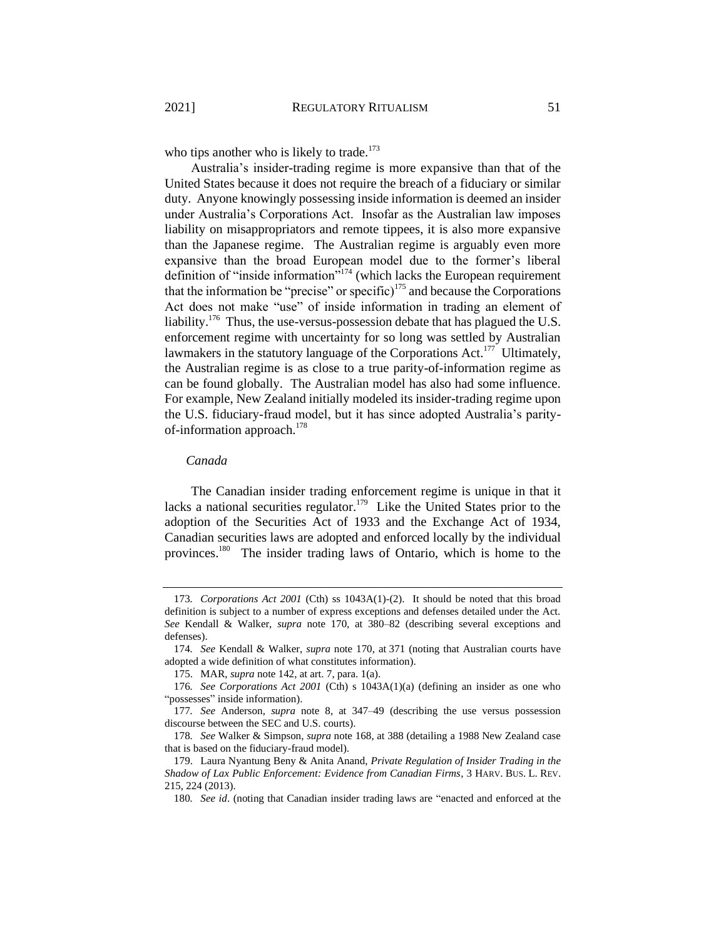who tips another who is likely to trade.<sup>173</sup>

Australia's insider-trading regime is more expansive than that of the United States because it does not require the breach of a fiduciary or similar duty. Anyone knowingly possessing inside information is deemed an insider under Australia's Corporations Act. Insofar as the Australian law imposes liability on misappropriators and remote tippees, it is also more expansive than the Japanese regime. The Australian regime is arguably even more expansive than the broad European model due to the former's liberal definition of "inside information"<sup>174</sup> (which lacks the European requirement that the information be "precise" or specific)<sup>175</sup> and because the Corporations Act does not make "use" of inside information in trading an element of liability.<sup>176</sup> Thus, the use-versus-possession debate that has plagued the U.S. enforcement regime with uncertainty for so long was settled by Australian lawmakers in the statutory language of the Corporations Act.<sup>177</sup> Ultimately, the Australian regime is as close to a true parity-of-information regime as can be found globally. The Australian model has also had some influence. For example, New Zealand initially modeled its insider-trading regime upon the U.S. fiduciary-fraud model, but it has since adopted Australia's parityof-information approach. $178$ 

#### <span id="page-26-0"></span>*Canada*

The Canadian insider trading enforcement regime is unique in that it lacks a national securities regulator.<sup>179</sup> Like the United States prior to the adoption of the Securities Act of 1933 and the Exchange Act of 1934, Canadian securities laws are adopted and enforced locally by the individual provinces.<sup>180</sup> The insider trading laws of Ontario, which is home to the

<sup>173</sup>*. Corporations Act 2001* (Cth) ss 1043A(1)-(2). It should be noted that this broad definition is subject to a number of express exceptions and defenses detailed under the Act. *See* Kendall & Walker, *supra* note [170,](#page-25-0) at 380–82 (describing several exceptions and defenses).

<sup>174</sup>*. See* Kendall & Walker, *supra* note [170,](#page-25-0) at 371 (noting that Australian courts have adopted a wide definition of what constitutes information).

<sup>175.</sup> MAR, *supra* not[e 142,](#page-22-0) at art. 7, para. 1(a).

<sup>176</sup>*. See Corporations Act 2001* (Cth) s 1043A(1)(a) (defining an insider as one who "possesses" inside information).

<sup>177</sup>*. See* Anderson, *supra* note [8,](#page-2-1) at 347–49 (describing the use versus possession discourse between the SEC and U.S. courts).

<sup>178</sup>*. See* Walker & Simpson, *supra* not[e 168,](#page-25-1) at 388 (detailing a 1988 New Zealand case that is based on the fiduciary-fraud model).

<sup>179.</sup> Laura Nyantung Beny & Anita Anand, *Private Regulation of Insider Trading in the Shadow of Lax Public Enforcement: Evidence from Canadian Firms*, 3 HARV. BUS. L. REV. 215, 224 (2013).

<sup>180</sup>*. See id*. (noting that Canadian insider trading laws are "enacted and enforced at the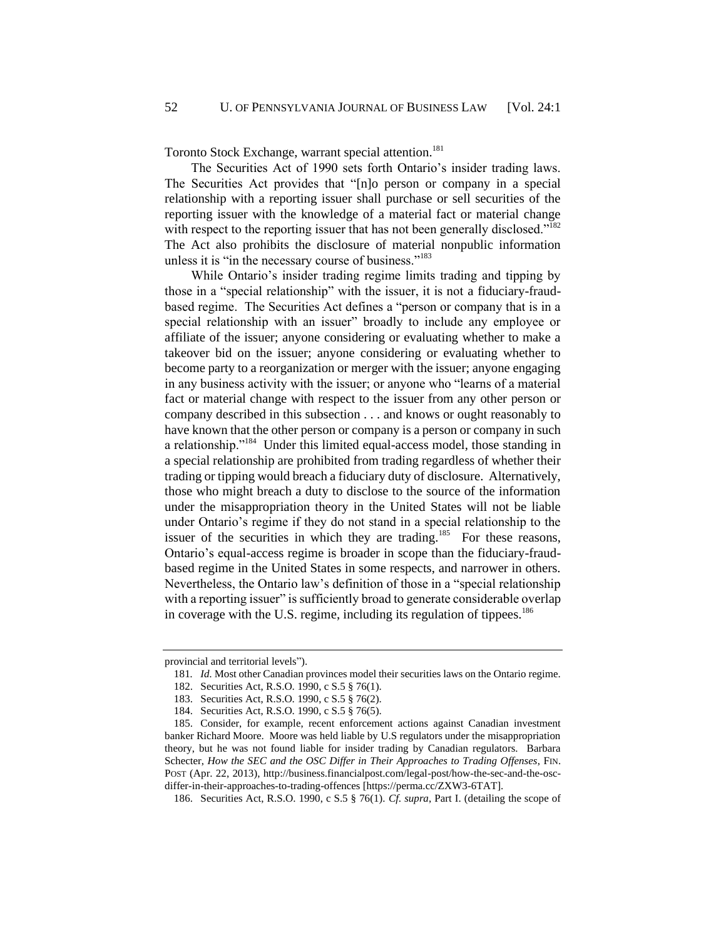Toronto Stock Exchange, warrant special attention.<sup>181</sup>

The Securities Act of 1990 sets forth Ontario's insider trading laws. The Securities Act provides that "[n]o person or company in a special relationship with a reporting issuer shall purchase or sell securities of the reporting issuer with the knowledge of a material fact or material change with respect to the reporting issuer that has not been generally disclosed."<sup>182</sup> The Act also prohibits the disclosure of material nonpublic information unless it is "in the necessary course of business."<sup>183</sup>

While Ontario's insider trading regime limits trading and tipping by those in a "special relationship" with the issuer, it is not a fiduciary-fraudbased regime. The Securities Act defines a "person or company that is in a special relationship with an issuer" broadly to include any employee or affiliate of the issuer; anyone considering or evaluating whether to make a takeover bid on the issuer; anyone considering or evaluating whether to become party to a reorganization or merger with the issuer; anyone engaging in any business activity with the issuer; or anyone who "learns of a material fact or material change with respect to the issuer from any other person or company described in this subsection . . . and knows or ought reasonably to have known that the other person or company is a person or company in such a relationship."<sup>184</sup> Under this limited equal-access model, those standing in a special relationship are prohibited from trading regardless of whether their trading or tipping would breach a fiduciary duty of disclosure. Alternatively, those who might breach a duty to disclose to the source of the information under the misappropriation theory in the United States will not be liable under Ontario's regime if they do not stand in a special relationship to the issuer of the securities in which they are trading.<sup>185</sup> For these reasons, Ontario's equal-access regime is broader in scope than the fiduciary-fraudbased regime in the United States in some respects, and narrower in others. Nevertheless, the Ontario law's definition of those in a "special relationship with a reporting issuer" is sufficiently broad to generate considerable overlap in coverage with the U.S. regime, including its regulation of tippees.<sup>186</sup>

provincial and territorial levels").

<sup>181</sup>*. Id.* Most other Canadian provinces model their securities laws on the Ontario regime.

<sup>182.</sup> Securities Act, R.S.O. 1990, c S.5 § 76(1).

<sup>183.</sup> Securities Act, R.S.O. 1990, c S.5 § 76(2).

<sup>184.</sup> Securities Act, R.S.O. 1990, c S.5 § 76(5).

<sup>185.</sup> Consider, for example, recent enforcement actions against Canadian investment banker Richard Moore. Moore was held liable by U.S regulators under the misappropriation theory, but he was not found liable for insider trading by Canadian regulators. Barbara Schecter, *How the SEC and the OSC Differ in Their Approaches to Trading Offenses*, FIN. POST (Apr. 22, 2013), http://business.financialpost.com/legal-post/how-the-sec-and-the-oscdiffer-in-their-approaches-to-trading-offences [https://perma.cc/ZXW3-6TAT].

<sup>186.</sup> Securities Act, R.S.O. 1990, c S.5 § 76(1). *Cf*. *supra*, Par[t I.](#page-4-0) (detailing the scope of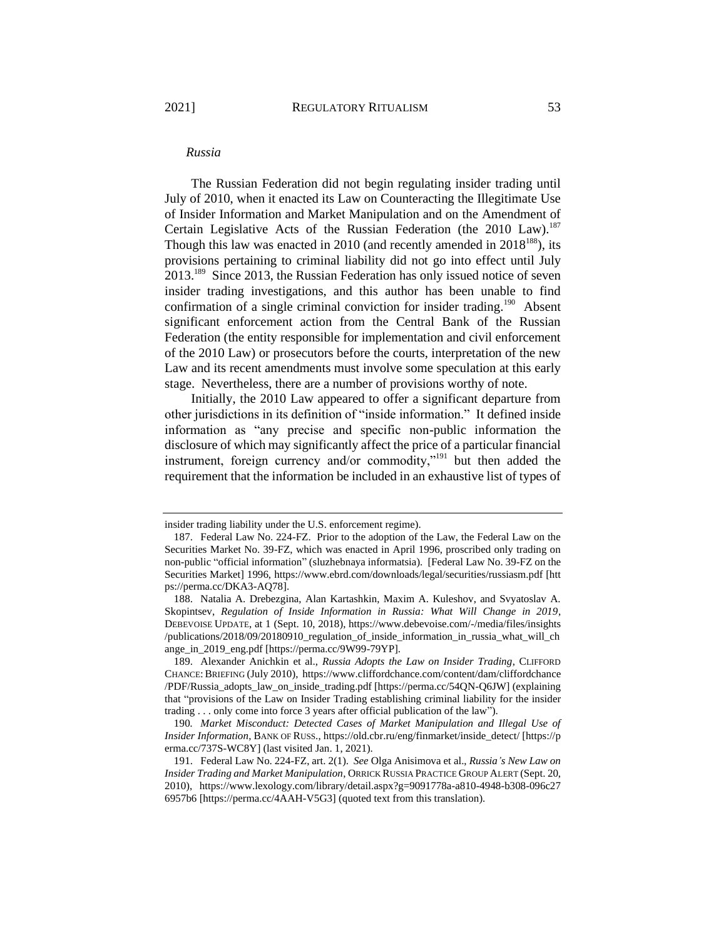#### <span id="page-28-1"></span>*Russia*

The Russian Federation did not begin regulating insider trading until July of 2010, when it enacted its Law on Counteracting the Illegitimate Use of Insider Information and Market Manipulation and on the Amendment of Certain Legislative Acts of the Russian Federation (the 2010 Law).<sup>187</sup> Though this law was enacted in 2010 (and recently amended in  $2018^{188}$ ), its provisions pertaining to criminal liability did not go into effect until July 2013.<sup>189</sup> Since 2013, the Russian Federation has only issued notice of seven insider trading investigations, and this author has been unable to find confirmation of a single criminal conviction for insider trading.<sup>190</sup> Absent significant enforcement action from the Central Bank of the Russian Federation (the entity responsible for implementation and civil enforcement of the 2010 Law) or prosecutors before the courts, interpretation of the new Law and its recent amendments must involve some speculation at this early stage. Nevertheless, there are a number of provisions worthy of note.

<span id="page-28-0"></span>Initially, the 2010 Law appeared to offer a significant departure from other jurisdictions in its definition of "inside information." It defined inside information as "any precise and specific non-public information the disclosure of which may significantly affect the price of a particular financial instrument, foreign currency and/or commodity,"<sup>191</sup> but then added the requirement that the information be included in an exhaustive list of types of

insider trading liability under the U.S. enforcement regime).

<sup>187.</sup> Federal Law No. 224-FZ. Prior to the adoption of the Law, the Federal Law on the Securities Market No. 39-FZ, which was enacted in April 1996, proscribed only trading on non-public "official information" (sluzhebnaya informatsia). [Federal Law No. 39-FZ on the Securities Market] 1996, https://www.ebrd.com/downloads/legal/securities/russiasm.pdf [htt ps://perma.cc/DKA3-AQ78].

<sup>188.</sup> Natalia A. Drebezgina, Alan Kartashkin, Maxim A. Kuleshov, and Svyatoslav A. Skopintsev, *Regulation of Inside Information in Russia: What Will Change in 2019*, DEBEVOISE UPDATE, at 1 (Sept. 10, 2018), https://www.debevoise.com/-/media/files/insights /publications/2018/09/20180910\_regulation\_of\_inside\_information\_in\_russia\_what\_will\_ch ange\_in\_2019\_eng.pdf [https://perma.cc/9W99-79YP].

<sup>189.</sup> Alexander Anichkin et al., *Russia Adopts the Law on Insider Trading*, CLIFFORD CHANCE:BRIEFING (July 2010), https://www.cliffordchance.com/content/dam/cliffordchance /PDF/Russia\_adopts\_law\_on\_inside\_trading.pdf [https://perma.cc/54QN-Q6JW] (explaining that "provisions of the Law on Insider Trading establishing criminal liability for the insider trading . . . only come into force 3 years after official publication of the law").

<sup>190</sup>*. Market Misconduct: Detected Cases of Market Manipulation and Illegal Use of Insider Information*, BANK OF RUSS., https://old.cbr.ru/eng/finmarket/inside\_detect/ [https://p erma.cc/737S-WC8Y] (last visited Jan. 1, 2021).

<sup>191.</sup> Federal Law No. 224-FZ, art. 2(1). *See* Olga Anisimova et al., *Russia's New Law on Insider Trading and Market Manipulation*, ORRICK RUSSIA PRACTICE GROUP ALERT (Sept. 20, 2010), https://www.lexology.com/library/detail.aspx?g=9091778a-a810-4948-b308-096c27 6957b6 [https://perma.cc/4AAH-V5G3] (quoted text from this translation).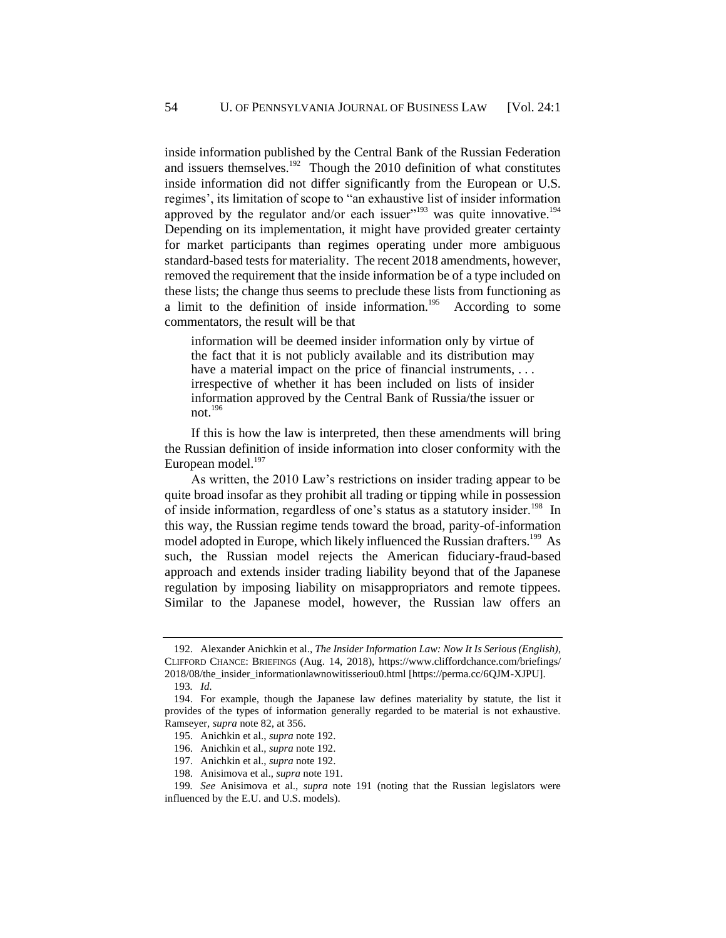<span id="page-29-0"></span>inside information published by the Central Bank of the Russian Federation and issuers themselves. $192$  Though the 2010 definition of what constitutes inside information did not differ significantly from the European or U.S. regimes', its limitation of scope to "an exhaustive list of insider information approved by the regulator and/or each issuer $"193}$  was quite innovative.<sup>194</sup> Depending on its implementation, it might have provided greater certainty for market participants than regimes operating under more ambiguous standard-based tests for materiality. The recent 2018 amendments, however, removed the requirement that the inside information be of a type included on these lists; the change thus seems to preclude these lists from functioning as a limit to the definition of inside information.<sup>195</sup> According to some commentators, the result will be that

information will be deemed insider information only by virtue of the fact that it is not publicly available and its distribution may have a material impact on the price of financial instruments, ... irrespective of whether it has been included on lists of insider information approved by the Central Bank of Russia/the issuer or not. $^{196}$ 

If this is how the law is interpreted, then these amendments will bring the Russian definition of inside information into closer conformity with the European model. $197$ 

As written, the 2010 Law's restrictions on insider trading appear to be quite broad insofar as they prohibit all trading or tipping while in possession of inside information, regardless of one's status as a statutory insider.<sup>198</sup> In this way, the Russian regime tends toward the broad, parity-of-information model adopted in Europe, which likely influenced the Russian drafters.<sup>199</sup> As such, the Russian model rejects the American fiduciary-fraud-based approach and extends insider trading liability beyond that of the Japanese regulation by imposing liability on misappropriators and remote tippees. Similar to the Japanese model, however, the Russian law offers an

<sup>192.</sup> Alexander Anichkin et al., *The Insider Information Law: Now It Is Serious (English)*, CLIFFORD CHANCE: BRIEFINGS (Aug. 14, 2018), https://www.cliffordchance.com/briefings/ 2018/08/the\_insider\_informationlawnowitisseriou0.html [https://perma.cc/6QJM-XJPU].

<sup>193</sup>*. Id.*

<sup>194.</sup> For example, though the Japanese law defines materiality by statute, the list it provides of the types of information generally regarded to be material is not exhaustive. Ramseyer, *supra* note [82,](#page-15-2) at 356.

<sup>195.</sup> Anichkin et al., *supra* not[e 192.](#page-29-0)

<sup>196.</sup> Anichkin et al., *supra* not[e 192.](#page-29-0)

<sup>197.</sup> Anichkin et al., *supra* not[e 192.](#page-29-0)

<sup>198.</sup> Anisimova et al., *supra* not[e 191.](#page-28-0)

<sup>199</sup>*. See* Anisimova et al., *supra* note [191](#page-28-0) (noting that the Russian legislators were influenced by the E.U. and U.S. models).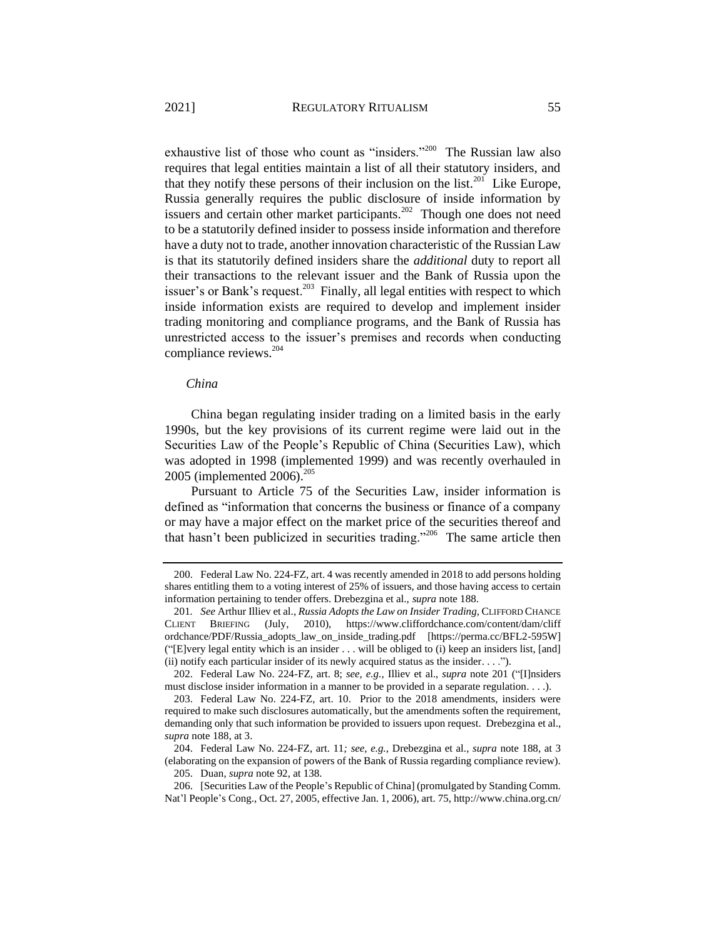<span id="page-30-0"></span>exhaustive list of those who count as "insiders."<sup>200</sup> The Russian law also requires that legal entities maintain a list of all their statutory insiders, and that they notify these persons of their inclusion on the list.<sup>201</sup> Like Europe, Russia generally requires the public disclosure of inside information by issuers and certain other market participants.<sup>202</sup> Though one does not need to be a statutorily defined insider to possess inside information and therefore have a duty not to trade, another innovation characteristic of the Russian Law is that its statutorily defined insiders share the *additional* duty to report all their transactions to the relevant issuer and the Bank of Russia upon the issuer's or Bank's request.<sup>203</sup> Finally, all legal entities with respect to which inside information exists are required to develop and implement insider trading monitoring and compliance programs, and the Bank of Russia has unrestricted access to the issuer's premises and records when conducting compliance reviews.<sup>204</sup>

#### *China*

China began regulating insider trading on a limited basis in the early 1990s, but the key provisions of its current regime were laid out in the Securities Law of the People's Republic of China (Securities Law), which was adopted in 1998 (implemented 1999) and was recently overhauled in 2005 (implemented  $2006$ ).<sup>205</sup>

Pursuant to Article 75 of the Securities Law, insider information is defined as "information that concerns the business or finance of a company or may have a major effect on the market price of the securities thereof and that hasn't been publicized in securities trading."<sup>206</sup> The same article then

<sup>200.</sup> Federal Law No. 224-FZ, art. 4 was recently amended in 2018 to add persons holding shares entitling them to a voting interest of 25% of issuers, and those having access to certain information pertaining to tender offers. Drebezgina et al., *supra* note [188.](#page-28-1)

<sup>201</sup>*. See* Arthur Illiev et al., *Russia Adopts the Law on Insider Trading*, CLIFFORD CHANCE CLIENT BRIEFING (July, 2010), https://www.cliffordchance.com/content/dam/cliff ordchance/PDF/Russia\_adopts\_law\_on\_inside\_trading.pdf [https://perma.cc/BFL2-595W] ("[E]very legal entity which is an insider . . . will be obliged to (i) keep an insiders list, [and] (ii) notify each particular insider of its newly acquired status as the insider. . . .").

<sup>202.</sup> Federal Law No. 224-FZ, art. 8; *see, e.g.,* Illiev et al., *supra* note [201](#page-30-0) ("[I]nsiders must disclose insider information in a manner to be provided in a separate regulation. . . .).

<sup>203.</sup> Federal Law No. 224-FZ, art. 10. Prior to the 2018 amendments, insiders were required to make such disclosures automatically, but the amendments soften the requirement, demanding only that such information be provided to issuers upon request. Drebezgina et al., *supra* not[e 188,](#page-28-1) at 3.

<sup>204.</sup> Federal Law No. 224-FZ, art. 11*; see, e.g.*, Drebezgina et al., *supra* note [188,](#page-28-1) at 3 (elaborating on the expansion of powers of the Bank of Russia regarding compliance review).

<sup>205.</sup> Duan, *supra* not[e 92,](#page-16-1) at 138.

<sup>206.</sup> [Securities Law of the People's Republic of China] (promulgated by Standing Comm. Nat'l People's Cong., Oct. 27, 2005, effective Jan. 1, 2006), art. 75, http://www.china.org.cn/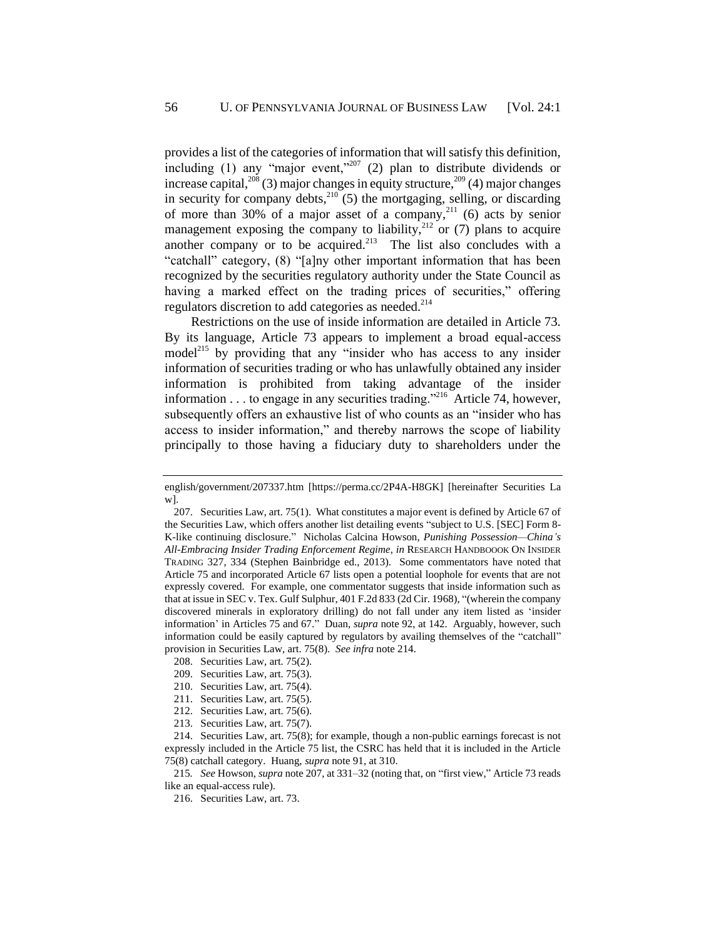<span id="page-31-1"></span>provides a list of the categories of information that will satisfy this definition, including (1) any "major event,"<sup>207</sup> (2) plan to distribute dividends or increase capital,  $^{208}$  (3) major changes in equity structure,  $^{209}$  (4) major changes in security for company debts,<sup>210</sup> (5) the mortgaging, selling, or discarding of more than 30% of a major asset of a company,<sup>211</sup> (6) acts by senior management exposing the company to liability,<sup>212</sup> or (7) plans to acquire another company or to be acquired. $2^{13}$  The list also concludes with a "catchall" category, (8) "[a]ny other important information that has been recognized by the securities regulatory authority under the State Council as having a marked effect on the trading prices of securities," offering regulators discretion to add categories as needed.<sup>214</sup>

<span id="page-31-0"></span>Restrictions on the use of inside information are detailed in Article 73. By its language, Article 73 appears to implement a broad equal-access model<sup>215</sup> by providing that any "insider who has access to any insider information of securities trading or who has unlawfully obtained any insider information is prohibited from taking advantage of the insider information  $\dots$  to engage in any securities trading."<sup>216</sup> Article 74, however, subsequently offers an exhaustive list of who counts as an "insider who has access to insider information," and thereby narrows the scope of liability principally to those having a fiduciary duty to shareholders under the

english/government/207337.htm [https://perma.cc/2P4A-H8GK] [hereinafter Securities La w].

<sup>207.</sup> Securities Law, art. 75(1). What constitutes a major event is defined by Article 67 of the Securities Law, which offers another list detailing events "subject to U.S. [SEC] Form 8- K-like continuing disclosure." Nicholas Calcina Howson, *Punishing Possession—China's All-Embracing Insider Trading Enforcement Regime*, *in* RESEARCH HANDBOOOK ON INSIDER TRADING 327, 334 (Stephen Bainbridge ed., 2013). Some commentators have noted that Article 75 and incorporated Article 67 lists open a potential loophole for events that are not expressly covered. For example, one commentator suggests that inside information such as that at issue in SEC v. Tex. Gulf Sulphur, 401 F.2d 833 (2d Cir. 1968), "(wherein the company discovered minerals in exploratory drilling) do not fall under any item listed as 'insider information' in Articles 75 and 67." Duan, *supra* note [92,](#page-16-1) at 142. Arguably, however, such information could be easily captured by regulators by availing themselves of the "catchall" provision in Securities Law, art. 75(8). *See infra* not[e 214.](#page-31-0)

<sup>208.</sup> Securities Law, art. 75(2).

<sup>209.</sup> Securities Law, art. 75(3).

<sup>210.</sup> Securities Law, art. 75(4).

<sup>211.</sup> Securities Law, art. 75(5).

<sup>212.</sup> Securities Law, art. 75(6).

<sup>213.</sup> Securities Law, art. 75(7).

<sup>214.</sup> Securities Law, art. 75(8); for example, though a non-public earnings forecast is not expressly included in the Article 75 list, the CSRC has held that it is included in the Article 75(8) catchall category. Huang, *supra* not[e 91,](#page-16-2) at 310.

<sup>215</sup>*. See* Howson, *supra* not[e 207,](#page-31-1) at 331–32 (noting that, on "first view," Article 73 reads like an equal-access rule).

<sup>216.</sup> Securities Law, art. 73.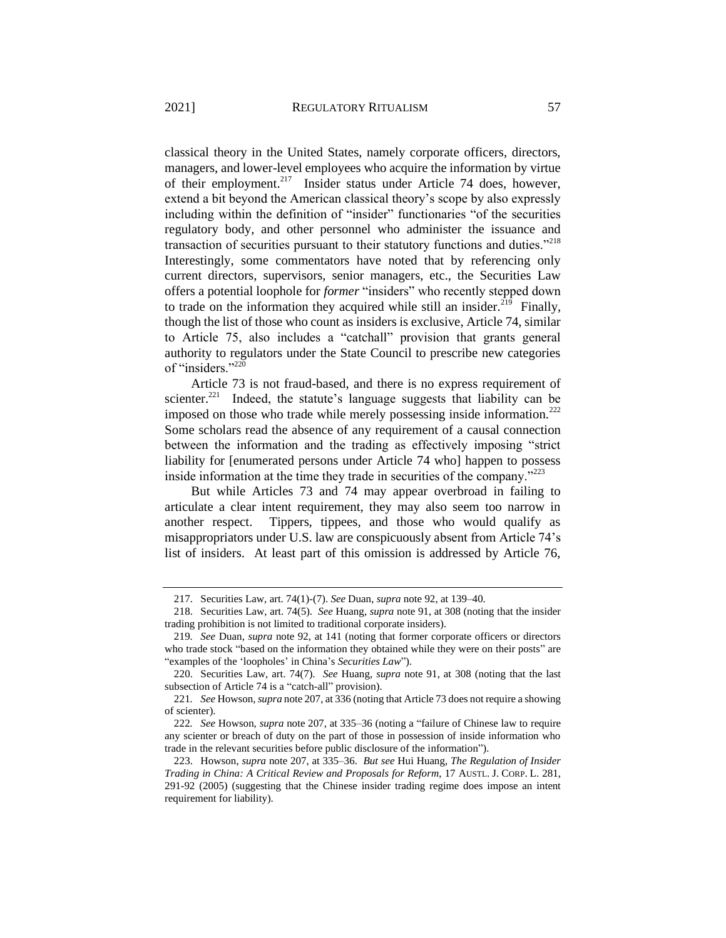classical theory in the United States, namely corporate officers, directors, managers, and lower-level employees who acquire the information by virtue of their employment.<sup>217</sup> Insider status under Article 74 does, however, extend a bit beyond the American classical theory's scope by also expressly including within the definition of "insider" functionaries "of the securities regulatory body, and other personnel who administer the issuance and transaction of securities pursuant to their statutory functions and duties."<sup>218</sup> Interestingly, some commentators have noted that by referencing only current directors, supervisors, senior managers, etc., the Securities Law offers a potential loophole for *former* "insiders" who recently stepped down to trade on the information they acquired while still an insider.<sup>219</sup> Finally, though the list of those who count as insiders is exclusive, Article 74, similar to Article 75, also includes a "catchall" provision that grants general authority to regulators under the State Council to prescribe new categories of "insiders."<sup>220</sup>

Article 73 is not fraud-based, and there is no express requirement of scienter.<sup>221</sup> Indeed, the statute's language suggests that liability can be imposed on those who trade while merely possessing inside information. $^{222}$ Some scholars read the absence of any requirement of a causal connection between the information and the trading as effectively imposing "strict liability for [enumerated persons under Article 74 who] happen to possess inside information at the time they trade in securities of the company."<sup>223</sup>

But while Articles 73 and 74 may appear overbroad in failing to articulate a clear intent requirement, they may also seem too narrow in another respect. Tippers, tippees, and those who would qualify as misappropriators under U.S. law are conspicuously absent from Article 74's list of insiders. At least part of this omission is addressed by Article 76,

<sup>217.</sup> Securities Law, art. 74(1)-(7). *See* Duan, *supra* note [92,](#page-16-1) at 139–40.

<sup>218.</sup> Securities Law, art. 74(5). *See* Huang, *supra* not[e 91,](#page-16-2) at 308 (noting that the insider trading prohibition is not limited to traditional corporate insiders).

<sup>219</sup>*. See* Duan, *supra* note [92,](#page-16-1) at 141 (noting that former corporate officers or directors who trade stock "based on the information they obtained while they were on their posts" are "examples of the 'loopholes' in China's *Securities Law*").

<sup>220.</sup> Securities Law, art. 74(7). *See* Huang, *supra* note [91,](#page-16-2) at 308 (noting that the last subsection of Article 74 is a "catch-all" provision).

<sup>221</sup>*. See* Howson, *supra* not[e 207,](#page-31-1) at 336 (noting that Article 73 does not require a showing of scienter).

<sup>222</sup>*. See* Howson, *supra* note [207,](#page-31-1) at 335–36 (noting a "failure of Chinese law to require any scienter or breach of duty on the part of those in possession of inside information who trade in the relevant securities before public disclosure of the information").

<sup>223.</sup> Howson, *supra* note [207,](#page-31-1) at 335–36. *But see* Hui Huang, *The Regulation of Insider Trading in China: A Critical Review and Proposals for Reform*, 17 AUSTL. J. CORP. L. 281, 291-92 (2005) (suggesting that the Chinese insider trading regime does impose an intent requirement for liability).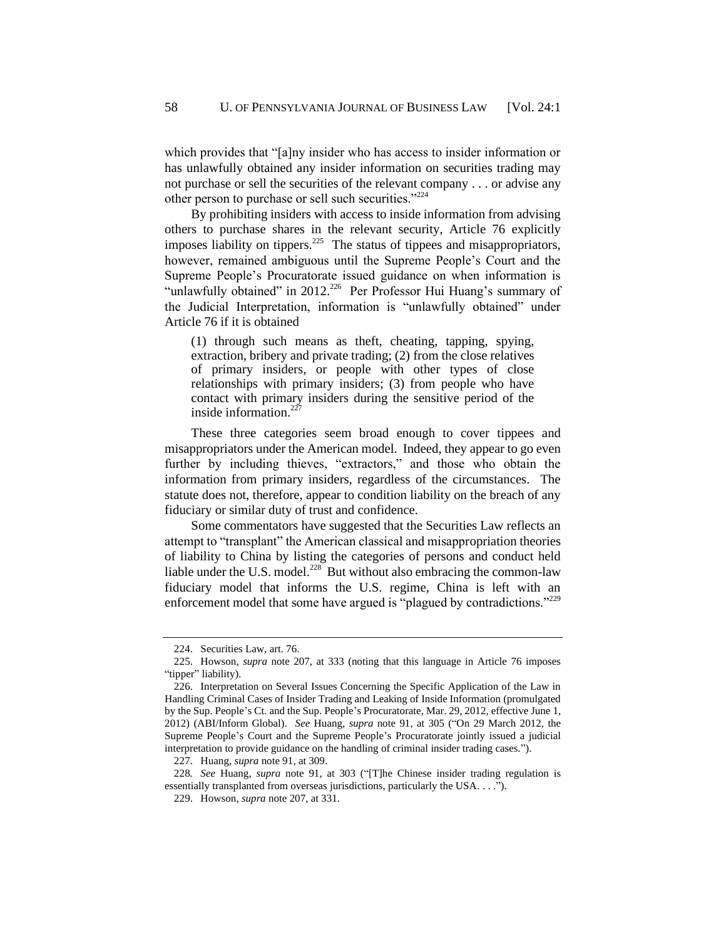which provides that "[a]ny insider who has access to insider information or has unlawfully obtained any insider information on securities trading may not purchase or sell the securities of the relevant company . . . or advise any other person to purchase or sell such securities."<sup>224</sup>

By prohibiting insiders with access to inside information from advising others to purchase shares in the relevant security, Article 76 explicitly imposes liability on tippers.<sup>225</sup> The status of tippees and misappropriators, however, remained ambiguous until the Supreme People's Court and the Supreme People's Procuratorate issued guidance on when information is "unlawfully obtained" in 2012.<sup>226</sup> Per Professor Hui Huang's summary of the Judicial Interpretation, information is "unlawfully obtained" under Article 76 if it is obtained

(1) through such means as theft, cheating, tapping, spying, extraction, bribery and private trading; (2) from the close relatives of primary insiders, or people with other types of close relationships with primary insiders; (3) from people who have contact with primary insiders during the sensitive period of the inside information. $^{22}$ 

These three categories seem broad enough to cover tippees and misappropriators under the American model. Indeed, they appear to go even further by including thieves, "extractors," and those who obtain the information from primary insiders, regardless of the circumstances. The statute does not, therefore, appear to condition liability on the breach of any fiduciary or similar duty of trust and confidence.

Some commentators have suggested that the Securities Law reflects an attempt to "transplant" the American classical and misappropriation theories of liability to China by listing the categories of persons and conduct held liable under the U.S. model.<sup>228</sup> But without also embracing the common-law fiduciary model that informs the U.S. regime, China is left with an enforcement model that some have argued is "plagued by contradictions."<sup>229</sup>

<sup>224.</sup> Securities Law, art. 76.

<sup>225.</sup> Howson, *supra* note [207,](#page-31-1) at 333 (noting that this language in Article 76 imposes "tipper" liability).

<sup>226.</sup> Interpretation on Several Issues Concerning the Specific Application of the Law in Handling Criminal Cases of Insider Trading and Leaking of Inside Information (promulgated by the Sup. People's Ct. and the Sup. People's Procuratorate, Mar. 29, 2012, effective June 1, 2012) (ABI/Inform Global). *See* Huang, *supra* note [91,](#page-16-2) at 305 ("On 29 March 2012, the Supreme People's Court and the Supreme People's Procuratorate jointly issued a judicial interpretation to provide guidance on the handling of criminal insider trading cases.").

<sup>227.</sup> Huang, *supra* not[e 91,](#page-16-2) at 309.

<sup>228</sup>*. See* Huang, *supra* note [91,](#page-16-2) at 303 ("[T]he Chinese insider trading regulation is essentially transplanted from overseas jurisdictions, particularly the USA. . . .").

<sup>229.</sup> Howson, *supra* not[e 207,](#page-31-1) at 331.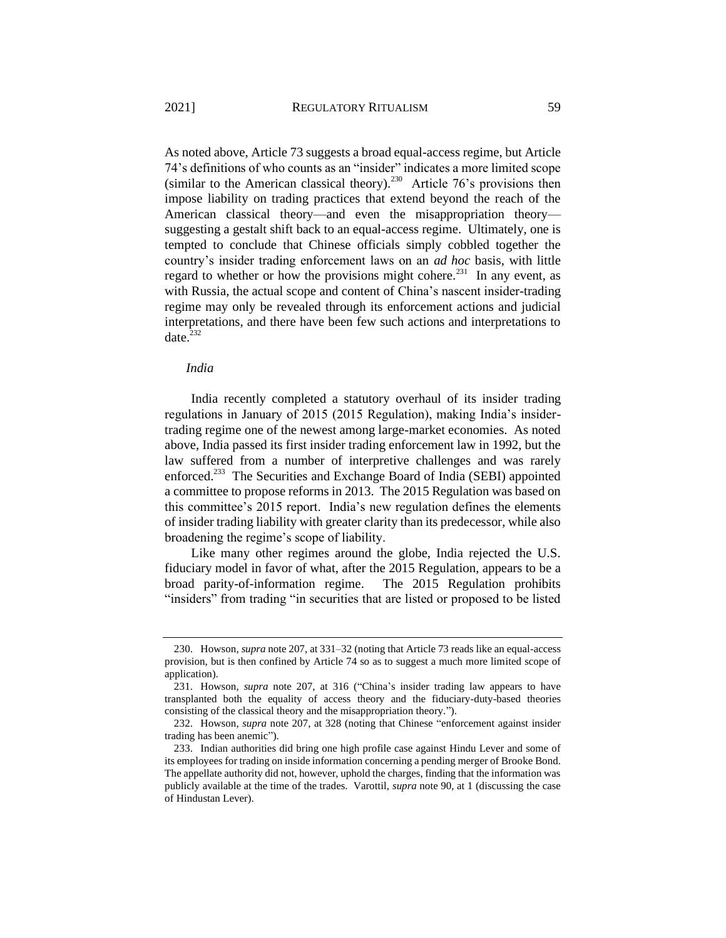As noted above, Article 73 suggests a broad equal-access regime, but Article 74's definitions of who counts as an "insider" indicates a more limited scope (similar to the American classical theory).<sup>230</sup> Article 76's provisions then impose liability on trading practices that extend beyond the reach of the American classical theory—and even the misappropriation theory suggesting a gestalt shift back to an equal-access regime. Ultimately, one is tempted to conclude that Chinese officials simply cobbled together the country's insider trading enforcement laws on an *ad hoc* basis, with little regard to whether or how the provisions might cohere.<sup>231</sup> In any event, as with Russia, the actual scope and content of China's nascent insider-trading regime may only be revealed through its enforcement actions and judicial interpretations, and there have been few such actions and interpretations to date. $232$ 

#### *India*

India recently completed a statutory overhaul of its insider trading regulations in January of 2015 (2015 Regulation), making India's insidertrading regime one of the newest among large-market economies. As noted above, India passed its first insider trading enforcement law in 1992, but the law suffered from a number of interpretive challenges and was rarely enforced.<sup>233</sup> The Securities and Exchange Board of India (SEBI) appointed a committee to propose reforms in 2013. The 2015 Regulation was based on this committee's 2015 report. India's new regulation defines the elements of insider trading liability with greater clarity than its predecessor, while also broadening the regime's scope of liability.

Like many other regimes around the globe, India rejected the U.S. fiduciary model in favor of what, after the 2015 Regulation, appears to be a broad parity-of-information regime. The 2015 Regulation prohibits "insiders" from trading "in securities that are listed or proposed to be listed

<sup>230.</sup> Howson, *supra* not[e 207,](#page-31-1) at 331–32 (noting that Article 73 reads like an equal-access provision, but is then confined by Article 74 so as to suggest a much more limited scope of application).

<sup>231.</sup> Howson, *supra* note [207,](#page-31-1) at 316 ("China's insider trading law appears to have transplanted both the equality of access theory and the fiduciary-duty-based theories consisting of the classical theory and the misappropriation theory.").

<sup>232.</sup> Howson, *supra* note [207,](#page-31-1) at 328 (noting that Chinese "enforcement against insider trading has been anemic").

<sup>233.</sup> Indian authorities did bring one high profile case against Hindu Lever and some of its employees for trading on inside information concerning a pending merger of Brooke Bond. The appellate authority did not, however, uphold the charges, finding that the information was publicly available at the time of the trades. Varottil, *supra* note [90,](#page-16-3) at 1 (discussing the case of Hindustan Lever).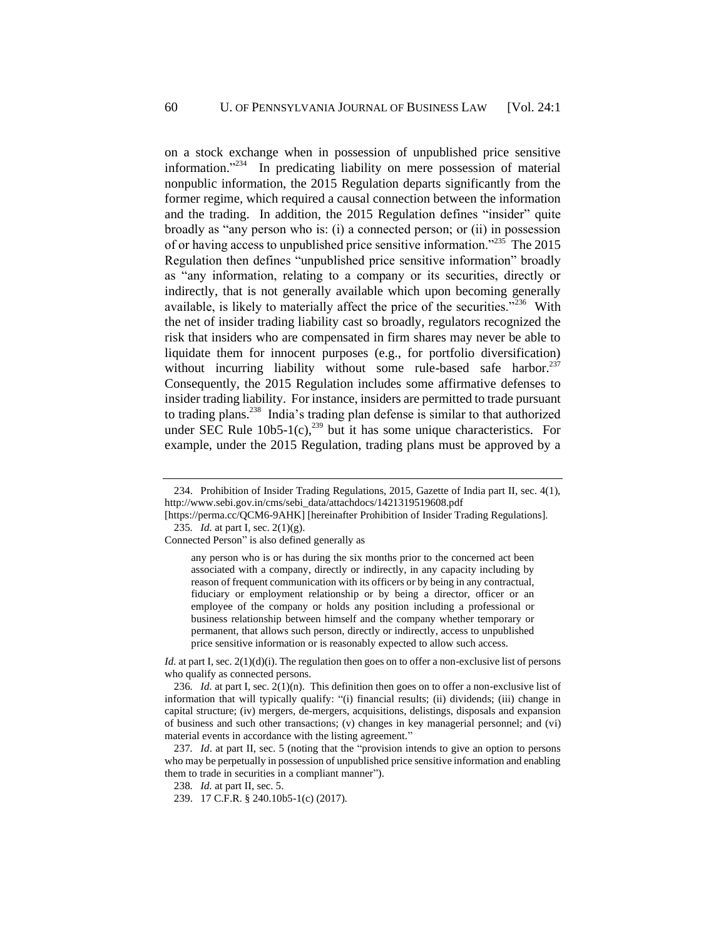on a stock exchange when in possession of unpublished price sensitive information."<sup>234</sup> In predicating liability on mere possession of material nonpublic information, the 2015 Regulation departs significantly from the former regime, which required a causal connection between the information and the trading. In addition, the 2015 Regulation defines "insider" quite broadly as "any person who is: (i) a connected person; or (ii) in possession of or having access to unpublished price sensitive information."<sup>235</sup> The 2015 Regulation then defines "unpublished price sensitive information" broadly as "any information, relating to a company or its securities, directly or indirectly, that is not generally available which upon becoming generally available, is likely to materially affect the price of the securities."<sup>236</sup> With the net of insider trading liability cast so broadly, regulators recognized the risk that insiders who are compensated in firm shares may never be able to liquidate them for innocent purposes (e.g., for portfolio diversification) without incurring liability without some rule-based safe harbor. $237$ Consequently, the 2015 Regulation includes some affirmative defenses to insider trading liability. For instance, insiders are permitted to trade pursuant to trading plans.<sup>238</sup> India's trading plan defense is similar to that authorized under SEC Rule  $10b5-1(c)$ ,<sup>239</sup> but it has some unique characteristics. For example, under the 2015 Regulation, trading plans must be approved by a

Connected Person" is also defined generally as

any person who is or has during the six months prior to the concerned act been associated with a company, directly or indirectly, in any capacity including by reason of frequent communication with its officers or by being in any contractual, fiduciary or employment relationship or by being a director, officer or an employee of the company or holds any position including a professional or business relationship between himself and the company whether temporary or permanent, that allows such person, directly or indirectly, access to unpublished price sensitive information or is reasonably expected to allow such access.

*Id.* at part I, sec.  $2(1)(d)(i)$ . The regulation then goes on to offer a non-exclusive list of persons who qualify as connected persons.

236*. Id.* at part I, sec. 2(1)(n). This definition then goes on to offer a non-exclusive list of information that will typically qualify: "(i) financial results; (ii) dividends; (iii) change in capital structure; (iv) mergers, de-mergers, acquisitions, delistings, disposals and expansion of business and such other transactions; (v) changes in key managerial personnel; and (vi) material events in accordance with the listing agreement."

237*. Id*. at part II, sec. 5 (noting that the "provision intends to give an option to persons who may be perpetually in possession of unpublished price sensitive information and enabling them to trade in securities in a compliant manner").

238*. Id.* at part II, sec. 5.

<sup>234.</sup> Prohibition of Insider Trading Regulations, 2015, Gazette of India part II, sec. 4(1), http://www.sebi.gov.in/cms/sebi\_data/attachdocs/1421319519608.pdf

<sup>[</sup>https://perma.cc/QCM6-9AHK] [hereinafter Prohibition of Insider Trading Regulations]. 235*. Id.* at part I, sec. 2(1)(g).

<sup>239.</sup> 17 C.F.R. § 240.10b5-1(c) (2017).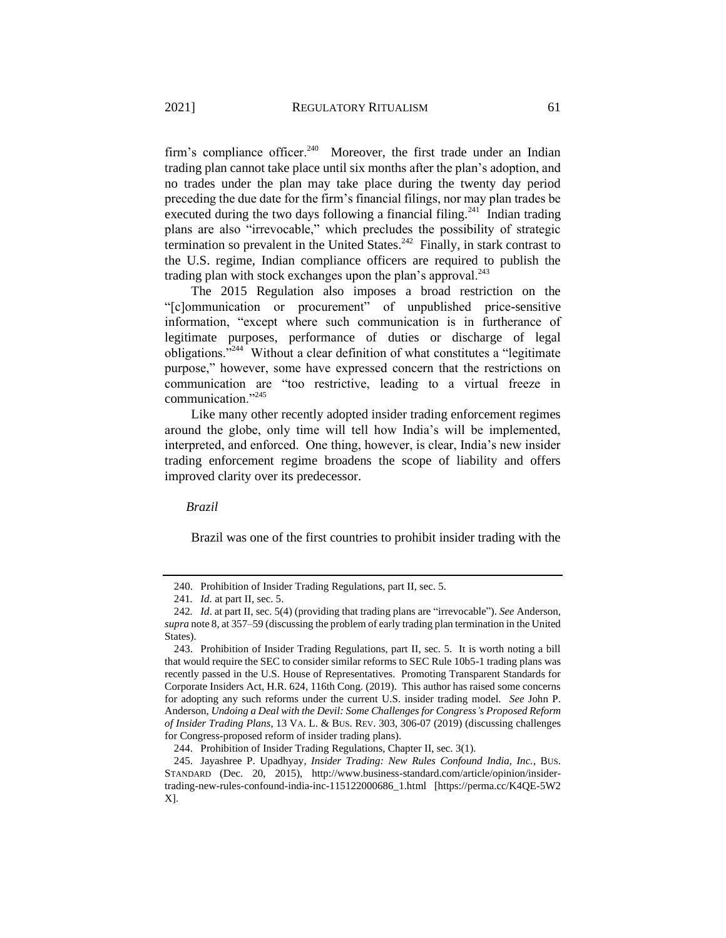firm's compliance officer.<sup>240</sup> Moreover, the first trade under an Indian trading plan cannot take place until six months after the plan's adoption, and no trades under the plan may take place during the twenty day period preceding the due date for the firm's financial filings, nor may plan trades be executed during the two days following a financial filing.<sup>241</sup> Indian trading plans are also "irrevocable," which precludes the possibility of strategic termination so prevalent in the United States. $242$  Finally, in stark contrast to the U.S. regime, Indian compliance officers are required to publish the trading plan with stock exchanges upon the plan's approval. $^{243}$ 

The 2015 Regulation also imposes a broad restriction on the "[c]ommunication or procurement" of unpublished price-sensitive information, "except where such communication is in furtherance of legitimate purposes, performance of duties or discharge of legal obligations."<sup>244</sup> Without a clear definition of what constitutes a "legitimate purpose," however, some have expressed concern that the restrictions on communication are "too restrictive, leading to a virtual freeze in communication."<sup>245</sup>

Like many other recently adopted insider trading enforcement regimes around the globe, only time will tell how India's will be implemented, interpreted, and enforced. One thing, however, is clear, India's new insider trading enforcement regime broadens the scope of liability and offers improved clarity over its predecessor.

*Brazil*

Brazil was one of the first countries to prohibit insider trading with the

<sup>240.</sup> Prohibition of Insider Trading Regulations, part II, sec. 5.

<sup>241</sup>*. Id.* at part II, sec. 5.

<sup>242</sup>*. Id*. at part II, sec. 5(4) (providing that trading plans are "irrevocable"). *See* Anderson, *supra* not[e 8,](#page-2-1) at 357–59 (discussing the problem of early trading plan termination in the United States).

<sup>243.</sup> Prohibition of Insider Trading Regulations, part II, sec. 5. It is worth noting a bill that would require the SEC to consider similar reforms to SEC Rule 10b5-1 trading plans was recently passed in the U.S. House of Representatives. Promoting Transparent Standards for Corporate Insiders Act, H.R. 624, 116th Cong. (2019). This author has raised some concerns for adopting any such reforms under the current U.S. insider trading model. *See* John P. Anderson, *Undoing a Deal with the Devil: Some Challenges for Congress's Proposed Reform of Insider Trading Plans*, 13 VA. L. & BUS. REV. 303, 306-07 (2019) (discussing challenges for Congress-proposed reform of insider trading plans).

<sup>244.</sup> Prohibition of Insider Trading Regulations, Chapter II, sec. 3(1).

<sup>245.</sup> Jayashree P. Upadhyay*, Insider Trading: New Rules Confound India, Inc.*, BUS. STANDARD (Dec. 20, 2015), http://www.business-standard.com/article/opinion/insidertrading-new-rules-confound-india-inc-115122000686\_1.html [https://perma.cc/K4QE-5W2 X].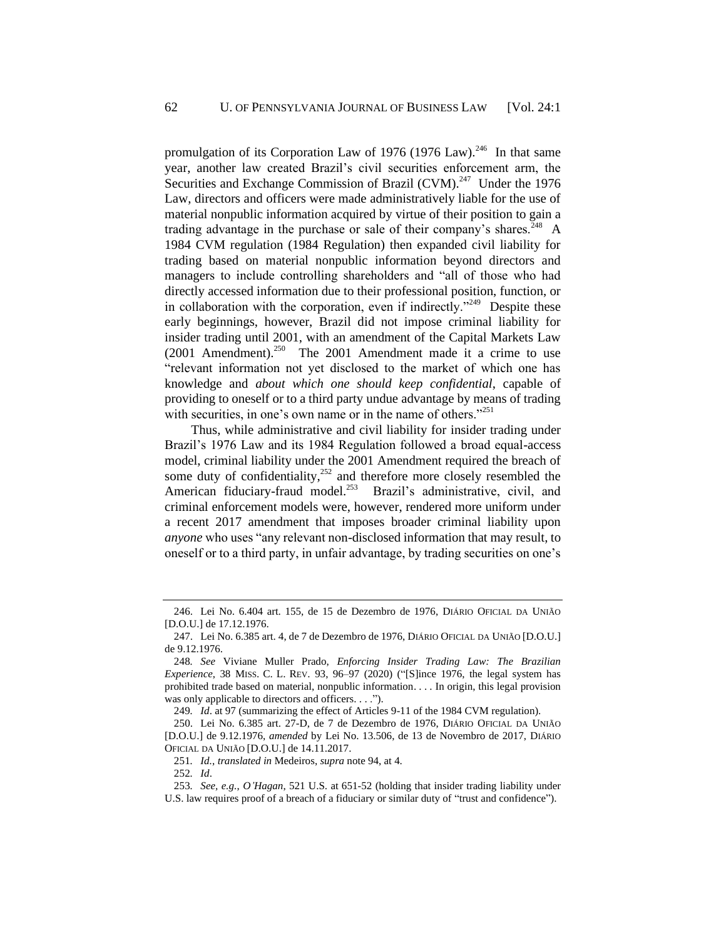<span id="page-37-0"></span>promulgation of its Corporation Law of 1976  $(1976 \text{ Law})$ .<sup>246</sup> In that same year, another law created Brazil's civil securities enforcement arm, the Securities and Exchange Commission of Brazil (CVM).<sup>247</sup> Under the 1976 Law, directors and officers were made administratively liable for the use of material nonpublic information acquired by virtue of their position to gain a trading advantage in the purchase or sale of their company's shares.<sup>248</sup> A 1984 CVM regulation (1984 Regulation) then expanded civil liability for trading based on material nonpublic information beyond directors and managers to include controlling shareholders and "all of those who had directly accessed information due to their professional position, function, or in collaboration with the corporation, even if indirectly."<sup>249</sup> Despite these early beginnings, however, Brazil did not impose criminal liability for insider trading until 2001, with an amendment of the Capital Markets Law  $(2001$  Amendment).<sup>250</sup> The 2001 Amendment made it a crime to use "relevant information not yet disclosed to the market of which one has knowledge and *about which one should keep confidential*, capable of providing to oneself or to a third party undue advantage by means of trading with securities, in one's own name or in the name of others."<sup>251</sup>

Thus, while administrative and civil liability for insider trading under Brazil's 1976 Law and its 1984 Regulation followed a broad equal-access model, criminal liability under the 2001 Amendment required the breach of some duty of confidentiality, $^{252}$  and therefore more closely resembled the American fiduciary-fraud model.<sup>253</sup> Brazil's administrative, civil, and criminal enforcement models were, however, rendered more uniform under a recent 2017 amendment that imposes broader criminal liability upon *anyone* who uses "any relevant non-disclosed information that may result, to oneself or to a third party, in unfair advantage, by trading securities on one's

251*. Id.*, *translated in* Medeiros, *supra* not[e 94,](#page-16-4) at 4.

252*. Id*.

<sup>246.</sup> Lei No. 6.404 art. 155, de 15 de Dezembro de 1976, DIÁRIO OFICIAL DA UNIÃO [D.O.U.] de 17.12.1976.

<sup>247.</sup> Lei No. 6.385 art. 4, de 7 de Dezembro de 1976, DIÁRIO OFICIAL DA UNIÃO [D.O.U.] de 9.12.1976.

<sup>248</sup>*. See* Viviane Muller Prado, *Enforcing Insider Trading Law: The Brazilian Experience*, 38 MISS. C. L. REV. 93, 96–97 (2020) ("[S]ince 1976, the legal system has prohibited trade based on material, nonpublic information. . . . In origin, this legal provision was only applicable to directors and officers. . . .").

<sup>249</sup>*. Id*. at 97 (summarizing the effect of Articles 9-11 of the 1984 CVM regulation).

<sup>250.</sup> Lei No. 6.385 art. 27-D, de 7 de Dezembro de 1976, DIÁRIO OFICIAL DA UNIÃO [D.O.U.] de 9.12.1976, *amended* by Lei No. 13.506, de 13 de Novembro de 2017, DIÁRIO OFICIAL DA UNIÃO [D.O.U.] de 14.11.2017.

<sup>253</sup>*. See, e.g.*, *O'Hagan*, 521 U.S. at 651-52 (holding that insider trading liability under U.S. law requires proof of a breach of a fiduciary or similar duty of "trust and confidence").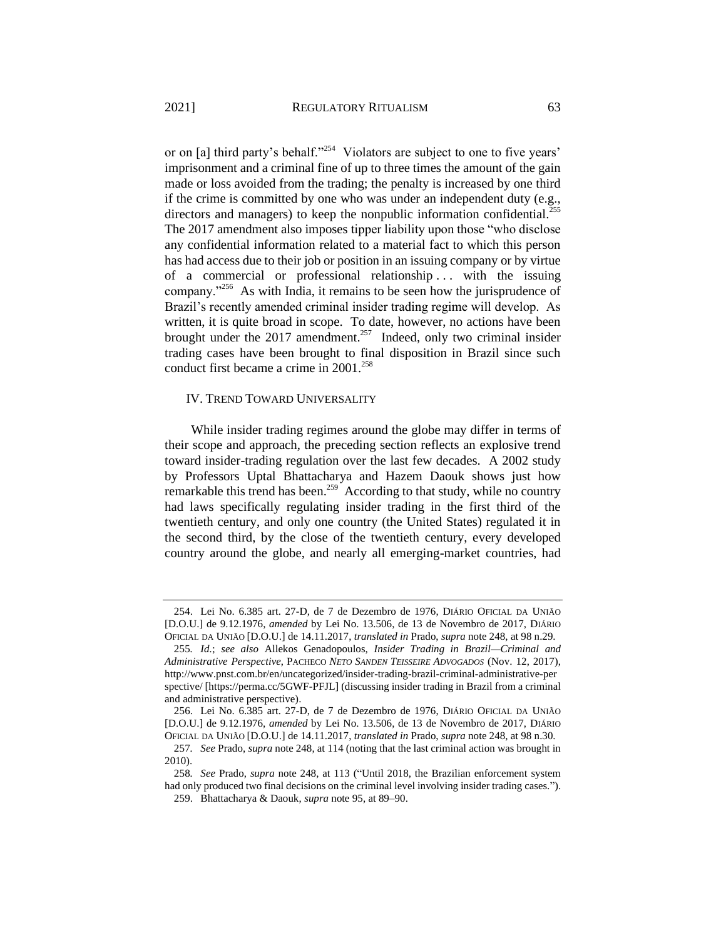or on [a] third party's behalf."<sup>254</sup> Violators are subject to one to five years' imprisonment and a criminal fine of up to three times the amount of the gain made or loss avoided from the trading; the penalty is increased by one third if the crime is committed by one who was under an independent duty (e.g., directors and managers) to keep the nonpublic information confidential.<sup>2</sup> The 2017 amendment also imposes tipper liability upon those "who disclose any confidential information related to a material fact to which this person has had access due to their job or position in an issuing company or by virtue of a commercial or professional relationship . . . with the issuing company."<sup>256</sup> As with India, it remains to be seen how the jurisprudence of Brazil's recently amended criminal insider trading regime will develop. As written, it is quite broad in scope. To date, however, no actions have been brought under the  $2017$  amendment.<sup>257</sup> Indeed, only two criminal insider trading cases have been brought to final disposition in Brazil since such conduct first became a crime in  $2001$ <sup>258</sup>

### IV. TREND TOWARD UNIVERSALITY

While insider trading regimes around the globe may differ in terms of their scope and approach, the preceding section reflects an explosive trend toward insider-trading regulation over the last few decades. A 2002 study by Professors Uptal Bhattacharya and Hazem Daouk shows just how remarkable this trend has been.<sup>259</sup> According to that study, while no country had laws specifically regulating insider trading in the first third of the twentieth century, and only one country (the United States) regulated it in the second third, by the close of the twentieth century, every developed country around the globe, and nearly all emerging-market countries, had

<sup>254.</sup> Lei No. 6.385 art. 27-D, de 7 de Dezembro de 1976, DIÁRIO OFICIAL DA UNIÃO [D.O.U.] de 9.12.1976, *amended* by Lei No. 13.506, de 13 de Novembro de 2017, DIÁRIO OFICIAL DA UNIÃO [D.O.U.] de 14.11.2017, *translated in* Prado, *supra* not[e 248,](#page-37-0) at 98 n.29.

<sup>255</sup>*. Id.*; *see also* Allekos Genadopoulos, *Insider Trading in Brazil—Criminal and Administrative Perspective*, PACHECO *NETO SANDEN TEISSEIRE ADVOGADOS* (Nov. 12, 2017), http://www.pnst.com.br/en/uncategorized/insider-trading-brazil-criminal-administrative-per spective/ [https://perma.cc/5GWF-PFJL] (discussing insider trading in Brazil from a criminal and administrative perspective).

<sup>256.</sup> Lei No. 6.385 art. 27-D, de 7 de Dezembro de 1976, DIÁRIO OFICIAL DA UNIÃO [D.O.U.] de 9.12.1976, *amended* by Lei No. 13.506, de 13 de Novembro de 2017, DIÁRIO OFICIAL DA UNIÃO [D.O.U.] de 14.11.2017, *translated in* Prado, *supra* not[e 248,](#page-37-0) at 98 n.30.

<sup>257</sup>*. See* Prado, *supra* not[e 248,](#page-37-0) at 114 (noting that the last criminal action was brought in 2010).

<sup>258</sup>*. See* Prado, *supra* note [248,](#page-37-0) at 113 ("Until 2018, the Brazilian enforcement system had only produced two final decisions on the criminal level involving insider trading cases.").

<sup>259.</sup> Bhattacharya & Daouk, *supra* note [95,](#page-17-1) at 89–90.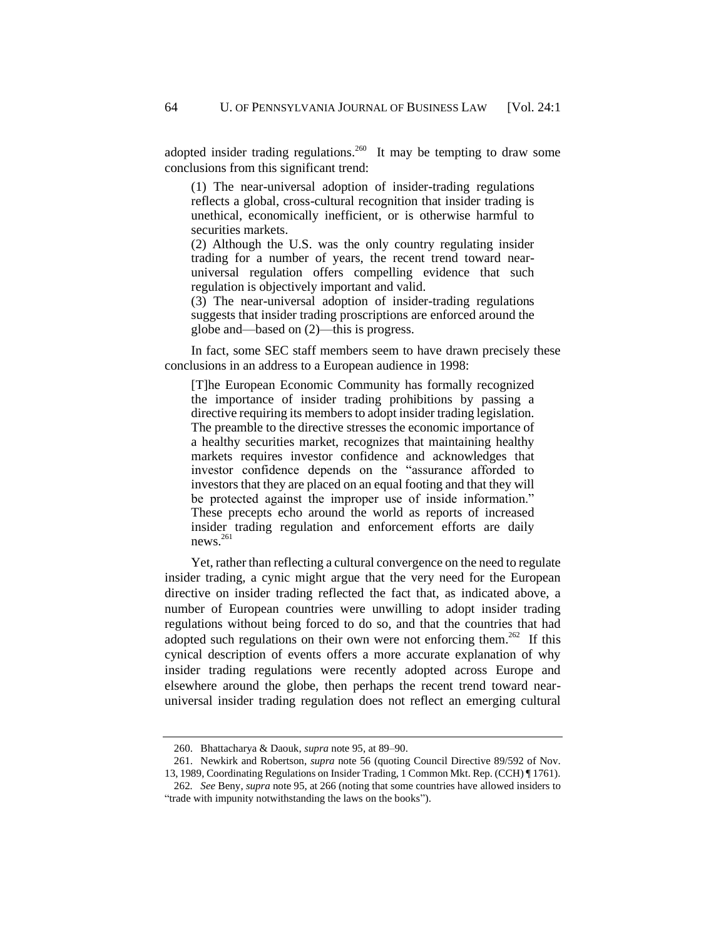adopted insider trading regulations.<sup>260</sup> It may be tempting to draw some conclusions from this significant trend:

(1) The near-universal adoption of insider-trading regulations reflects a global, cross-cultural recognition that insider trading is unethical, economically inefficient, or is otherwise harmful to securities markets.

(2) Although the U.S. was the only country regulating insider trading for a number of years, the recent trend toward nearuniversal regulation offers compelling evidence that such regulation is objectively important and valid.

(3) The near-universal adoption of insider-trading regulations suggests that insider trading proscriptions are enforced around the globe and—based on (2)—this is progress.

In fact, some SEC staff members seem to have drawn precisely these conclusions in an address to a European audience in 1998:

[T]he European Economic Community has formally recognized the importance of insider trading prohibitions by passing a directive requiring its members to adopt insider trading legislation. The preamble to the directive stresses the economic importance of a healthy securities market, recognizes that maintaining healthy markets requires investor confidence and acknowledges that investor confidence depends on the "assurance afforded to investors that they are placed on an equal footing and that they will be protected against the improper use of inside information." These precepts echo around the world as reports of increased insider trading regulation and enforcement efforts are daily news.<sup>261</sup>

Yet, rather than reflecting a cultural convergence on the need to regulate insider trading, a cynic might argue that the very need for the European directive on insider trading reflected the fact that, as indicated above, a number of European countries were unwilling to adopt insider trading regulations without being forced to do so, and that the countries that had adopted such regulations on their own were not enforcing them.<sup>262</sup> If this cynical description of events offers a more accurate explanation of why insider trading regulations were recently adopted across Europe and elsewhere around the globe, then perhaps the recent trend toward nearuniversal insider trading regulation does not reflect an emerging cultural

<sup>260.</sup> Bhattacharya & Daouk, *supra* note [95,](#page-17-1) at 89–90.

<sup>261.</sup> Newkirk and Robertson, *supra* note [56](#page-11-1) (quoting Council Directive 89/592 of Nov. 13, 1989, Coordinating Regulations on Insider Trading, 1 Common Mkt. Rep. (CCH) ¶ 1761).

<sup>262</sup>*. See* Beny, *supra* note [95,](#page-17-1) at 266 (noting that some countries have allowed insiders to "trade with impunity notwithstanding the laws on the books").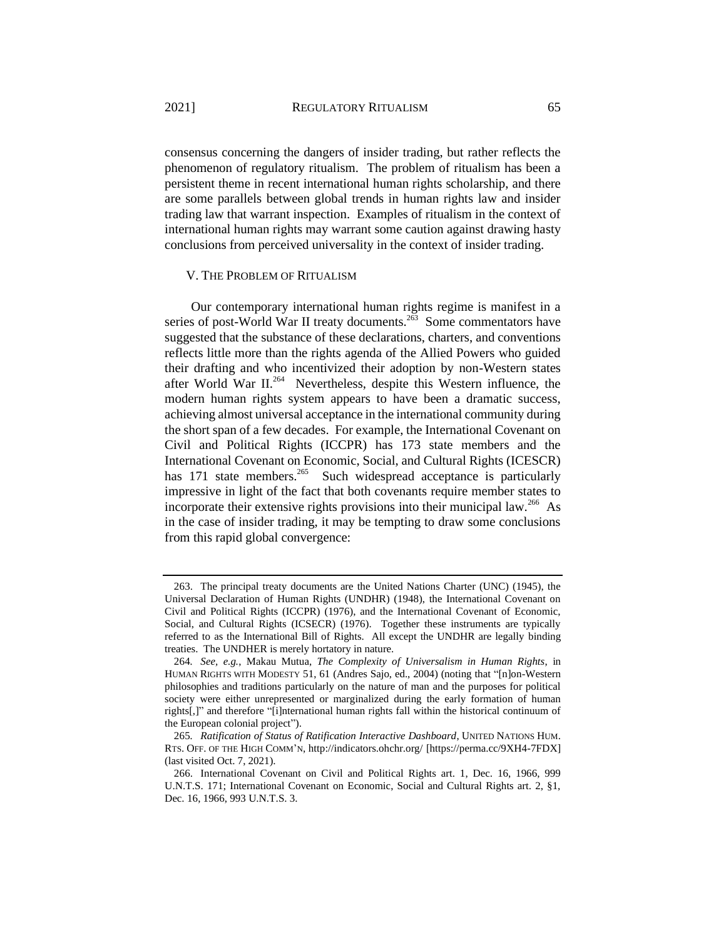consensus concerning the dangers of insider trading, but rather reflects the phenomenon of regulatory ritualism. The problem of ritualism has been a persistent theme in recent international human rights scholarship, and there are some parallels between global trends in human rights law and insider trading law that warrant inspection. Examples of ritualism in the context of international human rights may warrant some caution against drawing hasty conclusions from perceived universality in the context of insider trading.

## <span id="page-40-0"></span>V. THE PROBLEM OF RITUALISM

Our contemporary international human rights regime is manifest in a series of post-World War II treaty documents.<sup>263</sup> Some commentators have suggested that the substance of these declarations, charters, and conventions reflects little more than the rights agenda of the Allied Powers who guided their drafting and who incentivized their adoption by non-Western states after World War II.<sup>264</sup> Nevertheless, despite this Western influence, the modern human rights system appears to have been a dramatic success, achieving almost universal acceptance in the international community during the short span of a few decades. For example, the International Covenant on Civil and Political Rights (ICCPR) has 173 state members and the International Covenant on Economic, Social, and Cultural Rights (ICESCR) has 171 state members.<sup>265</sup> Such widespread acceptance is particularly impressive in light of the fact that both covenants require member states to incorporate their extensive rights provisions into their municipal law.<sup>266</sup> As in the case of insider trading, it may be tempting to draw some conclusions from this rapid global convergence:

<sup>263.</sup> The principal treaty documents are the United Nations Charter (UNC) (1945), the Universal Declaration of Human Rights (UNDHR) (1948), the International Covenant on Civil and Political Rights (ICCPR) (1976), and the International Covenant of Economic, Social, and Cultural Rights (ICSECR) (1976). Together these instruments are typically referred to as the International Bill of Rights. All except the UNDHR are legally binding treaties. The UNDHER is merely hortatory in nature.

<sup>264</sup>*. See, e.g.*, Makau Mutua, *The Complexity of Universalism in Human Rights*, in HUMAN RIGHTS WITH MODESTY 51, 61 (Andres Sajo, ed., 2004) (noting that "[n]on-Western philosophies and traditions particularly on the nature of man and the purposes for political society were either unrepresented or marginalized during the early formation of human rights[,]" and therefore "[i]nternational human rights fall within the historical continuum of the European colonial project").

<sup>265</sup>*. Ratification of Status of Ratification Interactive Dashboard*, UNITED NATIONS HUM. RTS. OFF. OF THE HIGH COMM'N, http://indicators.ohchr.org/ [https://perma.cc/9XH4-7FDX] (last visited Oct. 7, 2021).

<sup>266.</sup> International Covenant on Civil and Political Rights art. 1, Dec. 16, 1966, 999 U.N.T.S. 171; International Covenant on Economic, Social and Cultural Rights art. 2, §1, Dec. 16, 1966, 993 U.N.T.S. 3.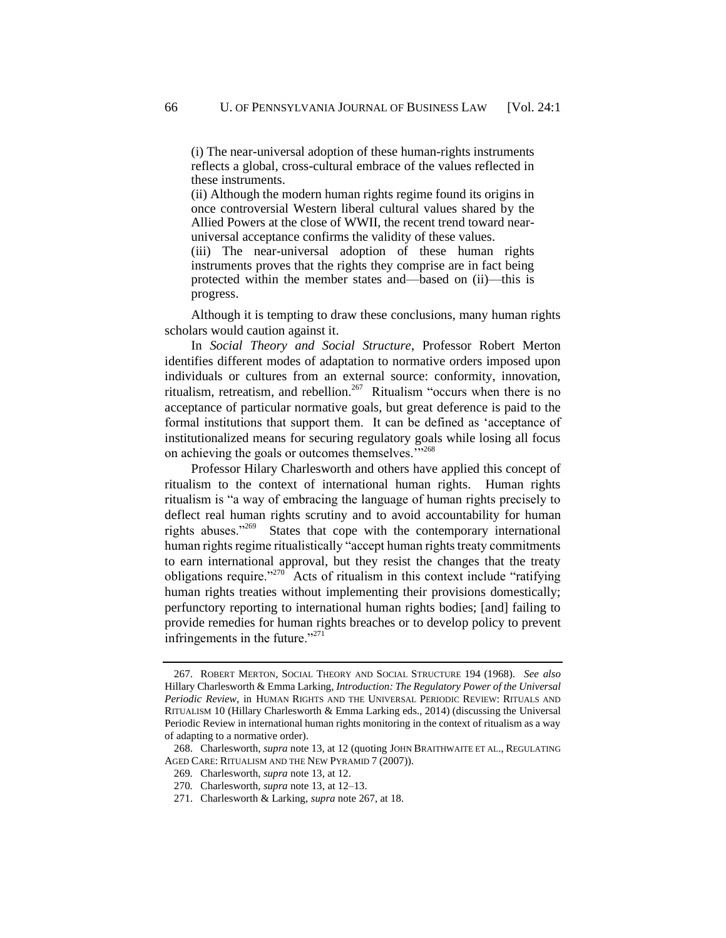(i) The near-universal adoption of these human-rights instruments reflects a global, cross-cultural embrace of the values reflected in these instruments.

(ii) Although the modern human rights regime found its origins in once controversial Western liberal cultural values shared by the Allied Powers at the close of WWII, the recent trend toward nearuniversal acceptance confirms the validity of these values.

(iii) The near-universal adoption of these human rights instruments proves that the rights they comprise are in fact being protected within the member states and—based on (ii)—this is progress.

Although it is tempting to draw these conclusions, many human rights scholars would caution against it.

<span id="page-41-0"></span>In *Social Theory and Social Structure*, Professor Robert Merton identifies different modes of adaptation to normative orders imposed upon individuals or cultures from an external source: conformity, innovation, ritualism, retreatism, and rebellion.<sup>267</sup> Ritualism "occurs when there is no acceptance of particular normative goals, but great deference is paid to the formal institutions that support them. It can be defined as 'acceptance of institutionalized means for securing regulatory goals while losing all focus on achieving the goals or outcomes themselves."<sup>268</sup>

Professor Hilary Charlesworth and others have applied this concept of ritualism to the context of international human rights. Human rights ritualism is "a way of embracing the language of human rights precisely to deflect real human rights scrutiny and to avoid accountability for human rights abuses."<sup>269</sup> States that cope with the contemporary international human rights regime ritualistically "accept human rights treaty commitments to earn international approval, but they resist the changes that the treaty obligations require."<sup>270</sup> Acts of ritualism in this context include "ratifying human rights treaties without implementing their provisions domestically; perfunctory reporting to international human rights bodies; [and] failing to provide remedies for human rights breaches or to develop policy to prevent infringements in the future."<sup>271</sup>

<sup>267.</sup> ROBERT MERTON, SOCIAL THEORY AND SOCIAL STRUCTURE 194 (1968). *See also* Hillary Charlesworth & Emma Larking, *Introduction: The Regulatory Power of the Universal Periodic Review*, in HUMAN RIGHTS AND THE UNIVERSAL PERIODIC REVIEW: RITUALS AND RITUALISM 10 (Hillary Charlesworth & Emma Larking eds., 2014) (discussing the Universal Periodic Review in international human rights monitoring in the context of ritualism as a way of adapting to a normative order).

<sup>268.</sup> Charlesworth, *supra* not[e 13,](#page-4-1) at 12 (quoting JOHN BRAITHWAITE ET AL., REGULATING AGED CARE: RITUALISM AND THE NEW PYRAMID 7 (2007)).

<sup>269</sup>*.* Charlesworth, *supra* not[e 13,](#page-4-1) at 12.

<sup>270</sup>*.* Charlesworth, *supra* not[e 13,](#page-4-1) at 12–13.

<sup>271.</sup> Charlesworth & Larking, *supra* not[e 267,](#page-41-0) at 18.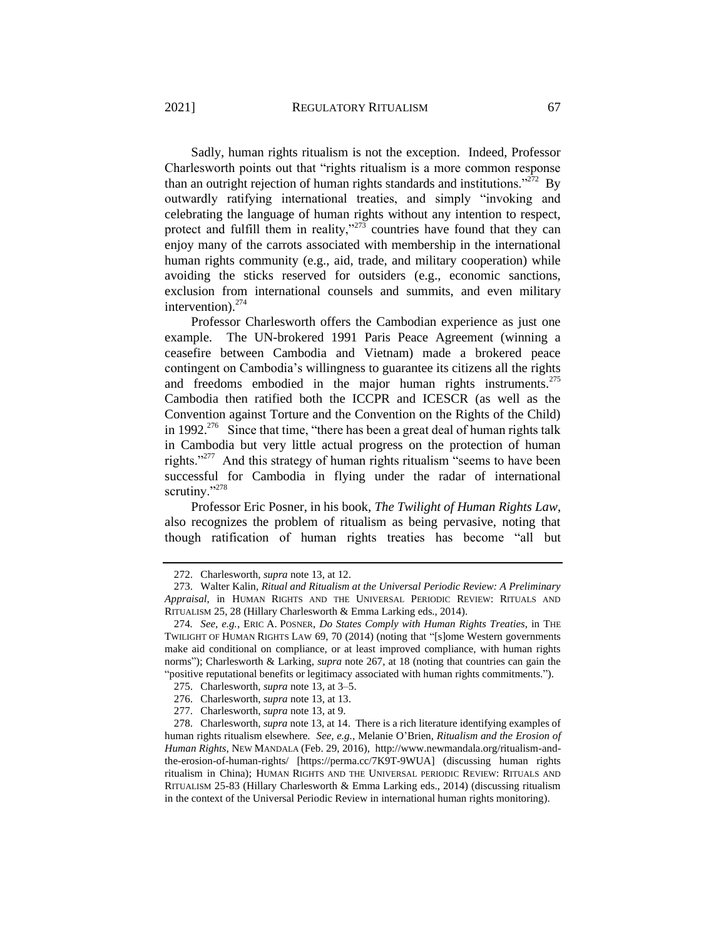<span id="page-42-1"></span>Sadly, human rights ritualism is not the exception. Indeed, Professor Charlesworth points out that "rights ritualism is a more common response than an outright rejection of human rights standards and institutions."<sup>272</sup> By outwardly ratifying international treaties, and simply "invoking and celebrating the language of human rights without any intention to respect, protect and fulfill them in reality," $273$  countries have found that they can enjoy many of the carrots associated with membership in the international human rights community (e.g., aid, trade, and military cooperation) while avoiding the sticks reserved for outsiders (e.g., economic sanctions, exclusion from international counsels and summits, and even military intervention). $274$ 

<span id="page-42-0"></span>Professor Charlesworth offers the Cambodian experience as just one example. The UN-brokered 1991 Paris Peace Agreement (winning a ceasefire between Cambodia and Vietnam) made a brokered peace contingent on Cambodia's willingness to guarantee its citizens all the rights and freedoms embodied in the major human rights instruments.<sup>275</sup> Cambodia then ratified both the ICCPR and ICESCR (as well as the Convention against Torture and the Convention on the Rights of the Child) in 1992.<sup>276</sup> Since that time, "there has been a great deal of human rights talk in Cambodia but very little actual progress on the protection of human rights."<sup>277</sup> And this strategy of human rights ritualism "seems to have been successful for Cambodia in flying under the radar of international scrutiny."<sup>278</sup>

Professor Eric Posner, in his book, *The Twilight of Human Rights Law*, also recognizes the problem of ritualism as being pervasive, noting that though ratification of human rights treaties has become "all but

<sup>272.</sup> Charlesworth, *supra* not[e 13,](#page-4-1) at 12.

<sup>273.</sup> Walter Kalin, *Ritual and Ritualism at the Universal Periodic Review: A Preliminary Appraisal*, in HUMAN RIGHTS AND THE UNIVERSAL PERIODIC REVIEW: RITUALS AND RITUALISM 25, 28 (Hillary Charlesworth & Emma Larking eds., 2014).

<sup>274</sup>*. See, e.g.*, ERIC A. POSNER, *Do States Comply with Human Rights Treaties*, in THE TWILIGHT OF HUMAN RIGHTS LAW 69, 70 (2014) (noting that "[s]ome Western governments make aid conditional on compliance, or at least improved compliance, with human rights norms"); Charlesworth & Larking, *supra* note [267,](#page-41-0) at 18 (noting that countries can gain the "positive reputational benefits or legitimacy associated with human rights commitments.").

<sup>275.</sup> Charlesworth, *supra* not[e 13,](#page-4-1) at 3–5.

<sup>276.</sup> Charlesworth, *supra* not[e 13,](#page-4-1) at 13.

<sup>277.</sup> Charlesworth, *supra* not[e 13,](#page-4-1) at 9.

<sup>278.</sup> Charlesworth, *supra* not[e 13,](#page-4-1) at 14. There is a rich literature identifying examples of human rights ritualism elsewhere*. See, e.g.*, Melanie O'Brien, *Ritualism and the Erosion of Human Rights*, NEW MANDALA (Feb. 29, 2016), http://www.newmandala.org/ritualism-andthe-erosion-of-human-rights/ [https://perma.cc/7K9T-9WUA] (discussing human rights ritualism in China); HUMAN RIGHTS AND THE UNIVERSAL PERIODIC REVIEW: RITUALS AND RITUALISM 25-83 (Hillary Charlesworth & Emma Larking eds., 2014) (discussing ritualism in the context of the Universal Periodic Review in international human rights monitoring).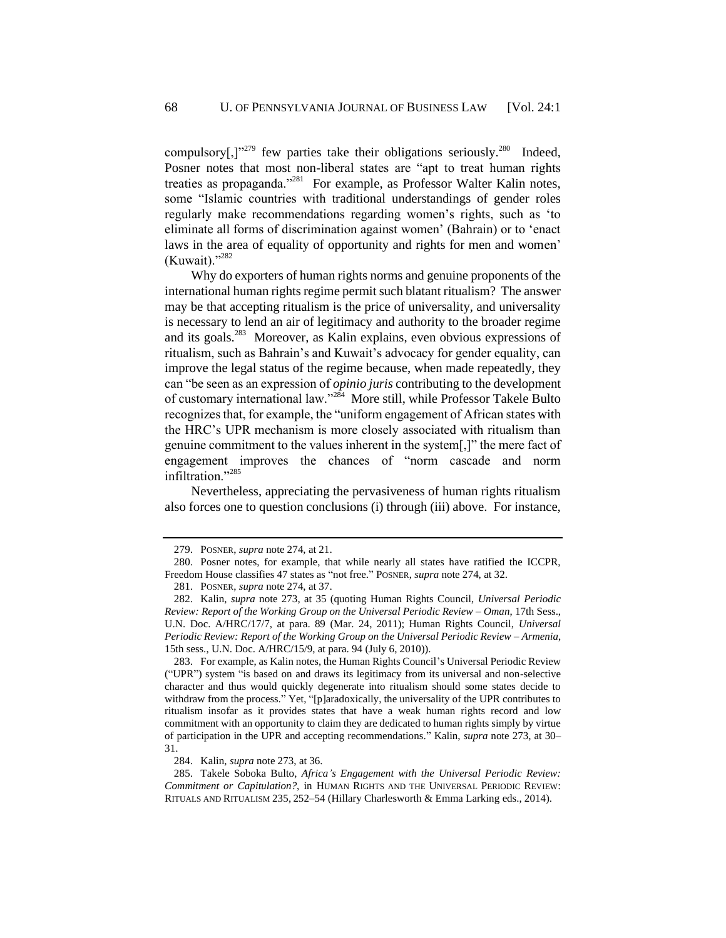compulsory[,] $v^{279}$  few parties take their obligations seriously.<sup>280</sup> Indeed, Posner notes that most non-liberal states are "apt to treat human rights treaties as propaganda."<sup>281</sup> For example, as Professor Walter Kalin notes, some "Islamic countries with traditional understandings of gender roles regularly make recommendations regarding women's rights, such as 'to eliminate all forms of discrimination against women' (Bahrain) or to 'enact laws in the area of equality of opportunity and rights for men and women'  $(Kuwait).$ "<sup>282</sup>

Why do exporters of human rights norms and genuine proponents of the international human rights regime permit such blatant ritualism? The answer may be that accepting ritualism is the price of universality, and universality is necessary to lend an air of legitimacy and authority to the broader regime and its goals.<sup>283</sup> Moreover, as Kalin explains, even obvious expressions of ritualism, such as Bahrain's and Kuwait's advocacy for gender equality, can improve the legal status of the regime because, when made repeatedly, they can "be seen as an expression of *opinio juris* contributing to the development of customary international law."<sup>284</sup> More still, while Professor Takele Bulto recognizes that, for example, the "uniform engagement of African states with the HRC's UPR mechanism is more closely associated with ritualism than genuine commitment to the values inherent in the system[,]" the mere fact of engagement improves the chances of "norm cascade and norm infiltration."<sup>285</sup>

Nevertheless, appreciating the pervasiveness of human rights ritualism also forces one to question conclusions (i) through (iii) above. For instance,

<sup>279.</sup> POSNER, *supra* not[e 274,](#page-42-0) at 21.

<sup>280.</sup> Posner notes, for example, that while nearly all states have ratified the ICCPR, Freedom House classifies 47 states as "not free." POSNER, *supra* note [274,](#page-42-0) at 32.

<sup>281.</sup> POSNER, *supra* not[e 274,](#page-42-0) at 37.

<sup>282.</sup> Kalin, *supra* note [273,](#page-42-1) at 35 (quoting Human Rights Council, *Universal Periodic Review: Report of the Working Group on the Universal Periodic Review – Oman*, 17th Sess., U.N. Doc. A/HRC/17/7, at para. 89 (Mar. 24, 2011); Human Rights Council, *Universal Periodic Review: Report of the Working Group on the Universal Periodic Review – Armenia*, 15th sess., U.N. Doc. A/HRC/15/9, at para. 94 (July 6, 2010)).

<sup>283.</sup> For example, as Kalin notes, the Human Rights Council's Universal Periodic Review ("UPR") system "is based on and draws its legitimacy from its universal and non-selective character and thus would quickly degenerate into ritualism should some states decide to withdraw from the process." Yet, "[p]aradoxically, the universality of the UPR contributes to ritualism insofar as it provides states that have a weak human rights record and low commitment with an opportunity to claim they are dedicated to human rights simply by virtue of participation in the UPR and accepting recommendations." Kalin, *supra* note [273,](#page-42-1) at 30– 31.

<sup>284.</sup> Kalin, *supra* not[e 273,](#page-42-1) at 36.

<sup>285.</sup> Takele Soboka Bulto, *Africa's Engagement with the Universal Periodic Review: Commitment or Capitulation?*, in HUMAN RIGHTS AND THE UNIVERSAL PERIODIC REVIEW: RITUALS AND RITUALISM 235, 252–54 (Hillary Charlesworth & Emma Larking eds., 2014).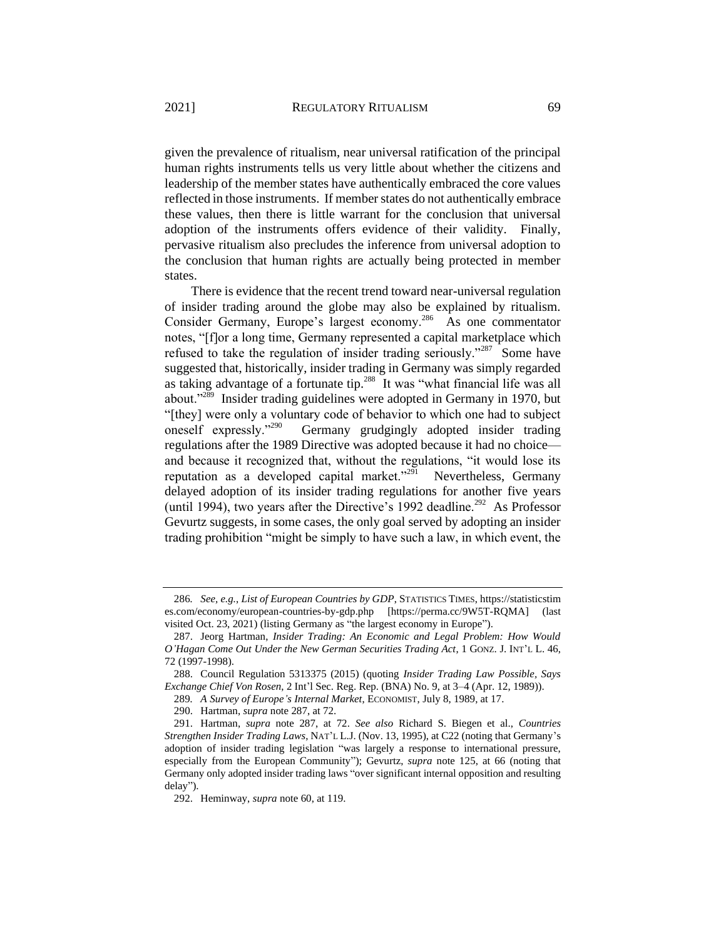given the prevalence of ritualism, near universal ratification of the principal human rights instruments tells us very little about whether the citizens and leadership of the member states have authentically embraced the core values reflected in those instruments. If member states do not authentically embrace these values, then there is little warrant for the conclusion that universal adoption of the instruments offers evidence of their validity. Finally, pervasive ritualism also precludes the inference from universal adoption to the conclusion that human rights are actually being protected in member states.

<span id="page-44-0"></span>There is evidence that the recent trend toward near-universal regulation of insider trading around the globe may also be explained by ritualism. Consider Germany, Europe's largest economy.<sup>286</sup> As one commentator notes, "[f]or a long time, Germany represented a capital marketplace which refused to take the regulation of insider trading seriously."<sup>287</sup> Some have suggested that, historically, insider trading in Germany was simply regarded as taking advantage of a fortunate tip.<sup>288</sup> It was "what financial life was all about."<sup>289</sup> Insider trading guidelines were adopted in Germany in 1970, but "[they] were only a voluntary code of behavior to which one had to subject oneself expressly."<sup>290</sup> Germany grudgingly adopted insider trading regulations after the 1989 Directive was adopted because it had no choice and because it recognized that, without the regulations, "it would lose its reputation as a developed capital market."<sup>291</sup> Nevertheless, Germany delayed adoption of its insider trading regulations for another five years (until 1994), two years after the Directive's 1992 deadline.<sup>292</sup> As Professor Gevurtz suggests, in some cases, the only goal served by adopting an insider trading prohibition "might be simply to have such a law, in which event, the

<sup>286</sup>*. See, e.g.*, *List of European Countries by GDP*, STATISTICS TIMES, https://statisticstim es.com/economy/european-countries-by-gdp.php [https://perma.cc/9W5T-RQMA] (last visited Oct. 23, 2021) (listing Germany as "the largest economy in Europe").

<sup>287.</sup> Jeorg Hartman, *Insider Trading: An Economic and Legal Problem: How Would O'Hagan Come Out Under the New German Securities Trading Act*, 1 GONZ. J. INT'L L. 46, 72 (1997-1998).

<sup>288.</sup> Council Regulation 5313375 (2015) (quoting *Insider Trading Law Possible, Says Exchange Chief Von Rosen*, 2 Int'l Sec. Reg. Rep. (BNA) No. 9, at 3–4 (Apr. 12, 1989)).

<sup>289</sup>*. A Survey of Europe's Internal Market*, ECONOMIST, July 8, 1989, at 17.

<sup>290.</sup> Hartman, *supra* not[e 287,](#page-44-0) at 72.

<sup>291.</sup> Hartman, *supra* note [287,](#page-44-0) at 72. *See also* Richard S. Biegen et al., *Countries Strengthen Insider Trading Laws*, NAT'L L.J. (Nov. 13, 1995), at C22 (noting that Germany's adoption of insider trading legislation "was largely a response to international pressure, especially from the European Community"); Gevurtz, *supra* note [125,](#page-20-0) at 66 (noting that Germany only adopted insider trading laws "over significant internal opposition and resulting delay").

<sup>292.</sup> Heminway, *supra* not[e 60,](#page-12-1) at 119.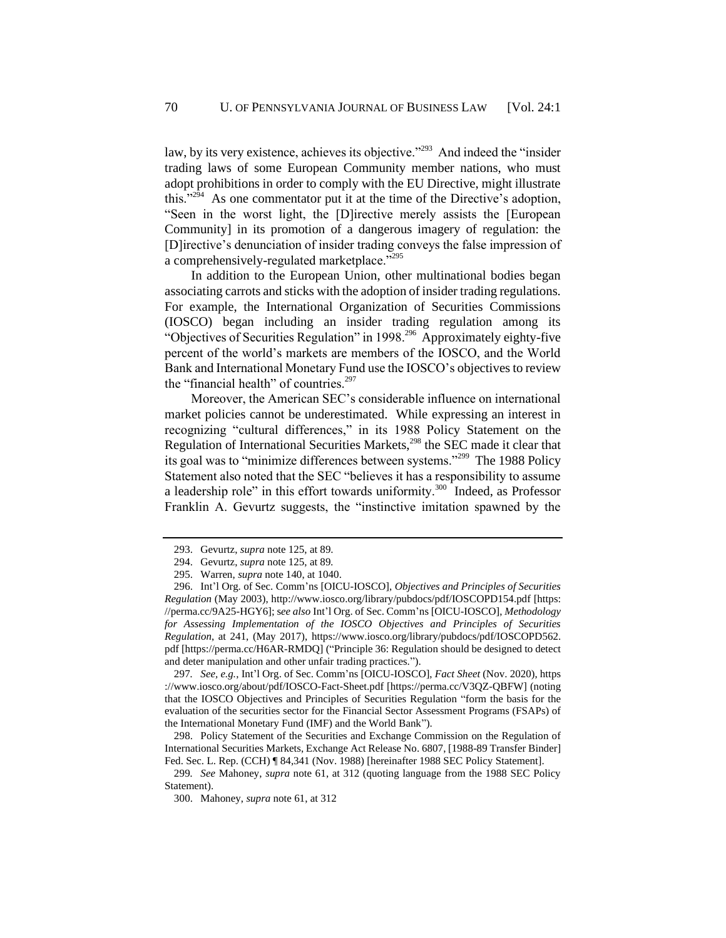law, by its very existence, achieves its objective."<sup>293</sup> And indeed the "insider trading laws of some European Community member nations, who must adopt prohibitions in order to comply with the EU Directive, might illustrate this."<sup>294</sup> As one commentator put it at the time of the Directive's adoption, "Seen in the worst light, the [D]irective merely assists the [European Community] in its promotion of a dangerous imagery of regulation: the [D]irective's denunciation of insider trading conveys the false impression of a comprehensively-regulated marketplace."<sup>295</sup>

In addition to the European Union, other multinational bodies began associating carrots and sticks with the adoption of insider trading regulations. For example, the International Organization of Securities Commissions (IOSCO) began including an insider trading regulation among its "Objectives of Securities Regulation" in 1998.<sup>296</sup> Approximately eighty-five percent of the world's markets are members of the IOSCO, and the World Bank and International Monetary Fund use the IOSCO's objectives to review the "financial health" of countries. $297$ 

Moreover, the American SEC's considerable influence on international market policies cannot be underestimated. While expressing an interest in recognizing "cultural differences," in its 1988 Policy Statement on the Regulation of International Securities Markets,<sup>298</sup> the SEC made it clear that its goal was to "minimize differences between systems."<sup>299</sup> The 1988 Policy Statement also noted that the SEC "believes it has a responsibility to assume a leadership role" in this effort towards uniformity.<sup>300</sup> Indeed, as Professor Franklin A. Gevurtz suggests, the "instinctive imitation spawned by the

297*. See, e.g.*, Int'l Org. of Sec. Comm'ns [OICU-IOSCO], *Fact Sheet* (Nov. 2020), https ://www.iosco.org/about/pdf/IOSCO-Fact-Sheet.pdf [https://perma.cc/V3QZ-QBFW] (noting that the IOSCO Objectives and Principles of Securities Regulation "form the basis for the evaluation of the securities sector for the Financial Sector Assessment Programs (FSAPs) of the International Monetary Fund (IMF) and the World Bank").

298. Policy Statement of the Securities and Exchange Commission on the Regulation of International Securities Markets, Exchange Act Release No. 6807, [1988-89 Transfer Binder] Fed. Sec. L. Rep. (CCH) [84,341 (Nov. 1988) [hereinafter 1988 SEC Policy Statement].

299*. See* Mahoney, *supra* note [61,](#page-12-2) at 312 (quoting language from the 1988 SEC Policy Statement).

300. Mahoney, *supra* not[e 61,](#page-12-2) at 312

<sup>293.</sup> Gevurtz, *supra* not[e 125,](#page-20-0) at 89.

<sup>294.</sup> Gevurtz, *supra* not[e 125,](#page-20-0) at 89*.*

<sup>295.</sup> Warren, *supra* not[e 140,](#page-22-1) at 1040.

<sup>296.</sup> Int'l Org. of Sec. Comm'ns [OICU-IOSCO], *Objectives and Principles of Securities Regulation* (May 2003), http://www.iosco.org/library/pubdocs/pdf/IOSCOPD154.pdf [https: //perma.cc/9A25-HGY6]; s*ee also* Int'l Org. of Sec. Comm'ns [OICU-IOSCO], *Methodology for Assessing Implementation of the IOSCO Objectives and Principles of Securities Regulation*, at 241, (May 2017), https://www.iosco.org/library/pubdocs/pdf/IOSCOPD562. pdf [https://perma.cc/H6AR-RMDQ] ("Principle 36: Regulation should be designed to detect and deter manipulation and other unfair trading practices.").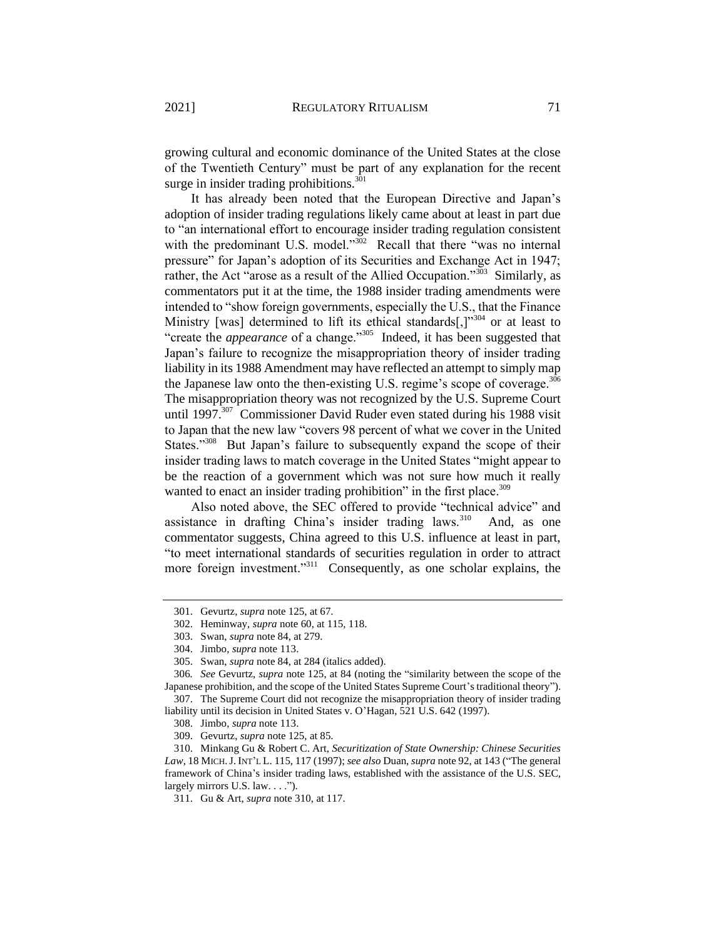growing cultural and economic dominance of the United States at the close of the Twentieth Century" must be part of any explanation for the recent surge in insider trading prohibitions. $301$ 

It has already been noted that the European Directive and Japan's adoption of insider trading regulations likely came about at least in part due to "an international effort to encourage insider trading regulation consistent with the predominant U.S. model."<sup>302</sup> Recall that there "was no internal pressure" for Japan's adoption of its Securities and Exchange Act in 1947; rather, the Act "arose as a result of the Allied Occupation."<sup>303</sup> Similarly, as commentators put it at the time, the 1988 insider trading amendments were intended to "show foreign governments, especially the U.S., that the Finance Ministry [was] determined to lift its ethical standards[ $,$ ]<sup>304</sup> or at least to "create the *appearance* of a change."<sup>305</sup> Indeed, it has been suggested that Japan's failure to recognize the misappropriation theory of insider trading liability in its 1988 Amendment may have reflected an attempt to simply map the Japanese law onto the then-existing U.S. regime's scope of coverage.<sup>306</sup> The misappropriation theory was not recognized by the U.S. Supreme Court until 1997. $307$  Commissioner David Ruder even stated during his 1988 visit to Japan that the new law "covers 98 percent of what we cover in the United States."<sup>308</sup> But Japan's failure to subsequently expand the scope of their insider trading laws to match coverage in the United States "might appear to be the reaction of a government which was not sure how much it really wanted to enact an insider trading prohibition" in the first place.<sup>309</sup>

<span id="page-46-0"></span>Also noted above, the SEC offered to provide "technical advice" and assistance in drafting China's insider trading laws. $310$  And, as one commentator suggests, China agreed to this U.S. influence at least in part, "to meet international standards of securities regulation in order to attract more foreign investment."<sup>311</sup> Consequently, as one scholar explains, the

306*. See* Gevurtz, *supra* not[e 125,](#page-20-0) at 84 (noting the "similarity between the scope of the Japanese prohibition, and the scope of the United States Supreme Court's traditional theory").

307. The Supreme Court did not recognize the misappropriation theory of insider trading liability until its decision in United States v. O'Hagan, 521 U.S. 642 (1997).

<sup>301.</sup> Gevurtz, *supra* not[e 125,](#page-20-0) at 67.

<sup>302.</sup> Heminway, *supra* not[e 60,](#page-12-1) at 115, 118.

<sup>303.</sup> Swan, *supra* not[e 84,](#page-15-1) at 279.

<sup>304.</sup> Jimbo, *supra* not[e 113.](#page-18-0)

<sup>305.</sup> Swan, *supra* not[e 84,](#page-15-1) at 284 (italics added).

<sup>308.</sup> Jimbo, *supra* not[e 113.](#page-18-0)

<sup>309.</sup> Gevurtz, *supra* not[e 125,](#page-20-0) at 85.

<sup>310.</sup> Minkang Gu & Robert C. Art, *Securitization of State Ownership: Chinese Securities Law*, 18 MICH.J. INT'L L. 115, 117 (1997); *see also* Duan, *supra* not[e 92,](#page-16-1) at 143 ("The general framework of China's insider trading laws, established with the assistance of the U.S. SEC, largely mirrors U.S. law. . . .").

<sup>311.</sup> Gu & Art, *supra* not[e 310,](#page-46-0) at 117.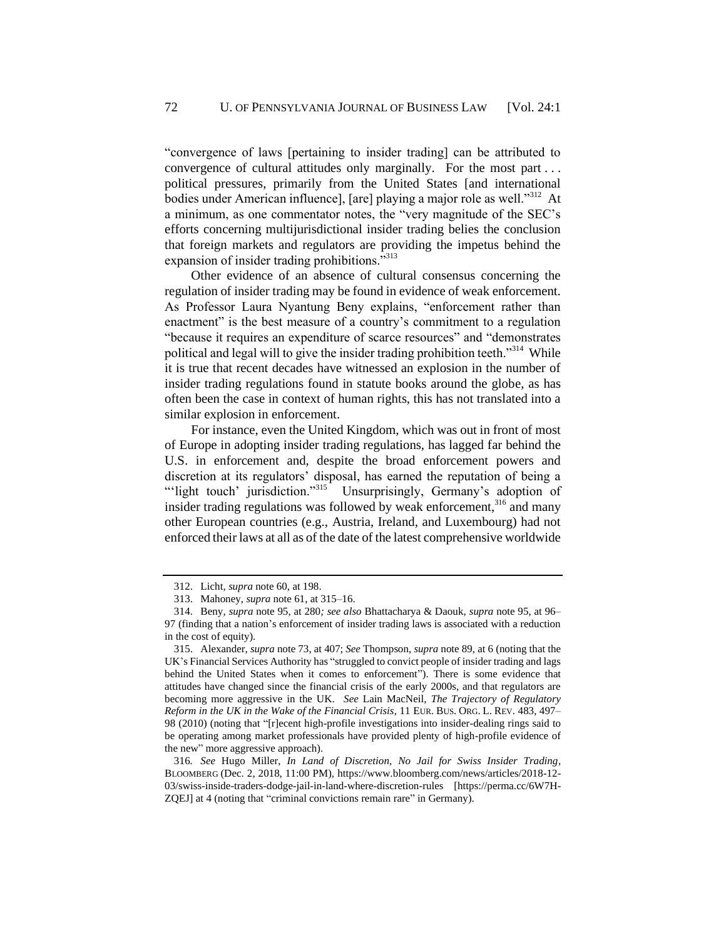"convergence of laws [pertaining to insider trading] can be attributed to convergence of cultural attitudes only marginally. For the most part . . . political pressures, primarily from the United States [and international bodies under American influence], [are] playing a major role as well."<sup>312</sup> At a minimum, as one commentator notes, the "very magnitude of the SEC's efforts concerning multijurisdictional insider trading belies the conclusion that foreign markets and regulators are providing the impetus behind the expansion of insider trading prohibitions."<sup>313</sup>

Other evidence of an absence of cultural consensus concerning the regulation of insider trading may be found in evidence of weak enforcement. As Professor Laura Nyantung Beny explains, "enforcement rather than enactment" is the best measure of a country's commitment to a regulation "because it requires an expenditure of scarce resources" and "demonstrates political and legal will to give the insider trading prohibition teeth."<sup>314</sup> While it is true that recent decades have witnessed an explosion in the number of insider trading regulations found in statute books around the globe, as has often been the case in context of human rights, this has not translated into a similar explosion in enforcement.

For instance, even the United Kingdom, which was out in front of most of Europe in adopting insider trading regulations, has lagged far behind the U.S. in enforcement and, despite the broad enforcement powers and discretion at its regulators' disposal, has earned the reputation of being a "light touch' jurisdiction."<sup>315</sup> Unsurprisingly, Germany's adoption of insider trading regulations was followed by weak enforcement, $316$  and many other European countries (e.g., Austria, Ireland, and Luxembourg) had not enforced their laws at all as of the date of the latest comprehensive worldwide

<span id="page-47-0"></span><sup>312.</sup> Licht, *supra* not[e 60,](#page-12-1) at 198.

<sup>313.</sup> Mahoney, *supra* not[e 61,](#page-12-2) at 315–16.

<sup>314.</sup> Beny, *supra* note [95,](#page-17-1) at 280*; see also* Bhattacharya & Daouk, *supra* not[e 95,](#page-17-1) at 96– 97 (finding that a nation's enforcement of insider trading laws is associated with a reduction in the cost of equity).

<sup>315.</sup> Alexander, *supra* not[e 73,](#page-14-1) at 407; *See* Thompson, *supra* not[e 89,](#page-16-0) at 6 (noting that the UK's Financial Services Authority has "struggled to convict people of insider trading and lags behind the United States when it comes to enforcement"). There is some evidence that attitudes have changed since the financial crisis of the early 2000s, and that regulators are becoming more aggressive in the UK. *See* Lain MacNeil, *The Trajectory of Regulatory Reform in the UK in the Wake of the Financial Crisis*, 11 EUR. BUS. ORG. L. REV. 483, 497– 98 (2010) (noting that "[r]ecent high-profile investigations into insider-dealing rings said to be operating among market professionals have provided plenty of high-profile evidence of the new" more aggressive approach).

<sup>316</sup>*. See* Hugo Miller, *In Land of Discretion, No Jail for Swiss Insider Trading*, BLOOMBERG (Dec. 2, 2018, 11:00 PM), https://www.bloomberg.com/news/articles/2018-12- 03/swiss-inside-traders-dodge-jail-in-land-where-discretion-rules [https://perma.cc/6W7H-ZQEJ] at 4 (noting that "criminal convictions remain rare" in Germany).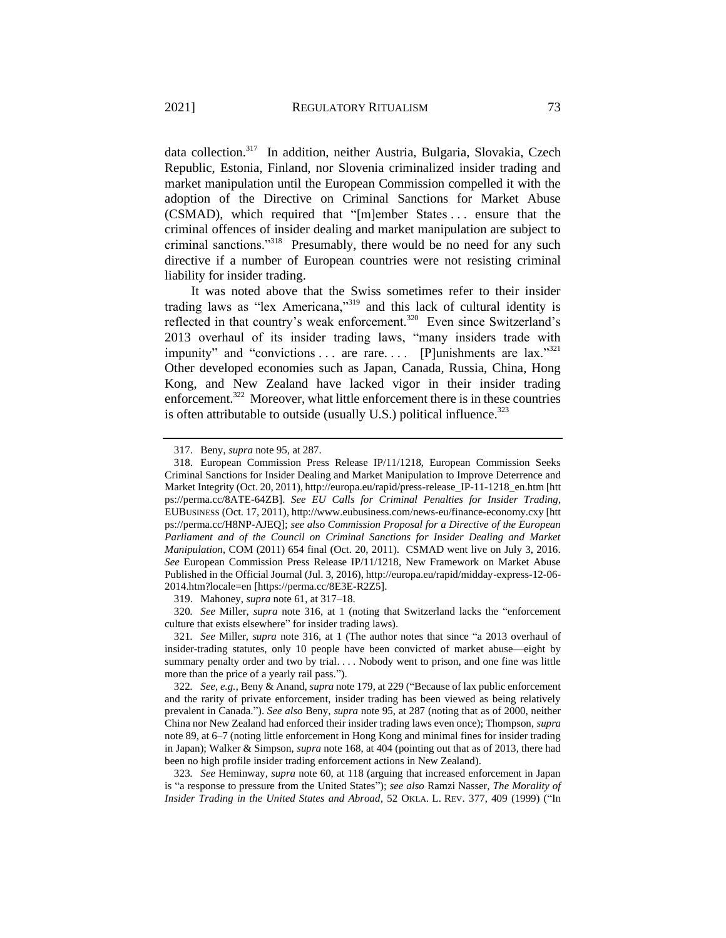data collection.<sup>317</sup> In addition, neither Austria, Bulgaria, Slovakia, Czech Republic, Estonia, Finland, nor Slovenia criminalized insider trading and market manipulation until the European Commission compelled it with the adoption of the Directive on Criminal Sanctions for Market Abuse (CSMAD), which required that "[m]ember States . . . ensure that the criminal offences of insider dealing and market manipulation are subject to criminal sanctions."<sup>318</sup> Presumably, there would be no need for any such directive if a number of European countries were not resisting criminal liability for insider trading.

It was noted above that the Swiss sometimes refer to their insider trading laws as "lex Americana,"<sup>319</sup> and this lack of cultural identity is reflected in that country's weak enforcement.<sup>320</sup> Even since Switzerland's 2013 overhaul of its insider trading laws, "many insiders trade with impunity" and "convictions . . . are rare. . . . [P]unishments are lax."<sup>321</sup> Other developed economies such as Japan, Canada, Russia, China, Hong Kong, and New Zealand have lacked vigor in their insider trading enforcement.<sup>322</sup> Moreover, what little enforcement there is in these countries is often attributable to outside (usually U.S.) political influence. $323$ 

319. Mahoney, *supra* not[e 61,](#page-12-2) at 317–18.

320*. See* Miller, *supra* note [316,](#page-47-0) at 1 (noting that Switzerland lacks the "enforcement culture that exists elsewhere" for insider trading laws).

321*. See* Miller, *supra* note [316,](#page-47-0) at 1 (The author notes that since "a 2013 overhaul of insider-trading statutes, only 10 people have been convicted of market abuse—eight by summary penalty order and two by trial. . . . Nobody went to prison, and one fine was little more than the price of a yearly rail pass.").

323*. See* Heminway, *supra* note [60,](#page-12-1) at 118 (arguing that increased enforcement in Japan is "a response to pressure from the United States"); *see also* Ramzi Nasser, *The Morality of Insider Trading in the United States and Abroad*, 52 OKLA. L. REV. 377, 409 (1999) ("In

<sup>317.</sup> Beny, *supra* not[e 95,](#page-17-1) at 287.

<sup>318.</sup> European Commission Press Release IP/11/1218, European Commission Seeks Criminal Sanctions for Insider Dealing and Market Manipulation to Improve Deterrence and Market Integrity (Oct. 20, 2011), http://europa.eu/rapid/press-release\_IP-11-1218\_en.htm [htt ps://perma.cc/8ATE-64ZB]. *See EU Calls for Criminal Penalties for Insider Trading*, EUBUSINESS (Oct. 17, 2011), http://www.eubusiness.com/news-eu/finance-economy.cxy [htt ps://perma.cc/H8NP-AJEQ]; *see also Commission Proposal for a Directive of the European Parliament and of the Council on Criminal Sanctions for Insider Dealing and Market Manipulation*, COM (2011) 654 final (Oct. 20, 2011). CSMAD went live on July 3, 2016. *See* European Commission Press Release IP/11/1218, New Framework on Market Abuse Published in the Official Journal (Jul. 3, 2016), http://europa.eu/rapid/midday-express-12-06- 2014.htm?locale=en [https://perma.cc/8E3E-R2Z5].

<sup>322</sup>*. See, e.g.*, Beny & Anand, *supra* not[e 179,](#page-26-0) at 229 ("Because of lax public enforcement and the rarity of private enforcement, insider trading has been viewed as being relatively prevalent in Canada."). *See also* Beny, *supra* not[e 95,](#page-17-1) at 287 (noting that as of 2000, neither China nor New Zealand had enforced their insider trading laws even once); Thompson, *supra*  not[e 89,](#page-16-0) at 6–7 (noting little enforcement in Hong Kong and minimal fines for insider trading in Japan); Walker & Simpson, *supra* note [168,](#page-25-1) at 404 (pointing out that as of 2013, there had been no high profile insider trading enforcement actions in New Zealand).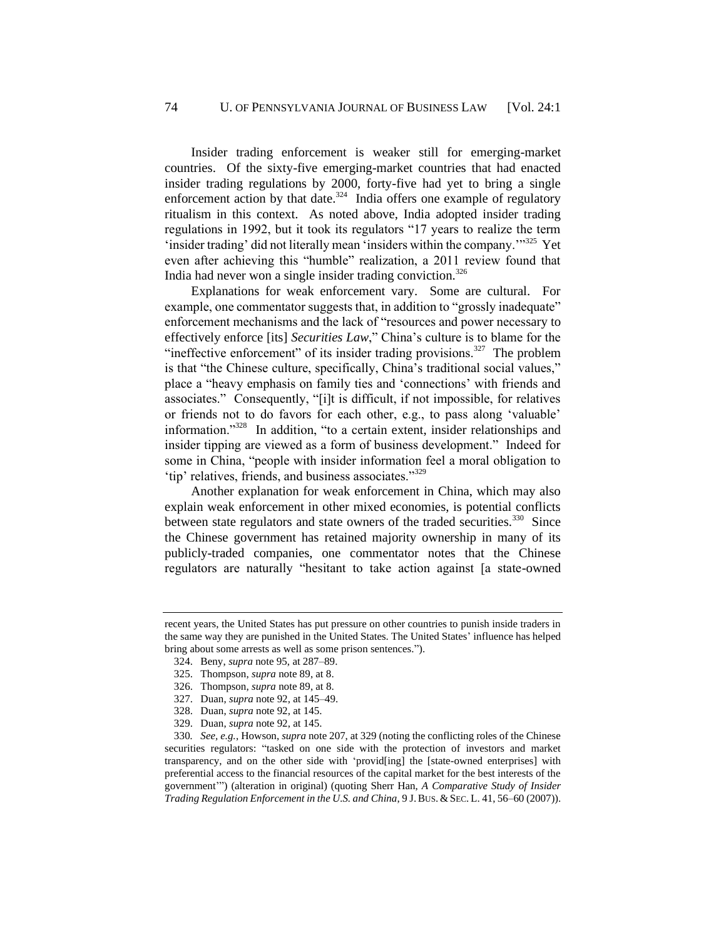Insider trading enforcement is weaker still for emerging-market countries. Of the sixty-five emerging-market countries that had enacted insider trading regulations by 2000, forty-five had yet to bring a single enforcement action by that date. $324$  India offers one example of regulatory ritualism in this context. As noted above, India adopted insider trading regulations in 1992, but it took its regulators "17 years to realize the term 'insider trading' did not literally mean 'insiders within the company."<sup>325</sup> Yet even after achieving this "humble" realization, a 2011 review found that India had never won a single insider trading conviction. $326$ 

Explanations for weak enforcement vary. Some are cultural. For example, one commentator suggests that, in addition to "grossly inadequate" enforcement mechanisms and the lack of "resources and power necessary to effectively enforce [its] *Securities Law*," China's culture is to blame for the "ineffective enforcement" of its insider trading provisions.<sup>327</sup> The problem is that "the Chinese culture, specifically, China's traditional social values," place a "heavy emphasis on family ties and 'connections' with friends and associates." Consequently, "[i]t is difficult, if not impossible, for relatives or friends not to do favors for each other, e.g., to pass along 'valuable' information."<sup>328</sup> In addition, "to a certain extent, insider relationships and insider tipping are viewed as a form of business development." Indeed for some in China, "people with insider information feel a moral obligation to 'tip' relatives, friends, and business associates."<sup>329</sup>

Another explanation for weak enforcement in China, which may also explain weak enforcement in other mixed economies, is potential conflicts between state regulators and state owners of the traded securities.<sup>330</sup> Since the Chinese government has retained majority ownership in many of its publicly-traded companies, one commentator notes that the Chinese regulators are naturally "hesitant to take action against [a state-owned

recent years, the United States has put pressure on other countries to punish inside traders in the same way they are punished in the United States. The United States' influence has helped bring about some arrests as well as some prison sentences.").

<sup>324.</sup> Beny, *supra* not[e 95,](#page-17-1) at 287–89.

<sup>325.</sup> Thompson, *supra* not[e 89,](#page-16-0) at 8.

<sup>326.</sup> Thompson, *supra* not[e 89,](#page-16-0) at 8.

<sup>327.</sup> Duan, *supra* not[e 92,](#page-16-1) at 145–49.

<sup>328.</sup> Duan, *supra* not[e 92,](#page-16-1) at 145.

<sup>329.</sup> Duan, *supra* not[e 92,](#page-16-1) at 145.

<sup>330</sup>*. See, e.g.*, Howson, *supra* note [207,](#page-31-1) at 329 (noting the conflicting roles of the Chinese securities regulators: "tasked on one side with the protection of investors and market transparency, and on the other side with 'provid[ing] the [state-owned enterprises] with preferential access to the financial resources of the capital market for the best interests of the government'") (alteration in original) (quoting Sherr Han, *A Comparative Study of Insider Trading Regulation Enforcement in the U.S. and China*, 9 J. Bus. & Sec. L. 41, 56–60 (2007)).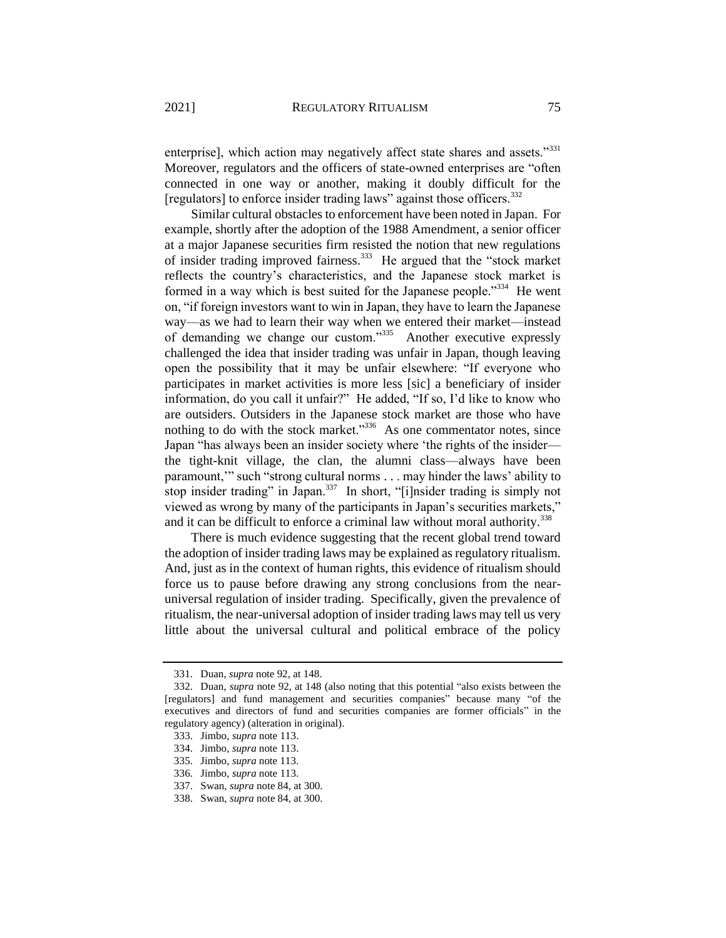enterprise], which action may negatively affect state shares and assets."<sup>331</sup> Moreover, regulators and the officers of state-owned enterprises are "often connected in one way or another, making it doubly difficult for the [regulators] to enforce insider trading laws" against those officers.<sup>332</sup>

Similar cultural obstacles to enforcement have been noted in Japan. For example, shortly after the adoption of the 1988 Amendment, a senior officer at a major Japanese securities firm resisted the notion that new regulations of insider trading improved fairness.<sup>333</sup> He argued that the "stock market reflects the country's characteristics, and the Japanese stock market is formed in a way which is best suited for the Japanese people."<sup>334</sup> He went on, "if foreign investors want to win in Japan, they have to learn the Japanese way—as we had to learn their way when we entered their market—instead of demanding we change our custom."<sup>335</sup> Another executive expressly challenged the idea that insider trading was unfair in Japan, though leaving open the possibility that it may be unfair elsewhere: "If everyone who participates in market activities is more less [sic] a beneficiary of insider information, do you call it unfair?" He added, "If so, I'd like to know who are outsiders. Outsiders in the Japanese stock market are those who have nothing to do with the stock market."<sup>336</sup> As one commentator notes, since Japan "has always been an insider society where 'the rights of the insider the tight-knit village, the clan, the alumni class—always have been paramount,'" such "strong cultural norms . . . may hinder the laws' ability to stop insider trading" in Japan.<sup>337</sup> In short, "[i]nsider trading is simply not viewed as wrong by many of the participants in Japan's securities markets," and it can be difficult to enforce a criminal law without moral authority.<sup>338</sup>

There is much evidence suggesting that the recent global trend toward the adoption of insider trading laws may be explained as regulatory ritualism. And, just as in the context of human rights, this evidence of ritualism should force us to pause before drawing any strong conclusions from the nearuniversal regulation of insider trading. Specifically, given the prevalence of ritualism, the near-universal adoption of insider trading laws may tell us very little about the universal cultural and political embrace of the policy

<sup>331.</sup> Duan, *supra* not[e 92,](#page-16-1) at 148.

<sup>332.</sup> Duan, *supra* not[e 92,](#page-16-1) at 148 (also noting that this potential "also exists between the [regulators] and fund management and securities companies" because many "of the executives and directors of fund and securities companies are former officials" in the regulatory agency) (alteration in original).

<sup>333.</sup> Jimbo, *supra* not[e 113.](#page-18-0)

<sup>334.</sup> Jimbo, *supra* not[e 113.](#page-18-0)

<sup>335.</sup> Jimbo, *supra* not[e 113.](#page-18-0)

<sup>336.</sup> Jimbo, *supra* not[e 113.](#page-18-0)

<sup>337.</sup> Swan, *supra* not[e 84,](#page-15-1) at 300.

<sup>338.</sup> Swan, *supra* not[e 84,](#page-15-1) at 300.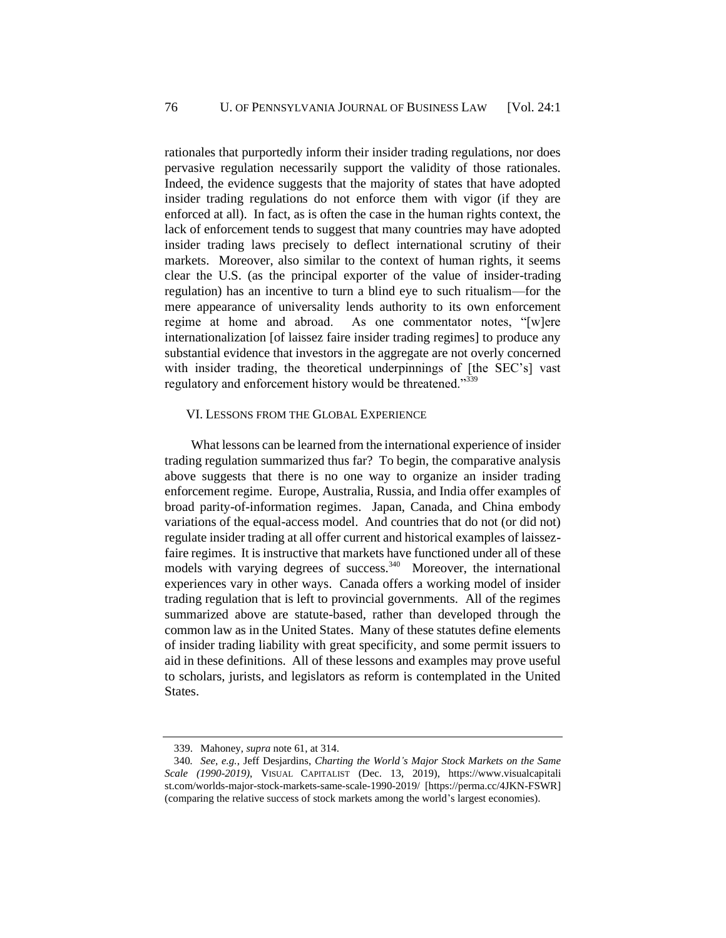rationales that purportedly inform their insider trading regulations, nor does pervasive regulation necessarily support the validity of those rationales. Indeed, the evidence suggests that the majority of states that have adopted insider trading regulations do not enforce them with vigor (if they are enforced at all). In fact, as is often the case in the human rights context, the lack of enforcement tends to suggest that many countries may have adopted insider trading laws precisely to deflect international scrutiny of their markets. Moreover, also similar to the context of human rights, it seems clear the U.S. (as the principal exporter of the value of insider-trading regulation) has an incentive to turn a blind eye to such ritualism—for the mere appearance of universality lends authority to its own enforcement regime at home and abroad. As one commentator notes, "[w]ere internationalization [of laissez faire insider trading regimes] to produce any substantial evidence that investors in the aggregate are not overly concerned with insider trading, the theoretical underpinnings of [the SEC's] vast regulatory and enforcement history would be threatened."339

## VI. LESSONS FROM THE GLOBAL EXPERIENCE

What lessons can be learned from the international experience of insider trading regulation summarized thus far? To begin, the comparative analysis above suggests that there is no one way to organize an insider trading enforcement regime. Europe, Australia, Russia, and India offer examples of broad parity-of-information regimes. Japan, Canada, and China embody variations of the equal-access model. And countries that do not (or did not) regulate insider trading at all offer current and historical examples of laissezfaire regimes. It is instructive that markets have functioned under all of these models with varying degrees of success.<sup>340</sup> Moreover, the international experiences vary in other ways. Canada offers a working model of insider trading regulation that is left to provincial governments. All of the regimes summarized above are statute-based, rather than developed through the common law as in the United States. Many of these statutes define elements of insider trading liability with great specificity, and some permit issuers to aid in these definitions. All of these lessons and examples may prove useful to scholars, jurists, and legislators as reform is contemplated in the United States.

<sup>339.</sup> Mahoney, *supra* not[e 61,](#page-12-2) at 314.

<sup>340</sup>*. See, e.g.*, Jeff Desjardins, *Charting the World's Major Stock Markets on the Same Scale (1990-2019)*, VISUAL CAPITALIST (Dec. 13, 2019), https://www.visualcapitali st.com/worlds-major-stock-markets-same-scale-1990-2019/ [https://perma.cc/4JKN-FSWR] (comparing the relative success of stock markets among the world's largest economies).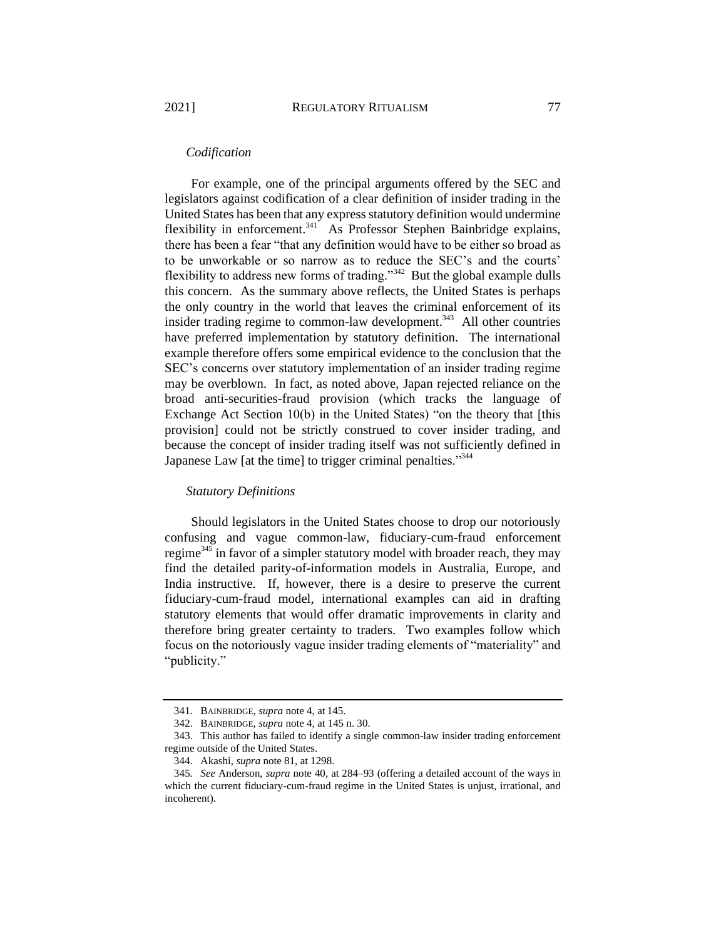## *Codification*

For example, one of the principal arguments offered by the SEC and legislators against codification of a clear definition of insider trading in the United States has been that any express statutory definition would undermine flexibility in enforcement.<sup>341</sup> As Professor Stephen Bainbridge explains, there has been a fear "that any definition would have to be either so broad as to be unworkable or so narrow as to reduce the SEC's and the courts' flexibility to address new forms of trading."<sup>342</sup> But the global example dulls this concern. As the summary above reflects, the United States is perhaps the only country in the world that leaves the criminal enforcement of its insider trading regime to common-law development.<sup>343</sup> All other countries have preferred implementation by statutory definition. The international example therefore offers some empirical evidence to the conclusion that the SEC's concerns over statutory implementation of an insider trading regime may be overblown. In fact, as noted above, Japan rejected reliance on the broad anti-securities-fraud provision (which tracks the language of Exchange Act Section 10(b) in the United States) "on the theory that [this provision] could not be strictly construed to cover insider trading, and because the concept of insider trading itself was not sufficiently defined in Japanese Law [at the time] to trigger criminal penalties."<sup>344</sup>

## *Statutory Definitions*

Should legislators in the United States choose to drop our notoriously confusing and vague common-law, fiduciary-cum-fraud enforcement regime<sup>345</sup> in favor of a simpler statutory model with broader reach, they may find the detailed parity-of-information models in Australia, Europe, and India instructive. If, however, there is a desire to preserve the current fiduciary-cum-fraud model, international examples can aid in drafting statutory elements that would offer dramatic improvements in clarity and therefore bring greater certainty to traders. Two examples follow which focus on the notoriously vague insider trading elements of "materiality" and "publicity."

<sup>341.</sup> BAINBRIDGE, *supra* not[e 4,](#page-1-1) at 145.

<sup>342.</sup> BAINBRIDGE, *supra* not[e 4,](#page-1-1) at 145 n. 30.

<sup>343.</sup> This author has failed to identify a single common-law insider trading enforcement regime outside of the United States.

<sup>344.</sup> Akashi, *supra* not[e 81,](#page-15-3) at 1298.

<sup>345</sup>*. See* Anderson, *supra* note [40,](#page-9-0) at 284–93 (offering a detailed account of the ways in which the current fiduciary-cum-fraud regime in the United States is unjust, irrational, and incoherent).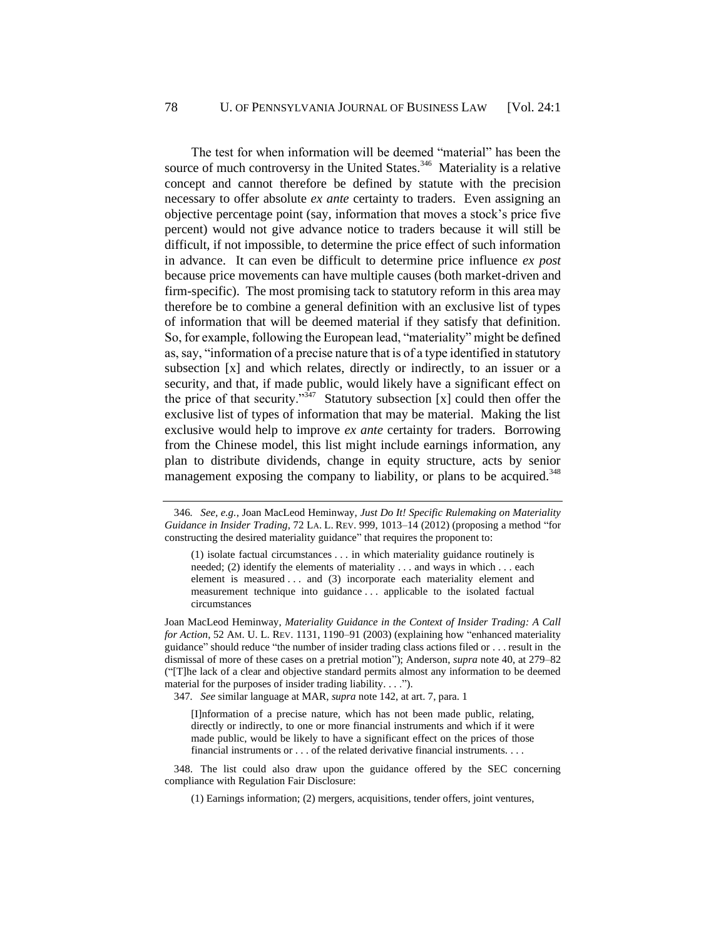The test for when information will be deemed "material" has been the source of much controversy in the United States.<sup>346</sup> Materiality is a relative concept and cannot therefore be defined by statute with the precision necessary to offer absolute *ex ante* certainty to traders. Even assigning an objective percentage point (say, information that moves a stock's price five percent) would not give advance notice to traders because it will still be difficult, if not impossible, to determine the price effect of such information in advance. It can even be difficult to determine price influence *ex post* because price movements can have multiple causes (both market-driven and firm-specific). The most promising tack to statutory reform in this area may therefore be to combine a general definition with an exclusive list of types of information that will be deemed material if they satisfy that definition. So, for example, following the European lead, "materiality" might be defined as, say, "information of a precise nature that is of a type identified in statutory subsection [x] and which relates, directly or indirectly, to an issuer or a security, and that, if made public, would likely have a significant effect on the price of that security."<sup>347</sup> Statutory subsection [x] could then offer the exclusive list of types of information that may be material. Making the list exclusive would help to improve *ex ante* certainty for traders. Borrowing from the Chinese model, this list might include earnings information, any plan to distribute dividends, change in equity structure, acts by senior management exposing the company to liability, or plans to be acquired.<sup>348</sup>

Joan MacLeod Heminway, *Materiality Guidance in the Context of Insider Trading: A Call for Action*, 52 AM. U. L. REV. 1131, 1190–91 (2003) (explaining how "enhanced materiality guidance" should reduce "the number of insider trading class actions filed or . . . result in the dismissal of more of these cases on a pretrial motion"); Anderson, *supra* not[e 40,](#page-9-0) at 279–82 ("[T]he lack of a clear and objective standard permits almost any information to be deemed material for the purposes of insider trading liability. . . .").

347*. See* similar language at MAR, *supra* not[e 142,](#page-22-0) at art. 7, para. 1

[I]nformation of a precise nature, which has not been made public, relating, directly or indirectly, to one or more financial instruments and which if it were made public, would be likely to have a significant effect on the prices of those financial instruments or . . . of the related derivative financial instruments. . . .

348. The list could also draw upon the guidance offered by the SEC concerning compliance with Regulation Fair Disclosure:

(1) Earnings information; (2) mergers, acquisitions, tender offers, joint ventures,

<sup>346</sup>*. See, e.g.*, Joan MacLeod Heminway, *Just Do It! Specific Rulemaking on Materiality Guidance in Insider Trading*, 72 LA. L. REV. 999, 1013–14 (2012) (proposing a method "for constructing the desired materiality guidance" that requires the proponent to:

<sup>(1)</sup> isolate factual circumstances . . . in which materiality guidance routinely is needed; (2) identify the elements of materiality . . . and ways in which . . . each element is measured . . . and (3) incorporate each materiality element and measurement technique into guidance . . . applicable to the isolated factual circumstances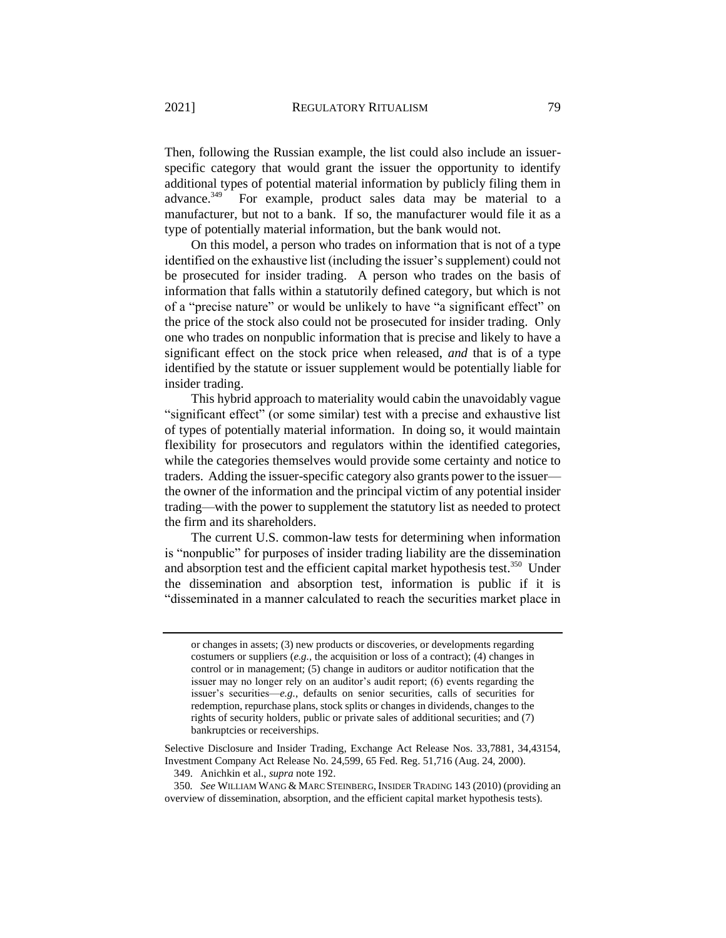Then, following the Russian example, the list could also include an issuerspecific category that would grant the issuer the opportunity to identify additional types of potential material information by publicly filing them in advance.<sup>349</sup> For example, product sales data may be material to a manufacturer, but not to a bank. If so, the manufacturer would file it as a type of potentially material information, but the bank would not.

On this model, a person who trades on information that is not of a type identified on the exhaustive list (including the issuer's supplement) could not be prosecuted for insider trading. A person who trades on the basis of information that falls within a statutorily defined category, but which is not of a "precise nature" or would be unlikely to have "a significant effect" on the price of the stock also could not be prosecuted for insider trading. Only one who trades on nonpublic information that is precise and likely to have a significant effect on the stock price when released, *and* that is of a type identified by the statute or issuer supplement would be potentially liable for insider trading.

This hybrid approach to materiality would cabin the unavoidably vague "significant effect" (or some similar) test with a precise and exhaustive list of types of potentially material information. In doing so, it would maintain flexibility for prosecutors and regulators within the identified categories, while the categories themselves would provide some certainty and notice to traders. Adding the issuer-specific category also grants power to the issuer the owner of the information and the principal victim of any potential insider trading—with the power to supplement the statutory list as needed to protect the firm and its shareholders.

The current U.S. common-law tests for determining when information is "nonpublic" for purposes of insider trading liability are the dissemination and absorption test and the efficient capital market hypothesis test.<sup>350</sup> Under the dissemination and absorption test, information is public if it is "disseminated in a manner calculated to reach the securities market place in

or changes in assets; (3) new products or discoveries, or developments regarding costumers or suppliers (*e.g.*, the acquisition or loss of a contract); (4) changes in control or in management; (5) change in auditors or auditor notification that the issuer may no longer rely on an auditor's audit report; (6) events regarding the issuer's securities—*e.g.*, defaults on senior securities, calls of securities for redemption, repurchase plans, stock splits or changes in dividends, changes to the rights of security holders, public or private sales of additional securities; and (7) bankruptcies or receiverships.

Selective Disclosure and Insider Trading, Exchange Act Release Nos. 33,7881, 34,43154, Investment Company Act Release No. 24,599, 65 Fed. Reg. 51,716 (Aug. 24, 2000).

<sup>349.</sup> Anichkin et al., *supra* not[e 192.](#page-29-0)

<sup>350</sup>*. See* WILLIAM WANG & MARC STEINBERG, INSIDER TRADING 143 (2010) (providing an overview of dissemination, absorption, and the efficient capital market hypothesis tests).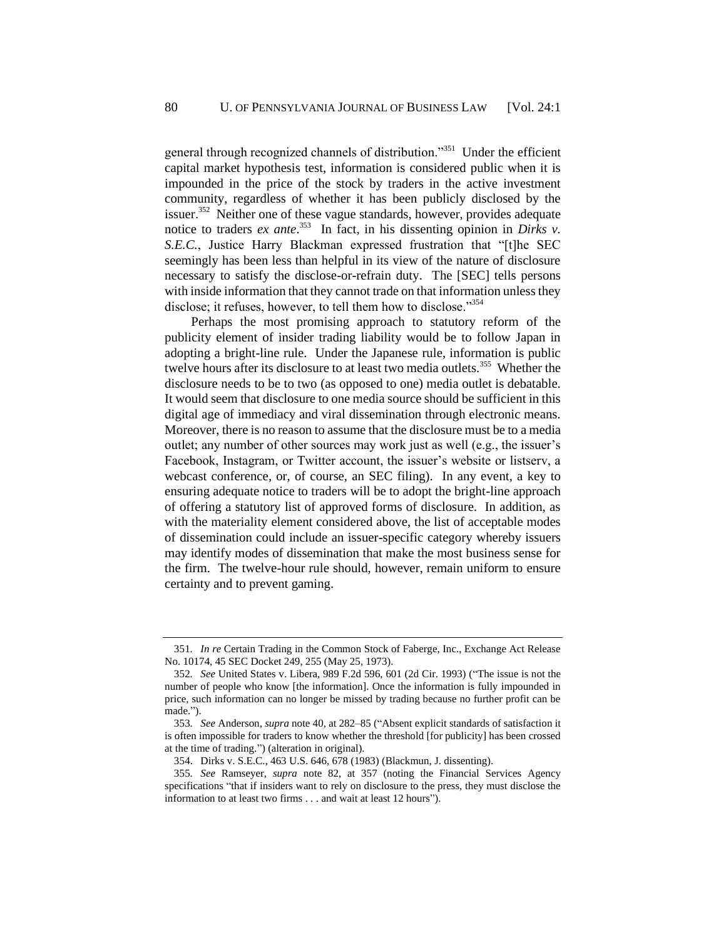general through recognized channels of distribution."<sup>351</sup> Under the efficient capital market hypothesis test, information is considered public when it is impounded in the price of the stock by traders in the active investment community, regardless of whether it has been publicly disclosed by the issuer.<sup>352</sup> Neither one of these vague standards, however, provides adequate notice to traders *ex ante*.<sup>353</sup> In fact, in his dissenting opinion in *Dirks v*. *S.E.C.*, Justice Harry Blackman expressed frustration that "[t]he SEC seemingly has been less than helpful in its view of the nature of disclosure necessary to satisfy the disclose-or-refrain duty. The [SEC] tells persons with inside information that they cannot trade on that information unless they disclose; it refuses, however, to tell them how to disclose."<sup>354</sup>

Perhaps the most promising approach to statutory reform of the publicity element of insider trading liability would be to follow Japan in adopting a bright-line rule. Under the Japanese rule, information is public twelve hours after its disclosure to at least two media outlets.<sup>355</sup> Whether the disclosure needs to be to two (as opposed to one) media outlet is debatable. It would seem that disclosure to one media source should be sufficient in this digital age of immediacy and viral dissemination through electronic means. Moreover, there is no reason to assume that the disclosure must be to a media outlet; any number of other sources may work just as well (e.g., the issuer's Facebook, Instagram, or Twitter account, the issuer's website or listserv, a webcast conference, or, of course, an SEC filing). In any event, a key to ensuring adequate notice to traders will be to adopt the bright-line approach of offering a statutory list of approved forms of disclosure. In addition, as with the materiality element considered above, the list of acceptable modes of dissemination could include an issuer-specific category whereby issuers may identify modes of dissemination that make the most business sense for the firm. The twelve-hour rule should, however, remain uniform to ensure certainty and to prevent gaming.

<sup>351</sup>*. In re* Certain Trading in the Common Stock of Faberge, Inc., Exchange Act Release No. 10174, 45 SEC Docket 249, 255 (May 25, 1973).

<sup>352</sup>*. See* United States v. Libera, 989 F.2d 596, 601 (2d Cir. 1993) ("The issue is not the number of people who know [the information]. Once the information is fully impounded in price, such information can no longer be missed by trading because no further profit can be made.").

<sup>353</sup>*. See* Anderson, *supra* not[e 40,](#page-9-0) at 282–85 ("Absent explicit standards of satisfaction it is often impossible for traders to know whether the threshold [for publicity] has been crossed at the time of trading.") (alteration in original).

<sup>354.</sup> Dirks v. S.E.C., 463 U.S. 646, 678 (1983) (Blackmun, J. dissenting).

<sup>355</sup>*. See* Ramseyer, *supra* note [82,](#page-15-2) at 357 (noting the Financial Services Agency specifications "that if insiders want to rely on disclosure to the press, they must disclose the information to at least two firms . . . and wait at least 12 hours").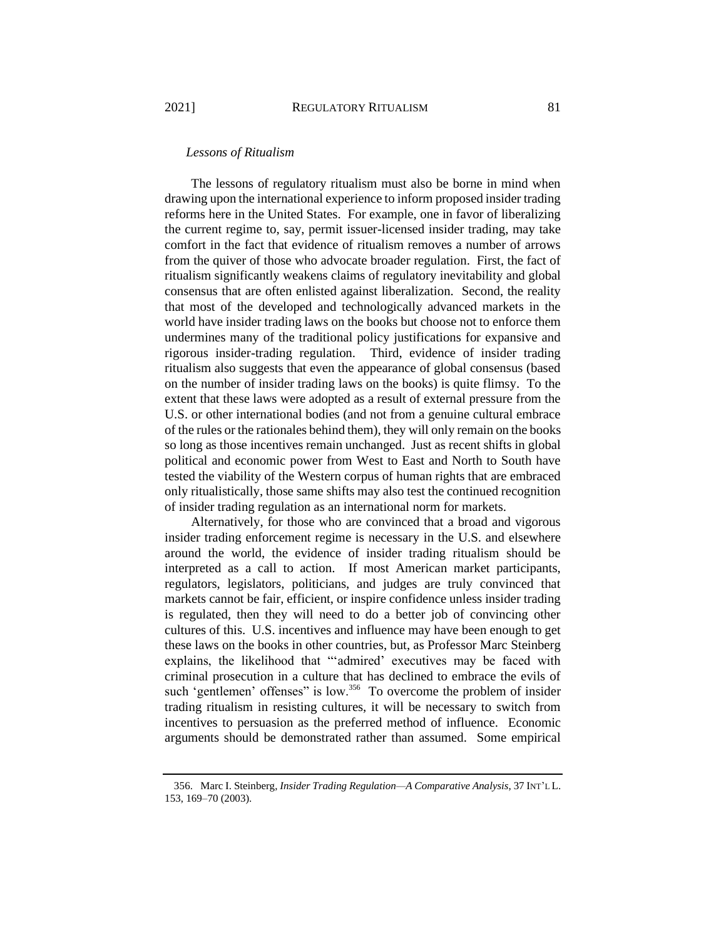#### *Lessons of Ritualism*

The lessons of regulatory ritualism must also be borne in mind when drawing upon the international experience to inform proposed insider trading reforms here in the United States. For example, one in favor of liberalizing the current regime to, say, permit issuer-licensed insider trading, may take comfort in the fact that evidence of ritualism removes a number of arrows from the quiver of those who advocate broader regulation. First, the fact of ritualism significantly weakens claims of regulatory inevitability and global consensus that are often enlisted against liberalization. Second, the reality that most of the developed and technologically advanced markets in the world have insider trading laws on the books but choose not to enforce them undermines many of the traditional policy justifications for expansive and rigorous insider-trading regulation. Third, evidence of insider trading ritualism also suggests that even the appearance of global consensus (based on the number of insider trading laws on the books) is quite flimsy. To the extent that these laws were adopted as a result of external pressure from the U.S. or other international bodies (and not from a genuine cultural embrace of the rules or the rationales behind them), they will only remain on the books so long as those incentives remain unchanged. Just as recent shifts in global political and economic power from West to East and North to South have tested the viability of the Western corpus of human rights that are embraced only ritualistically, those same shifts may also test the continued recognition of insider trading regulation as an international norm for markets.

Alternatively, for those who are convinced that a broad and vigorous insider trading enforcement regime is necessary in the U.S. and elsewhere around the world, the evidence of insider trading ritualism should be interpreted as a call to action. If most American market participants, regulators, legislators, politicians, and judges are truly convinced that markets cannot be fair, efficient, or inspire confidence unless insider trading is regulated, then they will need to do a better job of convincing other cultures of this. U.S. incentives and influence may have been enough to get these laws on the books in other countries, but, as Professor Marc Steinberg explains, the likelihood that "'admired' executives may be faced with criminal prosecution in a culture that has declined to embrace the evils of such 'gentlemen' offenses" is low.<sup>356</sup> To overcome the problem of insider trading ritualism in resisting cultures, it will be necessary to switch from incentives to persuasion as the preferred method of influence. Economic arguments should be demonstrated rather than assumed. Some empirical

<span id="page-56-0"></span><sup>356.</sup> Marc I. Steinberg, *Insider Trading Regulation—A Comparative Analysis*, 37 INT'L L. 153, 169–70 (2003).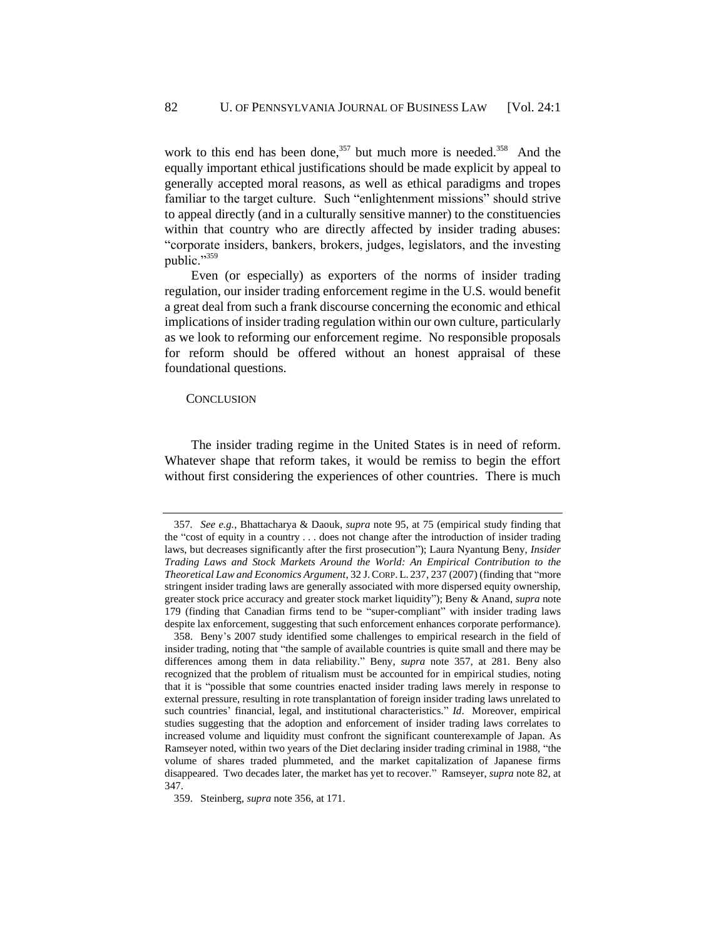<span id="page-57-0"></span>work to this end has been done,<sup>357</sup> but much more is needed.<sup>358</sup> And the equally important ethical justifications should be made explicit by appeal to generally accepted moral reasons, as well as ethical paradigms and tropes familiar to the target culture. Such "enlightenment missions" should strive to appeal directly (and in a culturally sensitive manner) to the constituencies within that country who are directly affected by insider trading abuses: "corporate insiders, bankers, brokers, judges, legislators, and the investing public."<sup>359</sup>

Even (or especially) as exporters of the norms of insider trading regulation, our insider trading enforcement regime in the U.S. would benefit a great deal from such a frank discourse concerning the economic and ethical implications of insider trading regulation within our own culture, particularly as we look to reforming our enforcement regime. No responsible proposals for reform should be offered without an honest appraisal of these foundational questions.

#### **CONCLUSION**

The insider trading regime in the United States is in need of reform. Whatever shape that reform takes, it would be remiss to begin the effort without first considering the experiences of other countries. There is much

<sup>357</sup>*. See e.g.*, Bhattacharya & Daouk, *supra* note [95,](#page-17-1) at 75 (empirical study finding that the "cost of equity in a country . . . does not change after the introduction of insider trading laws, but decreases significantly after the first prosecution"); Laura Nyantung Beny, *Insider Trading Laws and Stock Markets Around the World: An Empirical Contribution to the Theoretical Law and Economics Argument*, 32 J.CORP. L. 237, 237 (2007) (finding that "more stringent insider trading laws are generally associated with more dispersed equity ownership, greater stock price accuracy and greater stock market liquidity"); Beny & Anand, *supra* note [179](#page-26-0) (finding that Canadian firms tend to be "super-compliant" with insider trading laws despite lax enforcement, suggesting that such enforcement enhances corporate performance).

<sup>358.</sup> Beny's 2007 study identified some challenges to empirical research in the field of insider trading, noting that "the sample of available countries is quite small and there may be differences among them in data reliability." Beny, *supra* note [357,](#page-57-0) at 281. Beny also recognized that the problem of ritualism must be accounted for in empirical studies, noting that it is "possible that some countries enacted insider trading laws merely in response to external pressure, resulting in rote transplantation of foreign insider trading laws unrelated to such countries' financial, legal, and institutional characteristics." *Id*. Moreover, empirical studies suggesting that the adoption and enforcement of insider trading laws correlates to increased volume and liquidity must confront the significant counterexample of Japan. As Ramseyer noted, within two years of the Diet declaring insider trading criminal in 1988, "the volume of shares traded plummeted, and the market capitalization of Japanese firms disappeared. Two decades later, the market has yet to recover." Ramseyer, *supra* not[e 82,](#page-15-2) at 347.

<sup>359.</sup> Steinberg, *supra* not[e 356,](#page-56-0) at 171.